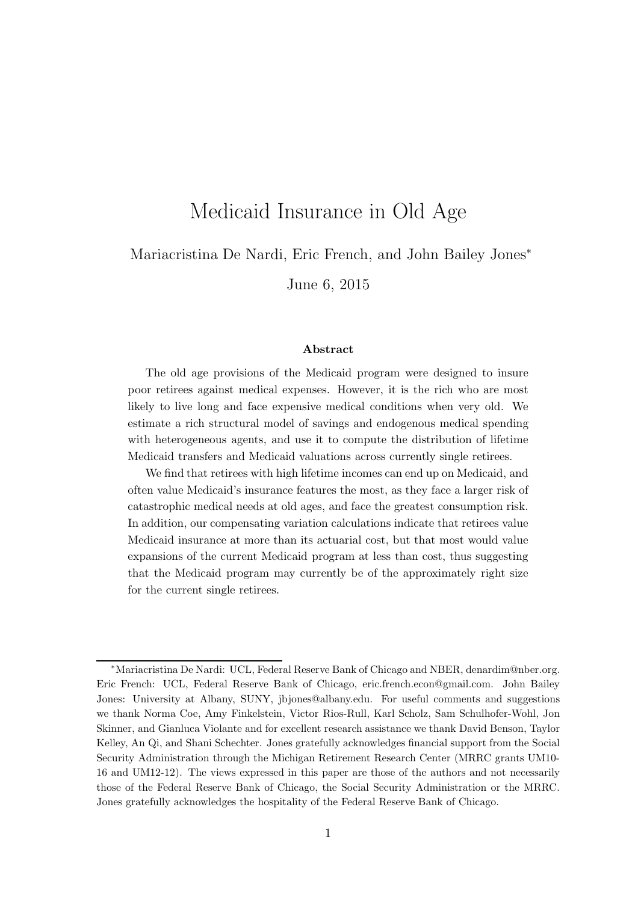# Medicaid Insurance in Old Age

Mariacristina De Nardi, Eric French, and John Bailey Jones<sup>∗</sup>

June 6, 2015

#### Abstract

The old age provisions of the Medicaid program were designed to insure poor retirees against medical expenses. However, it is the rich who are most likely to live long and face expensive medical conditions when very old. We estimate a rich structural model of savings and endogenous medical spending with heterogeneous agents, and use it to compute the distribution of lifetime Medicaid transfers and Medicaid valuations across currently single retirees.

We find that retirees with high lifetime incomes can end up on Medicaid, and often value Medicaid's insurance features the most, as they face a larger risk of catastrophic medical needs at old ages, and face the greatest consumption risk. In addition, our compensating variation calculations indicate that retirees value Medicaid insurance at more than its actuarial cost, but that most would value expansions of the current Medicaid program at less than cost, thus suggesting that the Medicaid program may currently be of the approximately right size for the current single retirees.

<sup>∗</sup>Mariacristina De Nardi: UCL, Federal Reserve Bank of Chicago and NBER, denardim@nber.org. Eric French: UCL, Federal Reserve Bank of Chicago, eric.french.econ@gmail.com. John Bailey Jones: University at Albany, SUNY, jbjones@albany.edu. For useful comments and suggestions we thank Norma Coe, Amy Finkelstein, Victor Rios-Rull, Karl Scholz, Sam Schulhofer-Wohl, Jon Skinner, and Gianluca Violante and for excellent research assistance we thank David Benson, Taylor Kelley, An Qi, and Shani Schechter. Jones gratefully acknowledges financial support from the Social Security Administration through the Michigan Retirement Research Center (MRRC grants UM10- 16 and UM12-12). The views expressed in this paper are those of the authors and not necessarily those of the Federal Reserve Bank of Chicago, the Social Security Administration or the MRRC. Jones gratefully acknowledges the hospitality of the Federal Reserve Bank of Chicago.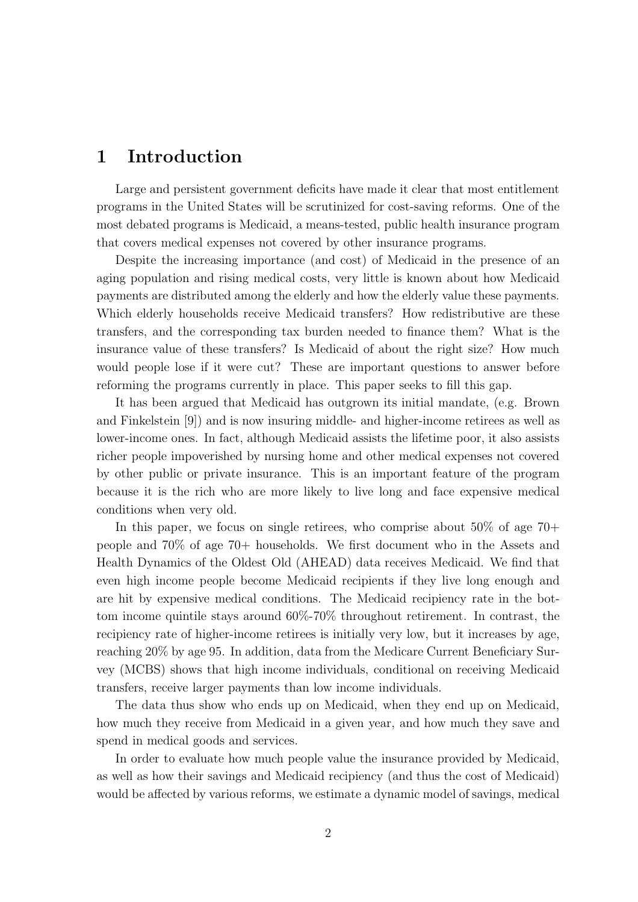# 1 Introduction

Large and persistent government deficits have made it clear that most entitlement programs in the United States will be scrutinized for cost-saving reforms. One of the most debated programs is Medicaid, a means-tested, public health insurance program that covers medical expenses not covered by other insurance programs.

Despite the increasing importance (and cost) of Medicaid in the presence of an aging population and rising medical costs, very little is known about how Medicaid payments are distributed among the elderly and how the elderly value these payments. Which elderly households receive Medicaid transfers? How redistributive are these transfers, and the corresponding tax burden needed to finance them? What is the insurance value of these transfers? Is Medicaid of about the right size? How much would people lose if it were cut? These are important questions to answer before reforming the programs currently in place. This paper seeks to fill this gap.

It has been argued that Medicaid has outgrown its initial mandate, (e.g. Brown and Finkelstein [9]) and is now insuring middle- and higher-income retirees as well as lower-income ones. In fact, although Medicaid assists the lifetime poor, it also assists richer people impoverished by nursing home and other medical expenses not covered by other public or private insurance. This is an important feature of the program because it is the rich who are more likely to live long and face expensive medical conditions when very old.

In this paper, we focus on single retirees, who comprise about 50% of age 70+ people and 70% of age 70+ households. We first document who in the Assets and Health Dynamics of the Oldest Old (AHEAD) data receives Medicaid. We find that even high income people become Medicaid recipients if they live long enough and are hit by expensive medical conditions. The Medicaid recipiency rate in the bottom income quintile stays around 60%-70% throughout retirement. In contrast, the recipiency rate of higher-income retirees is initially very low, but it increases by age, reaching 20% by age 95. In addition, data from the Medicare Current Beneficiary Survey (MCBS) shows that high income individuals, conditional on receiving Medicaid transfers, receive larger payments than low income individuals.

The data thus show who ends up on Medicaid, when they end up on Medicaid, how much they receive from Medicaid in a given year, and how much they save and spend in medical goods and services.

In order to evaluate how much people value the insurance provided by Medicaid, as well as how their savings and Medicaid recipiency (and thus the cost of Medicaid) would be affected by various reforms, we estimate a dynamic model of savings, medical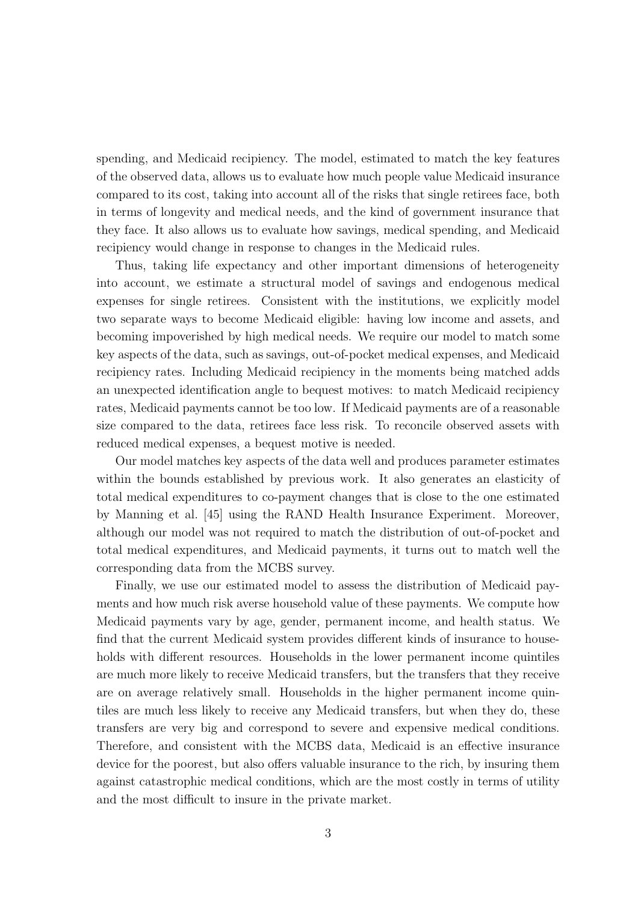spending, and Medicaid recipiency. The model, estimated to match the key features of the observed data, allows us to evaluate how much people value Medicaid insurance compared to its cost, taking into account all of the risks that single retirees face, both in terms of longevity and medical needs, and the kind of government insurance that they face. It also allows us to evaluate how savings, medical spending, and Medicaid recipiency would change in response to changes in the Medicaid rules.

Thus, taking life expectancy and other important dimensions of heterogeneity into account, we estimate a structural model of savings and endogenous medical expenses for single retirees. Consistent with the institutions, we explicitly model two separate ways to become Medicaid eligible: having low income and assets, and becoming impoverished by high medical needs. We require our model to match some key aspects of the data, such as savings, out-of-pocket medical expenses, and Medicaid recipiency rates. Including Medicaid recipiency in the moments being matched adds an unexpected identification angle to bequest motives: to match Medicaid recipiency rates, Medicaid payments cannot be too low. If Medicaid payments are of a reasonable size compared to the data, retirees face less risk. To reconcile observed assets with reduced medical expenses, a bequest motive is needed.

Our model matches key aspects of the data well and produces parameter estimates within the bounds established by previous work. It also generates an elasticity of total medical expenditures to co-payment changes that is close to the one estimated by Manning et al. [45] using the RAND Health Insurance Experiment. Moreover, although our model was not required to match the distribution of out-of-pocket and total medical expenditures, and Medicaid payments, it turns out to match well the corresponding data from the MCBS survey.

Finally, we use our estimated model to assess the distribution of Medicaid payments and how much risk averse household value of these payments. We compute how Medicaid payments vary by age, gender, permanent income, and health status. We find that the current Medicaid system provides different kinds of insurance to households with different resources. Households in the lower permanent income quintiles are much more likely to receive Medicaid transfers, but the transfers that they receive are on average relatively small. Households in the higher permanent income quintiles are much less likely to receive any Medicaid transfers, but when they do, these transfers are very big and correspond to severe and expensive medical conditions. Therefore, and consistent with the MCBS data, Medicaid is an effective insurance device for the poorest, but also offers valuable insurance to the rich, by insuring them against catastrophic medical conditions, which are the most costly in terms of utility and the most difficult to insure in the private market.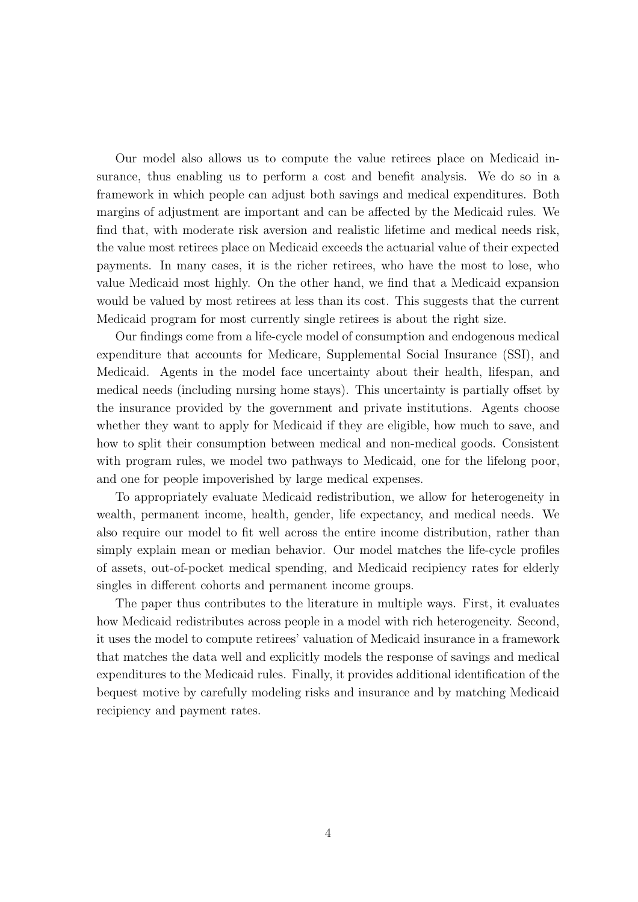Our model also allows us to compute the value retirees place on Medicaid insurance, thus enabling us to perform a cost and benefit analysis. We do so in a framework in which people can adjust both savings and medical expenditures. Both margins of adjustment are important and can be affected by the Medicaid rules. We find that, with moderate risk aversion and realistic lifetime and medical needs risk, the value most retirees place on Medicaid exceeds the actuarial value of their expected payments. In many cases, it is the richer retirees, who have the most to lose, who value Medicaid most highly. On the other hand, we find that a Medicaid expansion would be valued by most retirees at less than its cost. This suggests that the current Medicaid program for most currently single retirees is about the right size.

Our findings come from a life-cycle model of consumption and endogenous medical expenditure that accounts for Medicare, Supplemental Social Insurance (SSI), and Medicaid. Agents in the model face uncertainty about their health, lifespan, and medical needs (including nursing home stays). This uncertainty is partially offset by the insurance provided by the government and private institutions. Agents choose whether they want to apply for Medicaid if they are eligible, how much to save, and how to split their consumption between medical and non-medical goods. Consistent with program rules, we model two pathways to Medicaid, one for the lifelong poor, and one for people impoverished by large medical expenses.

To appropriately evaluate Medicaid redistribution, we allow for heterogeneity in wealth, permanent income, health, gender, life expectancy, and medical needs. We also require our model to fit well across the entire income distribution, rather than simply explain mean or median behavior. Our model matches the life-cycle profiles of assets, out-of-pocket medical spending, and Medicaid recipiency rates for elderly singles in different cohorts and permanent income groups.

The paper thus contributes to the literature in multiple ways. First, it evaluates how Medicaid redistributes across people in a model with rich heterogeneity. Second, it uses the model to compute retirees' valuation of Medicaid insurance in a framework that matches the data well and explicitly models the response of savings and medical expenditures to the Medicaid rules. Finally, it provides additional identification of the bequest motive by carefully modeling risks and insurance and by matching Medicaid recipiency and payment rates.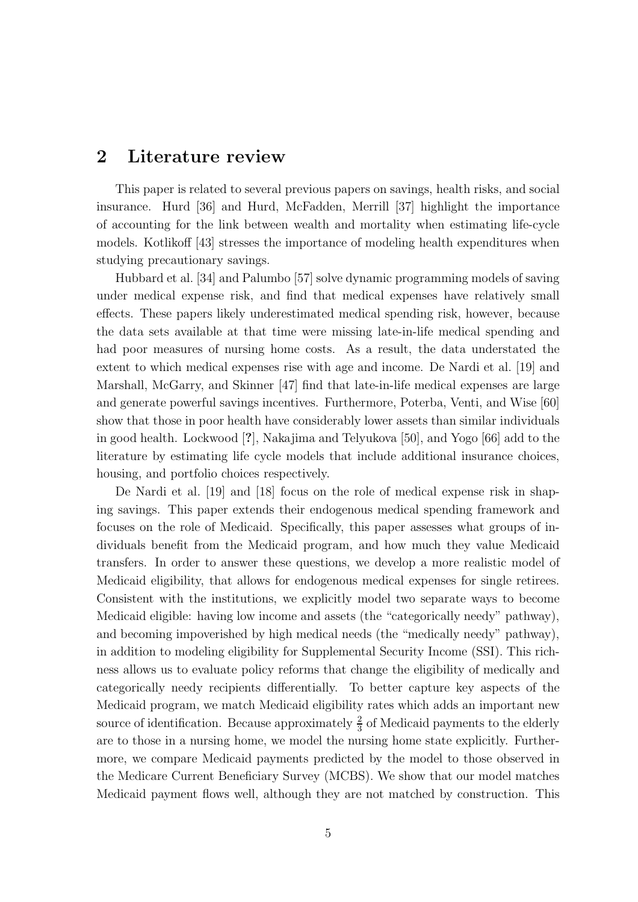### 2 Literature review

This paper is related to several previous papers on savings, health risks, and social insurance. Hurd [36] and Hurd, McFadden, Merrill [37] highlight the importance of accounting for the link between wealth and mortality when estimating life-cycle models. Kotlikoff [43] stresses the importance of modeling health expenditures when studying precautionary savings.

Hubbard et al. [34] and Palumbo [57] solve dynamic programming models of saving under medical expense risk, and find that medical expenses have relatively small effects. These papers likely underestimated medical spending risk, however, because the data sets available at that time were missing late-in-life medical spending and had poor measures of nursing home costs. As a result, the data understated the extent to which medical expenses rise with age and income. De Nardi et al. [19] and Marshall, McGarry, and Skinner [47] find that late-in-life medical expenses are large and generate powerful savings incentives. Furthermore, Poterba, Venti, and Wise [60] show that those in poor health have considerably lower assets than similar individuals in good health. Lockwood [?], Nakajima and Telyukova [50], and Yogo [66] add to the literature by estimating life cycle models that include additional insurance choices, housing, and portfolio choices respectively.

De Nardi et al. [19] and [18] focus on the role of medical expense risk in shaping savings. This paper extends their endogenous medical spending framework and focuses on the role of Medicaid. Specifically, this paper assesses what groups of individuals benefit from the Medicaid program, and how much they value Medicaid transfers. In order to answer these questions, we develop a more realistic model of Medicaid eligibility, that allows for endogenous medical expenses for single retirees. Consistent with the institutions, we explicitly model two separate ways to become Medicaid eligible: having low income and assets (the "categorically needy" pathway), and becoming impoverished by high medical needs (the "medically needy" pathway), in addition to modeling eligibility for Supplemental Security Income (SSI). This richness allows us to evaluate policy reforms that change the eligibility of medically and categorically needy recipients differentially. To better capture key aspects of the Medicaid program, we match Medicaid eligibility rates which adds an important new source of identification. Because approximately  $\frac{2}{3}$  of Medicaid payments to the elderly are to those in a nursing home, we model the nursing home state explicitly. Furthermore, we compare Medicaid payments predicted by the model to those observed in the Medicare Current Beneficiary Survey (MCBS). We show that our model matches Medicaid payment flows well, although they are not matched by construction. This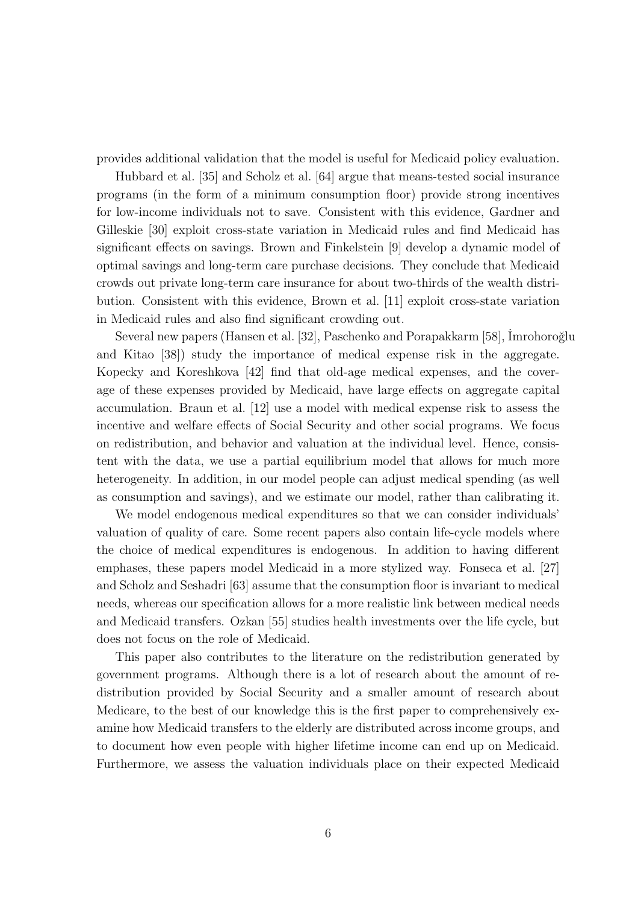provides additional validation that the model is useful for Medicaid policy evaluation.

Hubbard et al. [35] and Scholz et al. [64] argue that means-tested social insurance programs (in the form of a minimum consumption floor) provide strong incentives for low-income individuals not to save. Consistent with this evidence, Gardner and Gilleskie [30] exploit cross-state variation in Medicaid rules and find Medicaid has significant effects on savings. Brown and Finkelstein [9] develop a dynamic model of optimal savings and long-term care purchase decisions. They conclude that Medicaid crowds out private long-term care insurance for about two-thirds of the wealth distribution. Consistent with this evidence, Brown et al. [11] exploit cross-state variation in Medicaid rules and also find significant crowding out.

Several new papers (Hansen et al. [32], Paschenko and Porapakkarm [58], Imrohoroğlu and Kitao [38]) study the importance of medical expense risk in the aggregate. Kopecky and Koreshkova [42] find that old-age medical expenses, and the coverage of these expenses provided by Medicaid, have large effects on aggregate capital accumulation. Braun et al. [12] use a model with medical expense risk to assess the incentive and welfare effects of Social Security and other social programs. We focus on redistribution, and behavior and valuation at the individual level. Hence, consistent with the data, we use a partial equilibrium model that allows for much more heterogeneity. In addition, in our model people can adjust medical spending (as well as consumption and savings), and we estimate our model, rather than calibrating it.

We model endogenous medical expenditures so that we can consider individuals' valuation of quality of care. Some recent papers also contain life-cycle models where the choice of medical expenditures is endogenous. In addition to having different emphases, these papers model Medicaid in a more stylized way. Fonseca et al. [27] and Scholz and Seshadri [63] assume that the consumption floor is invariant to medical needs, whereas our specification allows for a more realistic link between medical needs and Medicaid transfers. Ozkan [55] studies health investments over the life cycle, but does not focus on the role of Medicaid.

This paper also contributes to the literature on the redistribution generated by government programs. Although there is a lot of research about the amount of redistribution provided by Social Security and a smaller amount of research about Medicare, to the best of our knowledge this is the first paper to comprehensively examine how Medicaid transfers to the elderly are distributed across income groups, and to document how even people with higher lifetime income can end up on Medicaid. Furthermore, we assess the valuation individuals place on their expected Medicaid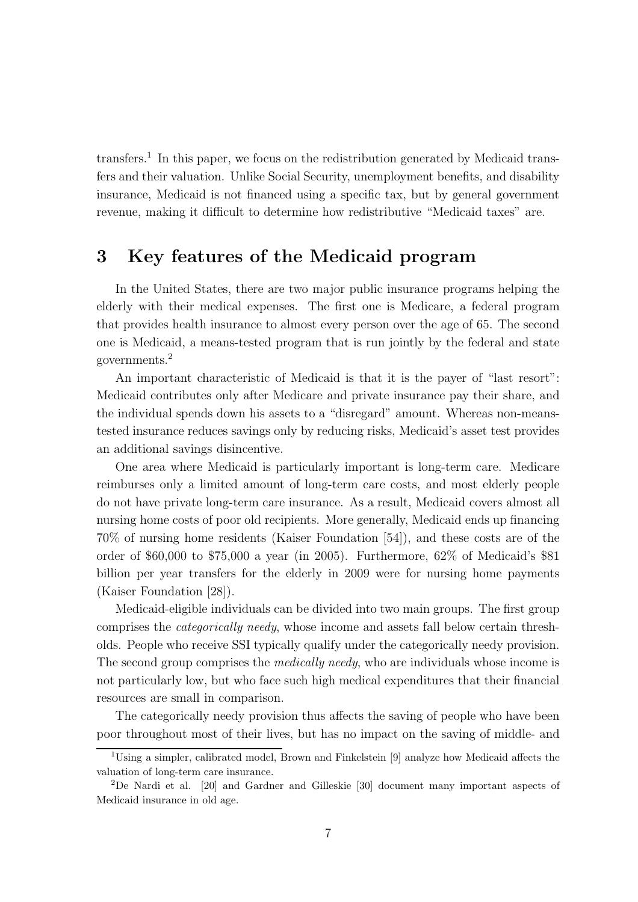transfers.<sup>1</sup> In this paper, we focus on the redistribution generated by Medicaid transfers and their valuation. Unlike Social Security, unemployment benefits, and disability insurance, Medicaid is not financed using a specific tax, but by general government revenue, making it difficult to determine how redistributive "Medicaid taxes" are.

# 3 Key features of the Medicaid program

In the United States, there are two major public insurance programs helping the elderly with their medical expenses. The first one is Medicare, a federal program that provides health insurance to almost every person over the age of 65. The second one is Medicaid, a means-tested program that is run jointly by the federal and state governments.<sup>2</sup>

An important characteristic of Medicaid is that it is the payer of "last resort": Medicaid contributes only after Medicare and private insurance pay their share, and the individual spends down his assets to a "disregard" amount. Whereas non-meanstested insurance reduces savings only by reducing risks, Medicaid's asset test provides an additional savings disincentive.

One area where Medicaid is particularly important is long-term care. Medicare reimburses only a limited amount of long-term care costs, and most elderly people do not have private long-term care insurance. As a result, Medicaid covers almost all nursing home costs of poor old recipients. More generally, Medicaid ends up financing 70% of nursing home residents (Kaiser Foundation [54]), and these costs are of the order of \$60,000 to \$75,000 a year (in 2005). Furthermore, 62% of Medicaid's \$81 billion per year transfers for the elderly in 2009 were for nursing home payments (Kaiser Foundation [28]).

Medicaid-eligible individuals can be divided into two main groups. The first group comprises the categorically needy, whose income and assets fall below certain thresholds. People who receive SSI typically qualify under the categorically needy provision. The second group comprises the *medically needy*, who are individuals whose income is not particularly low, but who face such high medical expenditures that their financial resources are small in comparison.

The categorically needy provision thus affects the saving of people who have been poor throughout most of their lives, but has no impact on the saving of middle- and

<sup>&</sup>lt;sup>1</sup>Using a simpler, calibrated model, Brown and Finkelstein [9] analyze how Medicaid affects the valuation of long-term care insurance.

<sup>2</sup>De Nardi et al. [20] and Gardner and Gilleskie [30] document many important aspects of Medicaid insurance in old age.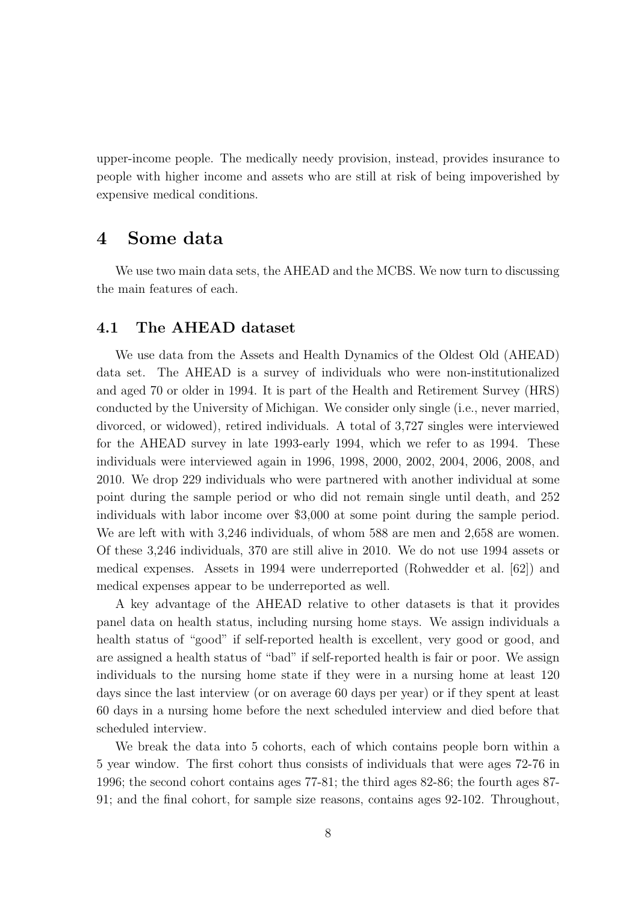upper-income people. The medically needy provision, instead, provides insurance to people with higher income and assets who are still at risk of being impoverished by expensive medical conditions.

### 4 Some data

We use two main data sets, the AHEAD and the MCBS. We now turn to discussing the main features of each.

#### 4.1 The AHEAD dataset

We use data from the Assets and Health Dynamics of the Oldest Old (AHEAD) data set. The AHEAD is a survey of individuals who were non-institutionalized and aged 70 or older in 1994. It is part of the Health and Retirement Survey (HRS) conducted by the University of Michigan. We consider only single (i.e., never married, divorced, or widowed), retired individuals. A total of 3,727 singles were interviewed for the AHEAD survey in late 1993-early 1994, which we refer to as 1994. These individuals were interviewed again in 1996, 1998, 2000, 2002, 2004, 2006, 2008, and 2010. We drop 229 individuals who were partnered with another individual at some point during the sample period or who did not remain single until death, and 252 individuals with labor income over \$3,000 at some point during the sample period. We are left with with 3,246 individuals, of whom 588 are men and 2,658 are women. Of these 3,246 individuals, 370 are still alive in 2010. We do not use 1994 assets or medical expenses. Assets in 1994 were underreported (Rohwedder et al. [62]) and medical expenses appear to be underreported as well.

A key advantage of the AHEAD relative to other datasets is that it provides panel data on health status, including nursing home stays. We assign individuals a health status of "good" if self-reported health is excellent, very good or good, and are assigned a health status of "bad" if self-reported health is fair or poor. We assign individuals to the nursing home state if they were in a nursing home at least 120 days since the last interview (or on average 60 days per year) or if they spent at least 60 days in a nursing home before the next scheduled interview and died before that scheduled interview.

We break the data into 5 cohorts, each of which contains people born within a 5 year window. The first cohort thus consists of individuals that were ages 72-76 in 1996; the second cohort contains ages 77-81; the third ages 82-86; the fourth ages 87- 91; and the final cohort, for sample size reasons, contains ages 92-102. Throughout,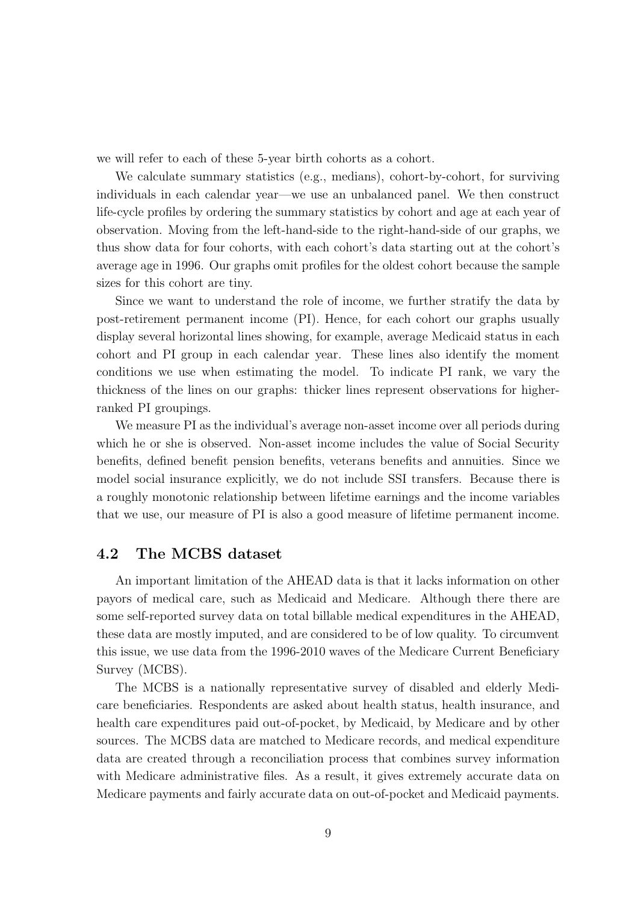we will refer to each of these 5-year birth cohorts as a cohort.

We calculate summary statistics (e.g., medians), cohort-by-cohort, for surviving individuals in each calendar year—we use an unbalanced panel. We then construct life-cycle profiles by ordering the summary statistics by cohort and age at each year of observation. Moving from the left-hand-side to the right-hand-side of our graphs, we thus show data for four cohorts, with each cohort's data starting out at the cohort's average age in 1996. Our graphs omit profiles for the oldest cohort because the sample sizes for this cohort are tiny.

Since we want to understand the role of income, we further stratify the data by post-retirement permanent income (PI). Hence, for each cohort our graphs usually display several horizontal lines showing, for example, average Medicaid status in each cohort and PI group in each calendar year. These lines also identify the moment conditions we use when estimating the model. To indicate PI rank, we vary the thickness of the lines on our graphs: thicker lines represent observations for higherranked PI groupings.

We measure PI as the individual's average non-asset income over all periods during which he or she is observed. Non-asset income includes the value of Social Security benefits, defined benefit pension benefits, veterans benefits and annuities. Since we model social insurance explicitly, we do not include SSI transfers. Because there is a roughly monotonic relationship between lifetime earnings and the income variables that we use, our measure of PI is also a good measure of lifetime permanent income.

### 4.2 The MCBS dataset

An important limitation of the AHEAD data is that it lacks information on other payors of medical care, such as Medicaid and Medicare. Although there there are some self-reported survey data on total billable medical expenditures in the AHEAD, these data are mostly imputed, and are considered to be of low quality. To circumvent this issue, we use data from the 1996-2010 waves of the Medicare Current Beneficiary Survey (MCBS).

The MCBS is a nationally representative survey of disabled and elderly Medicare beneficiaries. Respondents are asked about health status, health insurance, and health care expenditures paid out-of-pocket, by Medicaid, by Medicare and by other sources. The MCBS data are matched to Medicare records, and medical expenditure data are created through a reconciliation process that combines survey information with Medicare administrative files. As a result, it gives extremely accurate data on Medicare payments and fairly accurate data on out-of-pocket and Medicaid payments.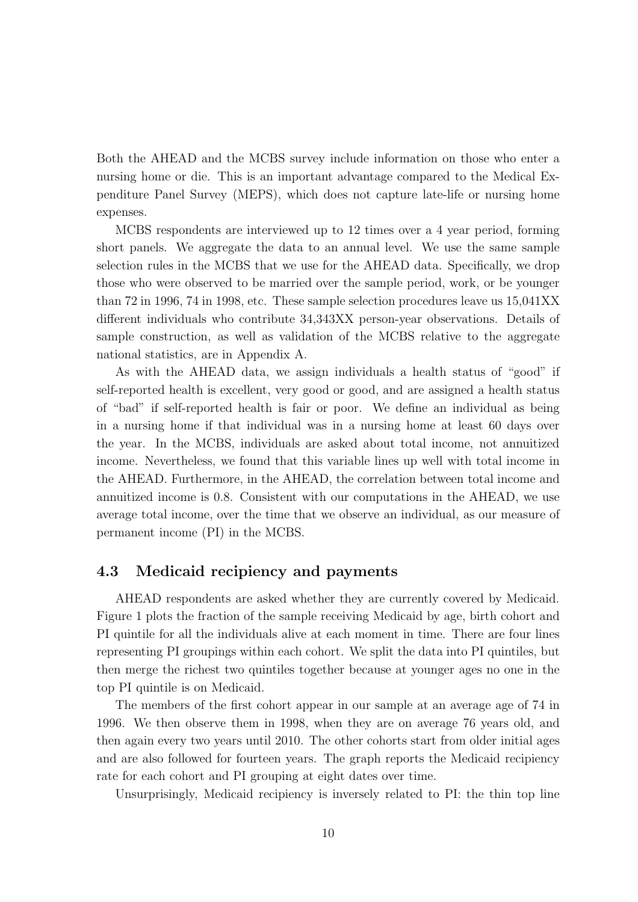Both the AHEAD and the MCBS survey include information on those who enter a nursing home or die. This is an important advantage compared to the Medical Expenditure Panel Survey (MEPS), which does not capture late-life or nursing home expenses.

MCBS respondents are interviewed up to 12 times over a 4 year period, forming short panels. We aggregate the data to an annual level. We use the same sample selection rules in the MCBS that we use for the AHEAD data. Specifically, we drop those who were observed to be married over the sample period, work, or be younger than 72 in 1996, 74 in 1998, etc. These sample selection procedures leave us 15,041XX different individuals who contribute 34,343XX person-year observations. Details of sample construction, as well as validation of the MCBS relative to the aggregate national statistics, are in Appendix A.

As with the AHEAD data, we assign individuals a health status of "good" if self-reported health is excellent, very good or good, and are assigned a health status of "bad" if self-reported health is fair or poor. We define an individual as being in a nursing home if that individual was in a nursing home at least 60 days over the year. In the MCBS, individuals are asked about total income, not annuitized income. Nevertheless, we found that this variable lines up well with total income in the AHEAD. Furthermore, in the AHEAD, the correlation between total income and annuitized income is 0.8. Consistent with our computations in the AHEAD, we use average total income, over the time that we observe an individual, as our measure of permanent income (PI) in the MCBS.

### 4.3 Medicaid recipiency and payments

AHEAD respondents are asked whether they are currently covered by Medicaid. Figure 1 plots the fraction of the sample receiving Medicaid by age, birth cohort and PI quintile for all the individuals alive at each moment in time. There are four lines representing PI groupings within each cohort. We split the data into PI quintiles, but then merge the richest two quintiles together because at younger ages no one in the top PI quintile is on Medicaid.

The members of the first cohort appear in our sample at an average age of 74 in 1996. We then observe them in 1998, when they are on average 76 years old, and then again every two years until 2010. The other cohorts start from older initial ages and are also followed for fourteen years. The graph reports the Medicaid recipiency rate for each cohort and PI grouping at eight dates over time.

Unsurprisingly, Medicaid recipiency is inversely related to PI: the thin top line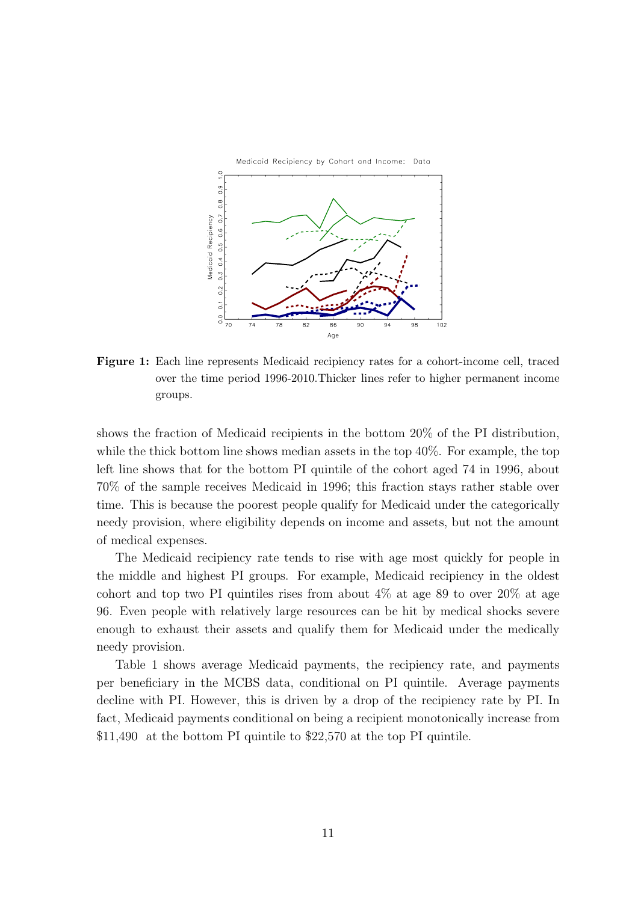

Figure 1: Each line represents Medicaid recipiency rates for a cohort-income cell, traced over the time period 1996-2010.Thicker lines refer to higher permanent income groups.

shows the fraction of Medicaid recipients in the bottom 20% of the PI distribution, while the thick bottom line shows median assets in the top 40%. For example, the top left line shows that for the bottom PI quintile of the cohort aged 74 in 1996, about 70% of the sample receives Medicaid in 1996; this fraction stays rather stable over time. This is because the poorest people qualify for Medicaid under the categorically needy provision, where eligibility depends on income and assets, but not the amount of medical expenses.

The Medicaid recipiency rate tends to rise with age most quickly for people in the middle and highest PI groups. For example, Medicaid recipiency in the oldest cohort and top two PI quintiles rises from about  $4\%$  at age 89 to over  $20\%$  at age 96. Even people with relatively large resources can be hit by medical shocks severe enough to exhaust their assets and qualify them for Medicaid under the medically needy provision.

Table 1 shows average Medicaid payments, the recipiency rate, and payments per beneficiary in the MCBS data, conditional on PI quintile. Average payments decline with PI. However, this is driven by a drop of the recipiency rate by PI. In fact, Medicaid payments conditional on being a recipient monotonically increase from \$11,490 at the bottom PI quintile to \$22,570 at the top PI quintile.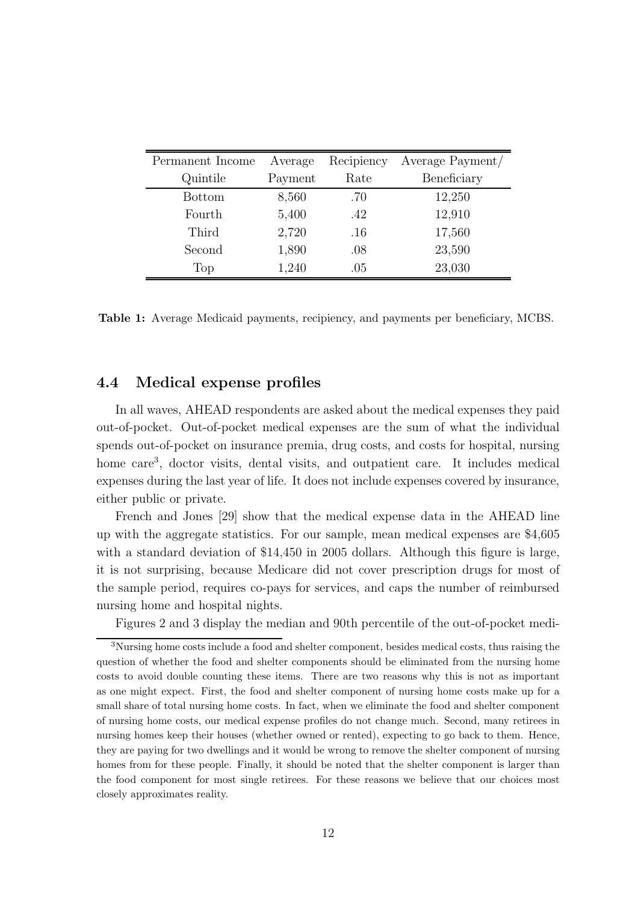| Permanent Income | Average | Recipiency | Average Payment/ |
|------------------|---------|------------|------------------|
| Quintile         | Payment | Rate       | Beneficiary      |
| <b>Bottom</b>    | 8,560   | .70        | 12,250           |
| Fourth           | 5,400   | .42        | 12,910           |
| Third            | 2,720   | $.16\,$    | 17,560           |
| Second           | 1,890   | .08        | 23,590           |
| Top              | 1,240   | .05        | 23,030           |

Table 1: Average Medicaid payments, recipiency, and payments per beneficiary, MCBS.

#### 4.4 Medical expense profiles

In all waves, AHEAD respondents are asked about the medical expenses they paid out-of-pocket. Out-of-pocket medical expenses are the sum of what the individual spends out-of-pocket on insurance premia, drug costs, and costs for hospital, nursing home care<sup>3</sup>, doctor visits, dental visits, and outpatient care. It includes medical expenses during the last year of life. It does not include expenses covered by insurance, either public or private.

French and Jones [29] show that the medical expense data in the AHEAD line up with the aggregate statistics. For our sample, mean medical expenses are \$4,605 with a standard deviation of \$14,450 in 2005 dollars. Although this figure is large, it is not surprising, because Medicare did not cover prescription drugs for most of the sample period, requires co-pays for services, and caps the number of reimbursed nursing home and hospital nights.

Figures 2 and 3 display the median and 90th percentile of the out-of-pocket medi-

<sup>3</sup>Nursing home costs include a food and shelter component, besides medical costs, thus raising the question of whether the food and shelter components should be eliminated from the nursing home costs to avoid double counting these items. There are two reasons why this is not as important as one might expect. First, the food and shelter component of nursing home costs make up for a small share of total nursing home costs. In fact, when we eliminate the food and shelter component of nursing home costs, our medical expense profiles do not change much. Second, many retirees in nursing homes keep their houses (whether owned or rented), expecting to go back to them. Hence, they are paying for two dwellings and it would be wrong to remove the shelter component of nursing homes from for these people. Finally, it should be noted that the shelter component is larger than the food component for most single retirees. For these reasons we believe that our choices most closely approximates reality.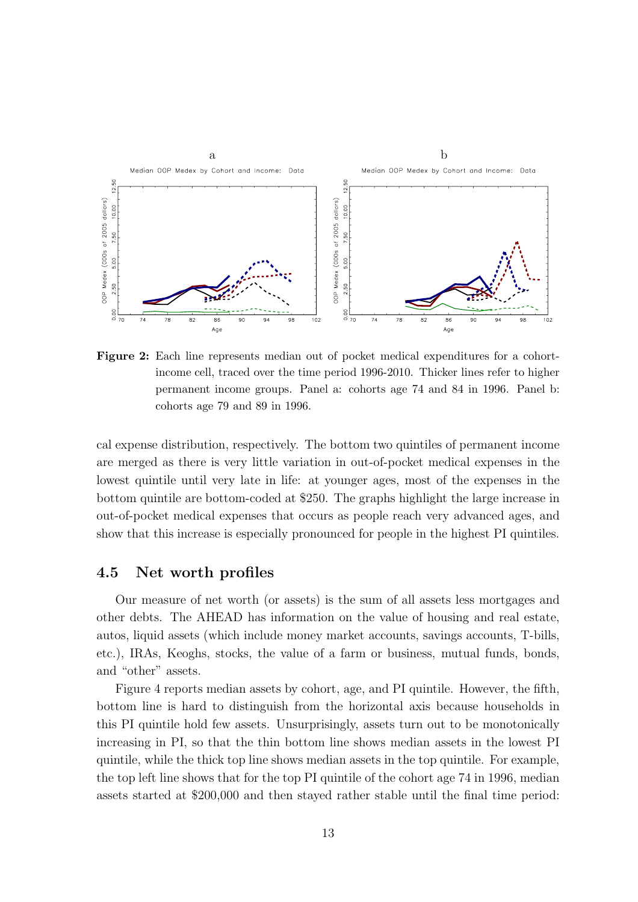

Figure 2: Each line represents median out of pocket medical expenditures for a cohortincome cell, traced over the time period 1996-2010. Thicker lines refer to higher permanent income groups. Panel a: cohorts age 74 and 84 in 1996. Panel b: cohorts age 79 and 89 in 1996.

cal expense distribution, respectively. The bottom two quintiles of permanent income are merged as there is very little variation in out-of-pocket medical expenses in the lowest quintile until very late in life: at younger ages, most of the expenses in the bottom quintile are bottom-coded at \$250. The graphs highlight the large increase in out-of-pocket medical expenses that occurs as people reach very advanced ages, and show that this increase is especially pronounced for people in the highest PI quintiles.

#### 4.5 Net worth profiles

Our measure of net worth (or assets) is the sum of all assets less mortgages and other debts. The AHEAD has information on the value of housing and real estate, autos, liquid assets (which include money market accounts, savings accounts, T-bills, etc.), IRAs, Keoghs, stocks, the value of a farm or business, mutual funds, bonds, and "other" assets.

Figure 4 reports median assets by cohort, age, and PI quintile. However, the fifth, bottom line is hard to distinguish from the horizontal axis because households in this PI quintile hold few assets. Unsurprisingly, assets turn out to be monotonically increasing in PI, so that the thin bottom line shows median assets in the lowest PI quintile, while the thick top line shows median assets in the top quintile. For example, the top left line shows that for the top PI quintile of the cohort age 74 in 1996, median assets started at \$200,000 and then stayed rather stable until the final time period: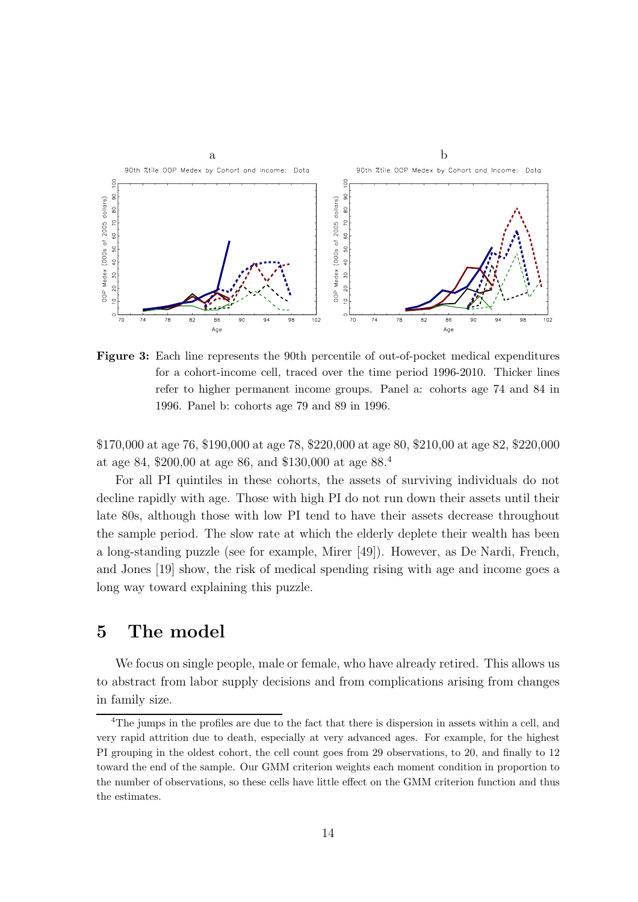

Figure 3: Each line represents the 90th percentile of out-of-pocket medical expenditures for a cohort-income cell, traced over the time period 1996-2010. Thicker lines refer to higher permanent income groups. Panel a: cohorts age 74 and 84 in 1996. Panel b: cohorts age 79 and 89 in 1996.

\$170,000 at age 76, \$190,000 at age 78, \$220,000 at age 80, \$210,00 at age 82, \$220,000 at age 84, \$200,00 at age 86, and \$130,000 at age 88.<sup>4</sup>

For all PI quintiles in these cohorts, the assets of surviving individuals do not decline rapidly with age. Those with high PI do not run down their assets until their late 80s, although those with low PI tend to have their assets decrease throughout the sample period. The slow rate at which the elderly deplete their wealth has been a long-standing puzzle (see for example, Mirer [49]). However, as De Nardi, French, and Jones [19] show, the risk of medical spending rising with age and income goes a long way toward explaining this puzzle.

# 5 The model

We focus on single people, male or female, who have already retired. This allows us to abstract from labor supply decisions and from complications arising from changes in family size.

<sup>&</sup>lt;sup>4</sup>The jumps in the profiles are due to the fact that there is dispersion in assets within a cell, and very rapid attrition due to death, especially at very advanced ages. For example, for the highest PI grouping in the oldest cohort, the cell count goes from 29 observations, to 20, and finally to 12 toward the end of the sample. Our GMM criterion weights each moment condition in proportion to the number of observations, so these cells have little effect on the GMM criterion function and thus the estimates.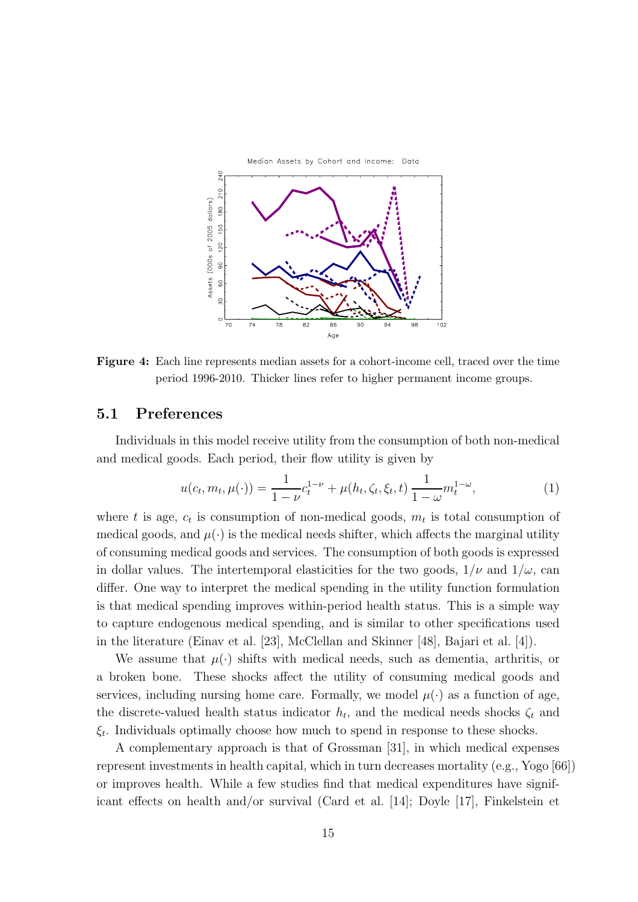

Figure 4: Each line represents median assets for a cohort-income cell, traced over the time period 1996-2010. Thicker lines refer to higher permanent income groups.

### 5.1 Preferences

Individuals in this model receive utility from the consumption of both non-medical and medical goods. Each period, their flow utility is given by

$$
u(c_t, m_t, \mu(\cdot)) = \frac{1}{1 - \nu} c_t^{1 - \nu} + \mu(h_t, \zeta_t, \xi_t, t) \frac{1}{1 - \omega} m_t^{1 - \omega},
$$
 (1)

where t is age,  $c_t$  is consumption of non-medical goods,  $m_t$  is total consumption of medical goods, and  $\mu(\cdot)$  is the medical needs shifter, which affects the marginal utility of consuming medical goods and services. The consumption of both goods is expressed in dollar values. The intertemporal elasticities for the two goods,  $1/\nu$  and  $1/\omega$ , can differ. One way to interpret the medical spending in the utility function formulation is that medical spending improves within-period health status. This is a simple way to capture endogenous medical spending, and is similar to other specifications used in the literature (Einav et al. [23], McClellan and Skinner [48], Bajari et al. [4]).

We assume that  $\mu(\cdot)$  shifts with medical needs, such as dementia, arthritis, or a broken bone. These shocks affect the utility of consuming medical goods and services, including nursing home care. Formally, we model  $\mu(\cdot)$  as a function of age, the discrete-valued health status indicator  $h_t$ , and the medical needs shocks  $\zeta_t$  and  $\xi_t$ . Individuals optimally choose how much to spend in response to these shocks.

A complementary approach is that of Grossman [31], in which medical expenses represent investments in health capital, which in turn decreases mortality (e.g., Yogo [66]) or improves health. While a few studies find that medical expenditures have significant effects on health and/or survival (Card et al. [14]; Doyle [17], Finkelstein et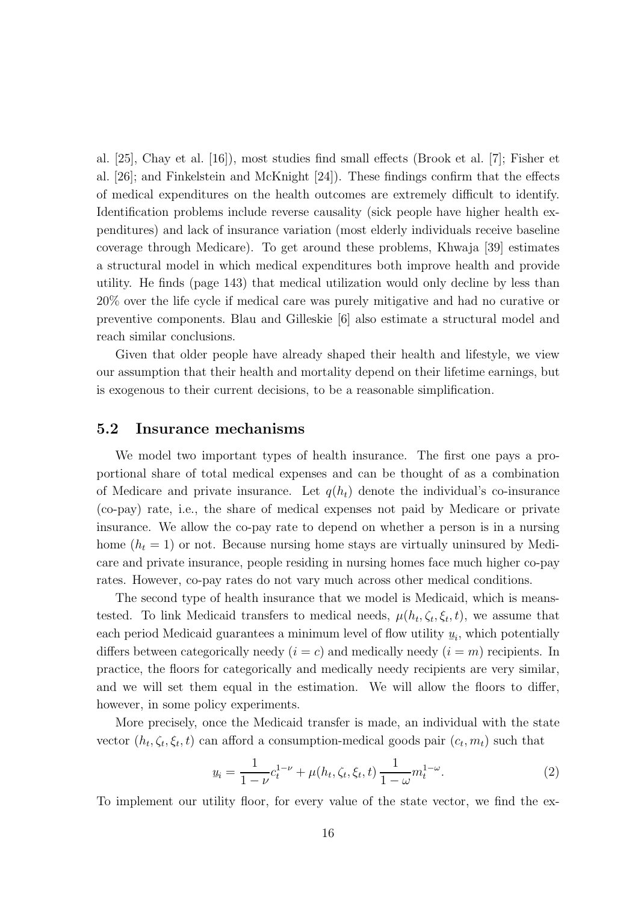al. [25], Chay et al. [16]), most studies find small effects (Brook et al. [7]; Fisher et al. [26]; and Finkelstein and McKnight [24]). These findings confirm that the effects of medical expenditures on the health outcomes are extremely difficult to identify. Identification problems include reverse causality (sick people have higher health expenditures) and lack of insurance variation (most elderly individuals receive baseline coverage through Medicare). To get around these problems, Khwaja [39] estimates a structural model in which medical expenditures both improve health and provide utility. He finds (page 143) that medical utilization would only decline by less than 20% over the life cycle if medical care was purely mitigative and had no curative or preventive components. Blau and Gilleskie [6] also estimate a structural model and reach similar conclusions.

Given that older people have already shaped their health and lifestyle, we view our assumption that their health and mortality depend on their lifetime earnings, but is exogenous to their current decisions, to be a reasonable simplification.

### 5.2 Insurance mechanisms

We model two important types of health insurance. The first one pays a proportional share of total medical expenses and can be thought of as a combination of Medicare and private insurance. Let  $q(h_t)$  denote the individual's co-insurance (co-pay) rate, i.e., the share of medical expenses not paid by Medicare or private insurance. We allow the co-pay rate to depend on whether a person is in a nursing home  $(h_t = 1)$  or not. Because nursing home stays are virtually uninsured by Medicare and private insurance, people residing in nursing homes face much higher co-pay rates. However, co-pay rates do not vary much across other medical conditions.

The second type of health insurance that we model is Medicaid, which is meanstested. To link Medicaid transfers to medical needs,  $\mu(h_t, \zeta_t, \xi_t, t)$ , we assume that each period Medicaid guarantees a minimum level of flow utility  $\underline{u}$  $\underline{u}_i$ , which potentially differs between categorically needy  $(i = c)$  and medically needy  $(i = m)$  recipients. In practice, the floors for categorically and medically needy recipients are very similar, and we will set them equal in the estimation. We will allow the floors to differ, however, in some policy experiments.

More precisely, once the Medicaid transfer is made, an individual with the state vector  $(h_t, \zeta_t, \xi_t, t)$  can afford a consumption-medical goods pair  $(c_t, m_t)$  such that

$$
\underline{u}_i = \frac{1}{1 - \nu} c_t^{1 - \nu} + \mu(h_t, \zeta_t, \xi_t, t) \frac{1}{1 - \omega} m_t^{1 - \omega}.
$$
\n(2)

To implement our utility floor, for every value of the state vector, we find the ex-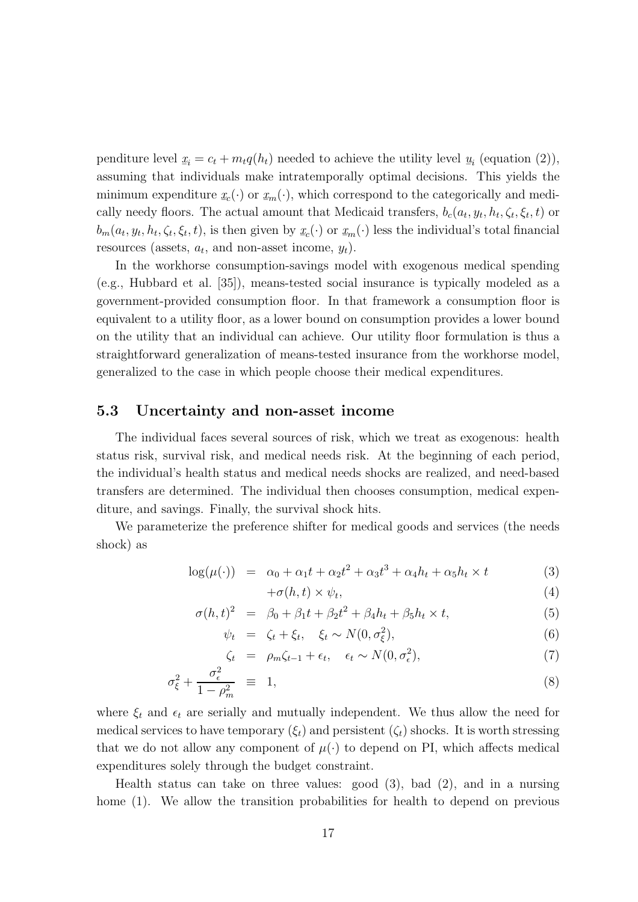penditure level  $\underline{x}$  $\underline{x}_i = c_t + m_t q(h_t)$  needed to achieve the utility level  $\underline{u}_i$  (equation (2)), assuming that individuals make intratemporally optimal decisions. This yields the minimum expenditure  $x_c(\cdot)$  or  $x_m(\cdot)$ , which correspond to the categorically and medically needy floors. The actual amount that Medicaid transfers,  $b_c(a_t, y_t, h_t, \zeta_t, \xi_t, t)$  or  $b_m(a_t, y_t, h_t, \zeta_t, \xi_t, t)$ , is then given by  $\underline{x}$  $\underline{x}_c(\cdot)$  or  $\underline{x}_m(\cdot)$  less the individual's total financial resources (assets,  $a_t$ , and non-asset income,  $y_t$ ).

In the workhorse consumption-savings model with exogenous medical spending (e.g., Hubbard et al. [35]), means-tested social insurance is typically modeled as a government-provided consumption floor. In that framework a consumption floor is equivalent to a utility floor, as a lower bound on consumption provides a lower bound on the utility that an individual can achieve. Our utility floor formulation is thus a straightforward generalization of means-tested insurance from the workhorse model, generalized to the case in which people choose their medical expenditures.

#### 5.3 Uncertainty and non-asset income

The individual faces several sources of risk, which we treat as exogenous: health status risk, survival risk, and medical needs risk. At the beginning of each period, the individual's health status and medical needs shocks are realized, and need-based transfers are determined. The individual then chooses consumption, medical expenditure, and savings. Finally, the survival shock hits.

We parameterize the preference shifter for medical goods and services (the needs shock) as

$$
\log(\mu(\cdot)) = \alpha_0 + \alpha_1 t + \alpha_2 t^2 + \alpha_3 t^3 + \alpha_4 h_t + \alpha_5 h_t \times t \tag{3}
$$

$$
+\sigma(h,t) \times \psi_t,\tag{4}
$$

$$
\sigma(h, t)^2 = \beta_0 + \beta_1 t + \beta_2 t^2 + \beta_4 h_t + \beta_5 h_t \times t,
$$
\n(5)

$$
\psi_t = \zeta_t + \xi_t, \quad \xi_t \sim N(0, \sigma_{\xi}^2), \tag{6}
$$

$$
\zeta_t = \rho_m \zeta_{t-1} + \epsilon_t, \quad \epsilon_t \sim N(0, \sigma_\epsilon^2), \tag{7}
$$

$$
\sigma_{\xi}^2 + \frac{\sigma_{\epsilon}^2}{1 - \rho_m^2} \equiv 1,\tag{8}
$$

where  $\xi_t$  and  $\epsilon_t$  are serially and mutually independent. We thus allow the need for medical services to have temporary  $(\xi_t)$  and persistent  $(\zeta_t)$  shocks. It is worth stressing that we do not allow any component of  $\mu(\cdot)$  to depend on PI, which affects medical expenditures solely through the budget constraint.

Health status can take on three values: good (3), bad (2), and in a nursing home (1). We allow the transition probabilities for health to depend on previous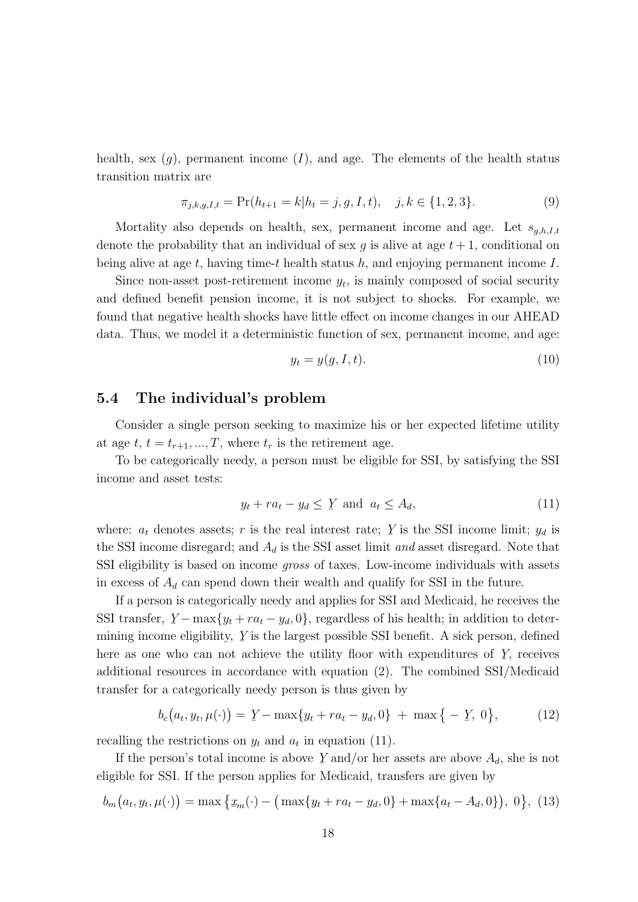health, sex  $(g)$ , permanent income  $(I)$ , and age. The elements of the health status transition matrix are

$$
\pi_{j,k,g,I,t} = \Pr(h_{t+1} = k | h_t = j, g, I, t), \quad j, k \in \{1, 2, 3\}.
$$
\n(9)

Mortality also depends on health, sex, permanent income and age. Let  $s_{g,h,I,t}$ denote the probability that an individual of sex q is alive at age  $t + 1$ , conditional on being alive at age  $t$ , having time-t health status  $h$ , and enjoying permanent income  $I$ .

Since non-asset post-retirement income  $y_t$ , is mainly composed of social security and defined benefit pension income, it is not subject to shocks. For example, we found that negative health shocks have little effect on income changes in our AHEAD data. Thus, we model it a deterministic function of sex, permanent income, and age:

$$
y_t = y(g, I, t). \tag{10}
$$

#### 5.4 The individual's problem

Consider a single person seeking to maximize his or her expected lifetime utility at age  $t, t = t_{r+1}, ..., T$ , where  $t_r$  is the retirement age.

To be categorically needy, a person must be eligible for SSI, by satisfying the SSI income and asset tests:

$$
y_t + ra_t - y_d \le Y \text{ and } a_t \le A_d,
$$
\n(11)

where:  $a_t$  denotes assets; r is the real interest rate; Y is the SSI income limit;  $y_d$  is the SSI income disregard; and  $A_d$  is the SSI asset limit and asset disregard. Note that SSI eligibility is based on income gross of taxes. Low-income individuals with assets in excess of  $A_d$  can spend down their wealth and qualify for SSI in the future.

If a person is categorically needy and applies for SSI and Medicaid, he receives the SSI transfer,  $Y - \max\{y_t + ra_t - y_d, 0\}$ , regardless of his health; in addition to deter-¯ mining income eligibility,  $Y$ ¯ is the largest possible SSI benefit. A sick person, defined here as one who can not achieve the utility floor with expenditures of  $Y$ , receives ¯ additional resources in accordance with equation (2). The combined SSI/Medicaid transfer for a categorically needy person is thus given by

$$
b_c(a_t, y_t, \mu(\cdot)) = Y - \max\{y_t + ra_t - y_d, 0\} + \max\{-Y, 0\},\tag{12}
$$

recalling the restrictions on  $y_t$  and  $a_t$  in equation (11).

If the person's total income is above  $Y$  and/or her assets are above  $A_d$ , she is not ¯ eligible for SSI. If the person applies for Medicaid, transfers are given by

$$
b_m(a_t, y_t, \mu(\cdot)) = \max\left\{x_m(\cdot) - (\max\{y_t + ra_t - y_d, 0\} + \max\{a_t - A_d, 0\}), 0\right\}, (13)
$$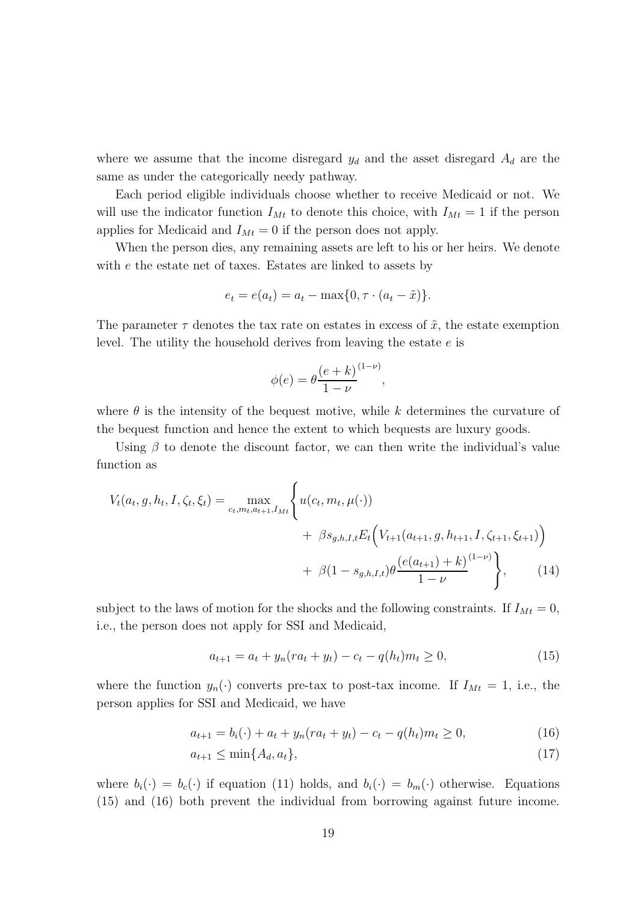where we assume that the income disregard  $y_d$  and the asset disregard  $A_d$  are the same as under the categorically needy pathway.

Each period eligible individuals choose whether to receive Medicaid or not. We will use the indicator function  $I_{Mt}$  to denote this choice, with  $I_{Mt} = 1$  if the person applies for Medicaid and  $I_{Mt} = 0$  if the person does not apply.

When the person dies, any remaining assets are left to his or her heirs. We denote with e the estate net of taxes. Estates are linked to assets by

$$
e_t = e(a_t) = a_t - \max\{0, \tau \cdot (a_t - \tilde{x})\}.
$$

The parameter  $\tau$  denotes the tax rate on estates in excess of  $\tilde{x}$ , the estate exemption level. The utility the household derives from leaving the estate e is

$$
\phi(e) = \theta \frac{\left(e+k\right)^{(1-\nu)}}{1-\nu},
$$

where  $\theta$  is the intensity of the bequest motive, while k determines the curvature of the bequest function and hence the extent to which bequests are luxury goods.

Using  $\beta$  to denote the discount factor, we can then write the individual's value function as

$$
V_t(a_t, g, h_t, I, \zeta_t, \xi_t) = \max_{c_t, m_t, a_{t+1}, I_{Mt}} \left\{ u(c_t, m_t, \mu(\cdot)) + \beta s_{g,h,I,t} E_t \left( V_{t+1}(a_{t+1}, g, h_{t+1}, I, \zeta_{t+1}, \xi_{t+1}) \right) + \beta (1 - s_{g,h,I,t}) \theta \frac{\left( e(a_{t+1}) + k \right)^{(1-\nu)}}{1-\nu} \right\}, \tag{14}
$$

subject to the laws of motion for the shocks and the following constraints. If  $I_{Mt} = 0$ , i.e., the person does not apply for SSI and Medicaid,

$$
a_{t+1} = a_t + y_n (ra_t + y_t) - c_t - q(h_t)m_t \ge 0,
$$
\n(15)

where the function  $y_n(\cdot)$  converts pre-tax to post-tax income. If  $I_{Mt} = 1$ , i.e., the person applies for SSI and Medicaid, we have

$$
a_{t+1} = b_i(\cdot) + a_t + y_n(r a_t + y_t) - c_t - q(h_t) m_t \ge 0,
$$
\n(16)

$$
a_{t+1} \le \min\{A_d, a_t\},\tag{17}
$$

where  $b_i(\cdot) = b_c(\cdot)$  if equation (11) holds, and  $b_i(\cdot) = b_m(\cdot)$  otherwise. Equations (15) and (16) both prevent the individual from borrowing against future income.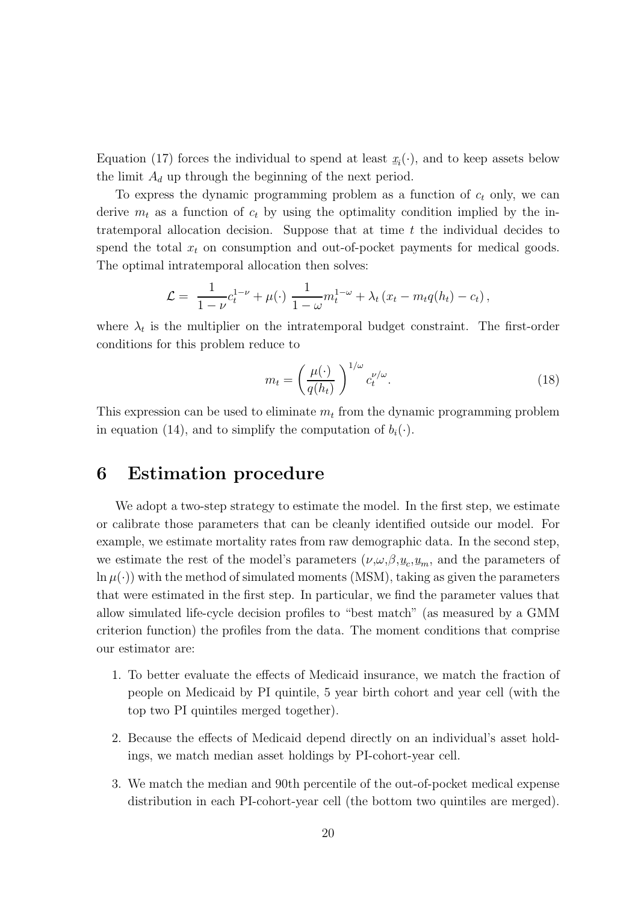Equation (17) forces the individual to spend at least  $\underline{x}$  $\underline{x}_i(\cdot)$ , and to keep assets below<br> $\cdot$ the limit  $A_d$  up through the beginning of the next period.

To express the dynamic programming problem as a function of  $c_t$  only, we can derive  $m_t$  as a function of  $c_t$  by using the optimality condition implied by the intratemporal allocation decision. Suppose that at time  $t$  the individual decides to spend the total  $x_t$  on consumption and out-of-pocket payments for medical goods. The optimal intratemporal allocation then solves:

$$
\mathcal{L} = \frac{1}{1-\nu}c_t^{1-\nu} + \mu(\cdot)\frac{1}{1-\omega}m_t^{1-\omega} + \lambda_t(x_t - m_t q(h_t) - c_t),
$$

where  $\lambda_t$  is the multiplier on the intratemporal budget constraint. The first-order conditions for this problem reduce to

$$
m_t = \left(\frac{\mu(\cdot)}{q(h_t)}\right)^{1/\omega} c_t^{\nu/\omega}.
$$
\n(18)

This expression can be used to eliminate  $m_t$  from the dynamic programming problem in equation (14), and to simplify the computation of  $b_i(\cdot)$ .

### 6 Estimation procedure

We adopt a two-step strategy to estimate the model. In the first step, we estimate or calibrate those parameters that can be cleanly identified outside our model. For example, we estimate mortality rates from raw demographic data. In the second step, we estimate the rest of the model's parameters  $(\nu, \omega, \beta, \underline{u}_c, \underline{u}_m)$ , and the parameters of  $\frac{\Delta}{a}$ ;  $\ln \mu(\cdot)$  with the method of simulated moments (MSM), taking as given the parameters that were estimated in the first step. In particular, we find the parameter values that allow simulated life-cycle decision profiles to "best match" (as measured by a GMM criterion function) the profiles from the data. The moment conditions that comprise our estimator are:

- 1. To better evaluate the effects of Medicaid insurance, we match the fraction of people on Medicaid by PI quintile, 5 year birth cohort and year cell (with the top two PI quintiles merged together).
- 2. Because the effects of Medicaid depend directly on an individual's asset holdings, we match median asset holdings by PI-cohort-year cell.
- 3. We match the median and 90th percentile of the out-of-pocket medical expense distribution in each PI-cohort-year cell (the bottom two quintiles are merged).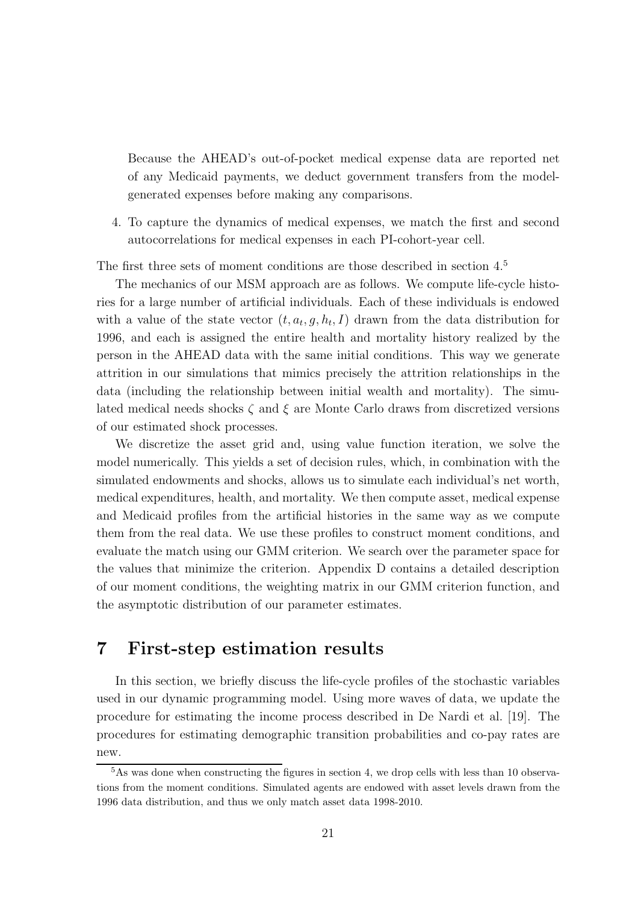Because the AHEAD's out-of-pocket medical expense data are reported net of any Medicaid payments, we deduct government transfers from the modelgenerated expenses before making any comparisons.

4. To capture the dynamics of medical expenses, we match the first and second autocorrelations for medical expenses in each PI-cohort-year cell.

The first three sets of moment conditions are those described in section 4.<sup>5</sup>

The mechanics of our MSM approach are as follows. We compute life-cycle histories for a large number of artificial individuals. Each of these individuals is endowed with a value of the state vector  $(t, a_t, g, h_t, I)$  drawn from the data distribution for 1996, and each is assigned the entire health and mortality history realized by the person in the AHEAD data with the same initial conditions. This way we generate attrition in our simulations that mimics precisely the attrition relationships in the data (including the relationship between initial wealth and mortality). The simulated medical needs shocks  $\zeta$  and  $\xi$  are Monte Carlo draws from discretized versions of our estimated shock processes.

We discretize the asset grid and, using value function iteration, we solve the model numerically. This yields a set of decision rules, which, in combination with the simulated endowments and shocks, allows us to simulate each individual's net worth, medical expenditures, health, and mortality. We then compute asset, medical expense and Medicaid profiles from the artificial histories in the same way as we compute them from the real data. We use these profiles to construct moment conditions, and evaluate the match using our GMM criterion. We search over the parameter space for the values that minimize the criterion. Appendix D contains a detailed description of our moment conditions, the weighting matrix in our GMM criterion function, and the asymptotic distribution of our parameter estimates.

### 7 First-step estimation results

In this section, we briefly discuss the life-cycle profiles of the stochastic variables used in our dynamic programming model. Using more waves of data, we update the procedure for estimating the income process described in De Nardi et al. [19]. The procedures for estimating demographic transition probabilities and co-pay rates are new.

<sup>&</sup>lt;sup>5</sup>As was done when constructing the figures in section 4, we drop cells with less than 10 observations from the moment conditions. Simulated agents are endowed with asset levels drawn from the 1996 data distribution, and thus we only match asset data 1998-2010.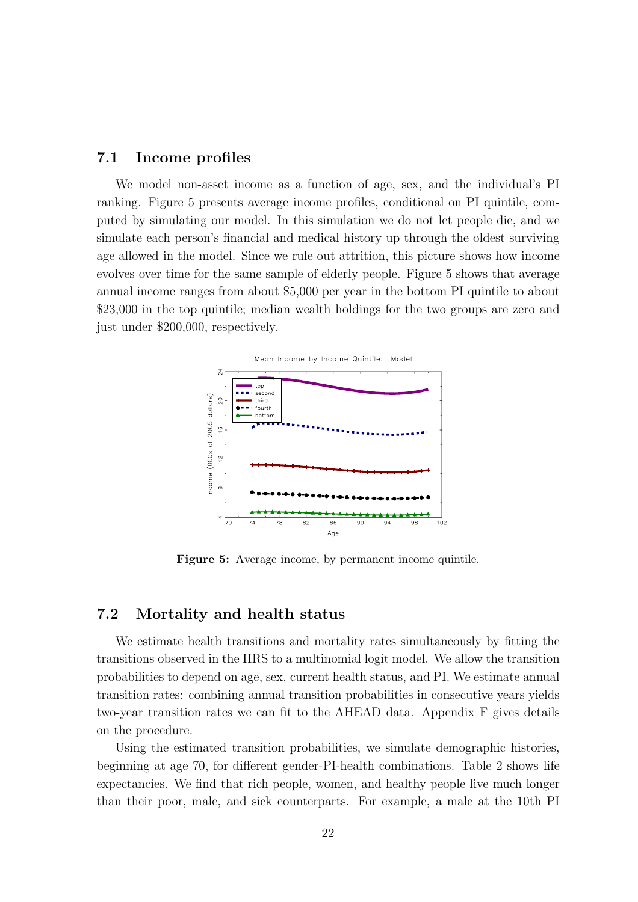### 7.1 Income profiles

We model non-asset income as a function of age, sex, and the individual's PI ranking. Figure 5 presents average income profiles, conditional on PI quintile, computed by simulating our model. In this simulation we do not let people die, and we simulate each person's financial and medical history up through the oldest surviving age allowed in the model. Since we rule out attrition, this picture shows how income evolves over time for the same sample of elderly people. Figure 5 shows that average annual income ranges from about \$5,000 per year in the bottom PI quintile to about \$23,000 in the top quintile; median wealth holdings for the two groups are zero and just under \$200,000, respectively.



Figure 5: Average income, by permanent income quintile.

#### 7.2 Mortality and health status

We estimate health transitions and mortality rates simultaneously by fitting the transitions observed in the HRS to a multinomial logit model. We allow the transition probabilities to depend on age, sex, current health status, and PI. We estimate annual transition rates: combining annual transition probabilities in consecutive years yields two-year transition rates we can fit to the AHEAD data. Appendix F gives details on the procedure.

Using the estimated transition probabilities, we simulate demographic histories, beginning at age 70, for different gender-PI-health combinations. Table 2 shows life expectancies. We find that rich people, women, and healthy people live much longer than their poor, male, and sick counterparts. For example, a male at the 10th PI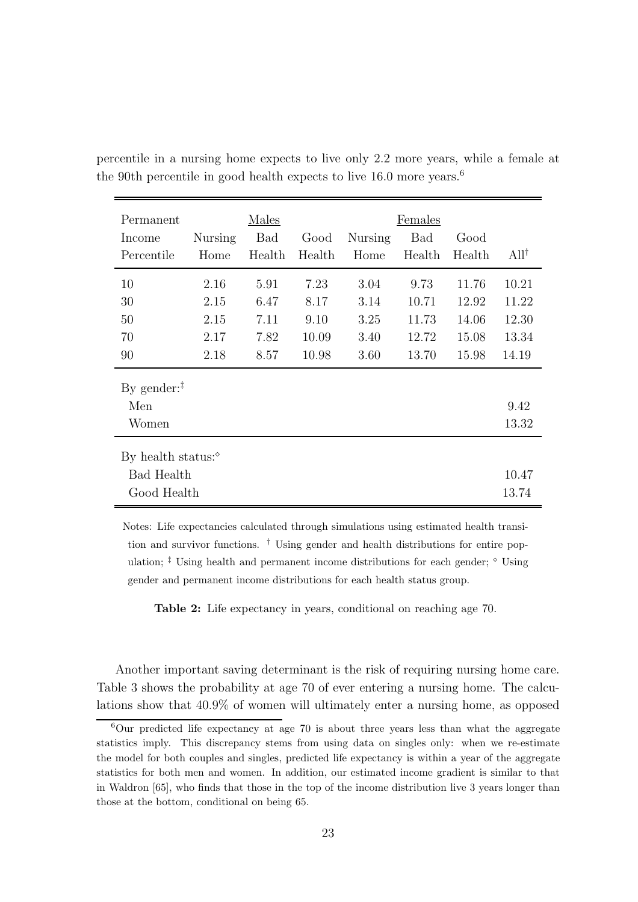| Permanent                  |         | Males      |        |         | Females    |        |                  |
|----------------------------|---------|------------|--------|---------|------------|--------|------------------|
| Income                     | Nursing | <b>Bad</b> | Good   | Nursing | <b>Bad</b> | Good   |                  |
| Percentile                 | Home    | Health     | Health | Home    | Health     | Health | All <sup>†</sup> |
| 10                         | 2.16    | 5.91       | 7.23   | 3.04    | 9.73       | 11.76  | 10.21            |
| 30                         | 2.15    | 6.47       | 8.17   | 3.14    | 10.71      | 12.92  | 11.22            |
| 50                         | 2.15    | 7.11       | 9.10   | 3.25    | 11.73      | 14.06  | 12.30            |
| 70                         | 2.17    | 7.82       | 10.09  | 3.40    | 12.72      | 15.08  | 13.34            |
| 90                         | 2.18    | 8.57       | 10.98  | 3.60    | 13.70      | 15.98  | 14.19            |
| By gender: $†$             |         |            |        |         |            |        |                  |
| Men                        |         |            |        |         |            |        | 9.42             |
| Women                      |         |            |        |         |            |        | 13.32            |
| By health status: $\delta$ |         |            |        |         |            |        |                  |
| Bad Health                 |         |            |        |         |            |        | 10.47            |
| Good Health                |         |            |        |         |            |        | 13.74            |

percentile in a nursing home expects to live only 2.2 more years, while a female at the 90th percentile in good health expects to live 16.0 more years.<sup>6</sup>

Notes: Life expectancies calculated through simulations using estimated health transition and survivor functions. † Using gender and health distributions for entire population;  $\frac{1}{k}$  Using health and permanent income distributions for each gender;  $\frac{1}{k}$  Using gender and permanent income distributions for each health status group.

Table 2: Life expectancy in years, conditional on reaching age 70.

Another important saving determinant is the risk of requiring nursing home care. Table 3 shows the probability at age 70 of ever entering a nursing home. The calculations show that 40.9% of women will ultimately enter a nursing home, as opposed

 $6$ Our predicted life expectancy at age 70 is about three years less than what the aggregate statistics imply. This discrepancy stems from using data on singles only: when we re-estimate the model for both couples and singles, predicted life expectancy is within a year of the aggregate statistics for both men and women. In addition, our estimated income gradient is similar to that in Waldron [65], who finds that those in the top of the income distribution live 3 years longer than those at the bottom, conditional on being 65.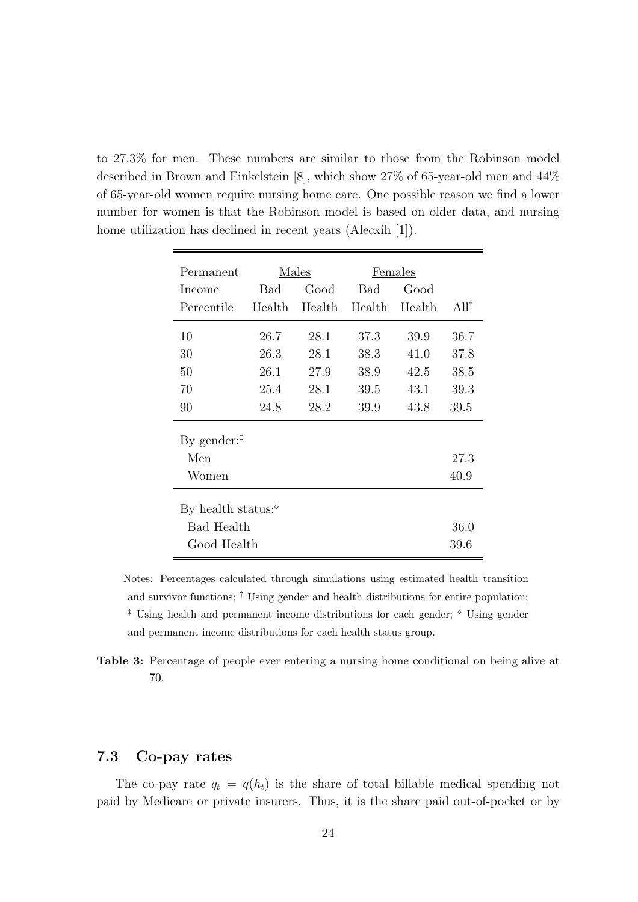to 27.3% for men. These numbers are similar to those from the Robinson model described in Brown and Finkelstein [8], which show 27% of 65-year-old men and 44% of 65-year-old women require nursing home care. One possible reason we find a lower number for women is that the Robinson model is based on older data, and nursing home utilization has declined in recent years (Alecxih [1]).

| Permanent                  | Males  |        | Females |        |                     |  |
|----------------------------|--------|--------|---------|--------|---------------------|--|
| Income                     | Bad    | Good   | Bad     | Good   |                     |  |
| Percentile                 | Health | Health | Health  | Health | $A$ ll <sup>†</sup> |  |
| 10                         | 26.7   | 28.1   | 37.3    | 39.9   | 36.7                |  |
| 30                         | 26.3   | 28.1   | 38.3    | 41.0   | 37.8                |  |
| 50                         | 26.1   | 27.9   | 38.9    | 42.5   | 38.5                |  |
| 70                         | 25.4   | 28.1   | 39.5    | 43.1   | 39.3                |  |
| 90                         | 24.8   | 28.2   | 39.9    | 43.8   | 39.5                |  |
| By gender: $‡$             |        |        |         |        |                     |  |
| Men                        |        |        |         |        | 27.3                |  |
| Women                      |        |        |         |        | 40.9                |  |
| By health status: $\delta$ |        |        |         |        |                     |  |
| <b>Bad Health</b><br>36.0  |        |        |         |        |                     |  |
| Good Health                |        |        |         |        | 39.6                |  |

Notes: Percentages calculated through simulations using estimated health transition and survivor functions; † Using gender and health distributions for entire population;  $\ddagger$  Using health and permanent income distributions for each gender;  $\degree$  Using gender and permanent income distributions for each health status group.

Table 3: Percentage of people ever entering a nursing home conditional on being alive at 70.

### 7.3 Co-pay rates

The co-pay rate  $q_t = q(h_t)$  is the share of total billable medical spending not paid by Medicare or private insurers. Thus, it is the share paid out-of-pocket or by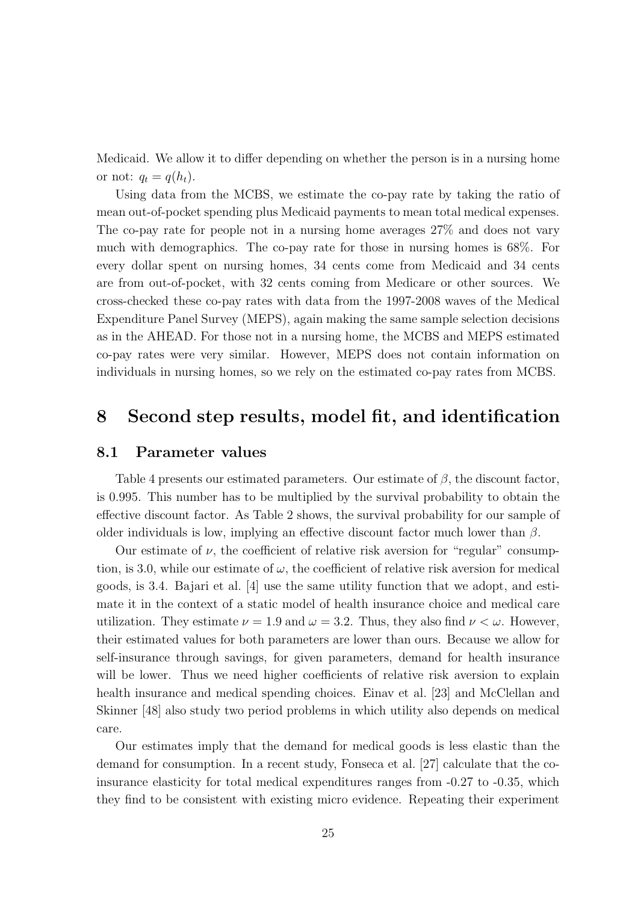Medicaid. We allow it to differ depending on whether the person is in a nursing home or not:  $q_t = q(h_t)$ .

Using data from the MCBS, we estimate the co-pay rate by taking the ratio of mean out-of-pocket spending plus Medicaid payments to mean total medical expenses. The co-pay rate for people not in a nursing home averages 27% and does not vary much with demographics. The co-pay rate for those in nursing homes is 68%. For every dollar spent on nursing homes, 34 cents come from Medicaid and 34 cents are from out-of-pocket, with 32 cents coming from Medicare or other sources. We cross-checked these co-pay rates with data from the 1997-2008 waves of the Medical Expenditure Panel Survey (MEPS), again making the same sample selection decisions as in the AHEAD. For those not in a nursing home, the MCBS and MEPS estimated co-pay rates were very similar. However, MEPS does not contain information on individuals in nursing homes, so we rely on the estimated co-pay rates from MCBS.

### 8 Second step results, model fit, and identification

#### 8.1 Parameter values

Table 4 presents our estimated parameters. Our estimate of  $\beta$ , the discount factor, is 0.995. This number has to be multiplied by the survival probability to obtain the effective discount factor. As Table 2 shows, the survival probability for our sample of older individuals is low, implying an effective discount factor much lower than  $\beta$ .

Our estimate of  $\nu$ , the coefficient of relative risk aversion for "regular" consumption, is 3.0, while our estimate of  $\omega$ , the coefficient of relative risk aversion for medical goods, is 3.4. Bajari et al. [4] use the same utility function that we adopt, and estimate it in the context of a static model of health insurance choice and medical care utilization. They estimate  $\nu = 1.9$  and  $\omega = 3.2$ . Thus, they also find  $\nu < \omega$ . However, their estimated values for both parameters are lower than ours. Because we allow for self-insurance through savings, for given parameters, demand for health insurance will be lower. Thus we need higher coefficients of relative risk aversion to explain health insurance and medical spending choices. Einav et al. [23] and McClellan and Skinner [48] also study two period problems in which utility also depends on medical care.

Our estimates imply that the demand for medical goods is less elastic than the demand for consumption. In a recent study, Fonseca et al. [27] calculate that the coinsurance elasticity for total medical expenditures ranges from -0.27 to -0.35, which they find to be consistent with existing micro evidence. Repeating their experiment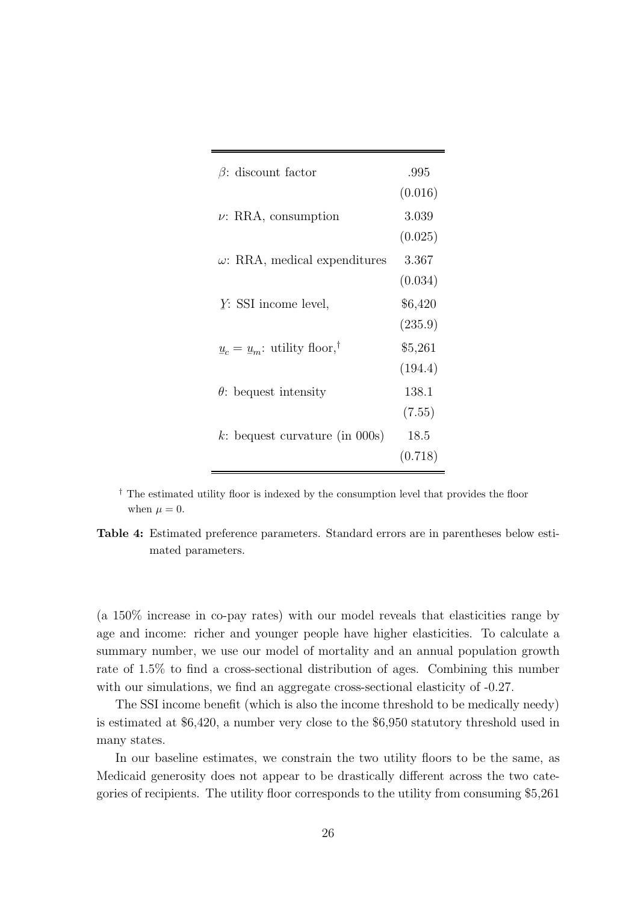| $\beta$ : discount factor                 | .995    |
|-------------------------------------------|---------|
|                                           | (0.016) |
| $\nu$ : RRA, consumption                  | 3.039   |
|                                           | (0.025) |
| $\omega$ : RRA, medical expenditures      | 3.367   |
|                                           | (0.034) |
| $Y: SSI$ income level,                    | \$6,420 |
|                                           | (235.9) |
| $u_c = u_m$ : utility floor, <sup>†</sup> | \$5,261 |
|                                           | (194.4) |
| $\theta$ : bequest intensity              | 138.1   |
|                                           | (7.55)  |
| k: bequest curvature (in $000s$ )         | 18.5    |
|                                           | (0.718) |

† The estimated utility floor is indexed by the consumption level that provides the floor when  $\mu = 0$ .

Table 4: Estimated preference parameters. Standard errors are in parentheses below estimated parameters.

(a 150% increase in co-pay rates) with our model reveals that elasticities range by age and income: richer and younger people have higher elasticities. To calculate a summary number, we use our model of mortality and an annual population growth rate of 1.5% to find a cross-sectional distribution of ages. Combining this number with our simulations, we find an aggregate cross-sectional elasticity of  $-0.27$ .

The SSI income benefit (which is also the income threshold to be medically needy) is estimated at \$6,420, a number very close to the \$6,950 statutory threshold used in many states.

In our baseline estimates, we constrain the two utility floors to be the same, as Medicaid generosity does not appear to be drastically different across the two categories of recipients. The utility floor corresponds to the utility from consuming \$5,261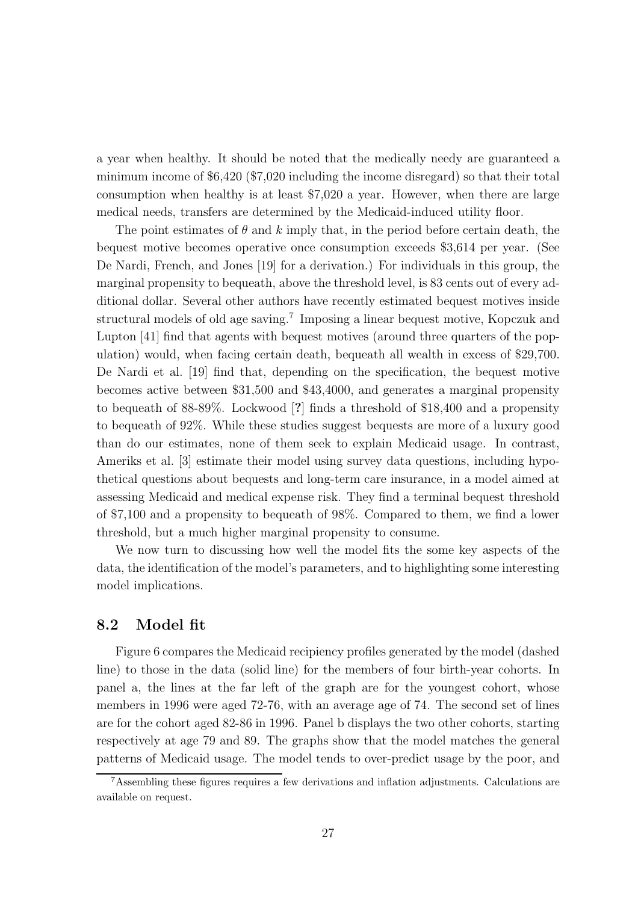a year when healthy. It should be noted that the medically needy are guaranteed a minimum income of \$6,420 (\$7,020 including the income disregard) so that their total consumption when healthy is at least \$7,020 a year. However, when there are large medical needs, transfers are determined by the Medicaid-induced utility floor.

The point estimates of  $\theta$  and k imply that, in the period before certain death, the bequest motive becomes operative once consumption exceeds \$3,614 per year. (See De Nardi, French, and Jones [19] for a derivation.) For individuals in this group, the marginal propensity to bequeath, above the threshold level, is 83 cents out of every additional dollar. Several other authors have recently estimated bequest motives inside structural models of old age saving.<sup>7</sup> Imposing a linear bequest motive, Kopczuk and Lupton [41] find that agents with bequest motives (around three quarters of the population) would, when facing certain death, bequeath all wealth in excess of \$29,700. De Nardi et al. [19] find that, depending on the specification, the bequest motive becomes active between \$31,500 and \$43,4000, and generates a marginal propensity to bequeath of 88-89%. Lockwood [?] finds a threshold of \$18,400 and a propensity to bequeath of 92%. While these studies suggest bequests are more of a luxury good than do our estimates, none of them seek to explain Medicaid usage. In contrast, Ameriks et al. [3] estimate their model using survey data questions, including hypothetical questions about bequests and long-term care insurance, in a model aimed at assessing Medicaid and medical expense risk. They find a terminal bequest threshold of \$7,100 and a propensity to bequeath of 98%. Compared to them, we find a lower threshold, but a much higher marginal propensity to consume.

We now turn to discussing how well the model fits the some key aspects of the data, the identification of the model's parameters, and to highlighting some interesting model implications.

### 8.2 Model fit

Figure 6 compares the Medicaid recipiency profiles generated by the model (dashed line) to those in the data (solid line) for the members of four birth-year cohorts. In panel a, the lines at the far left of the graph are for the youngest cohort, whose members in 1996 were aged 72-76, with an average age of 74. The second set of lines are for the cohort aged 82-86 in 1996. Panel b displays the two other cohorts, starting respectively at age 79 and 89. The graphs show that the model matches the general patterns of Medicaid usage. The model tends to over-predict usage by the poor, and

 $7$ Assembling these figures requires a few derivations and inflation adjustments. Calculations are available on request.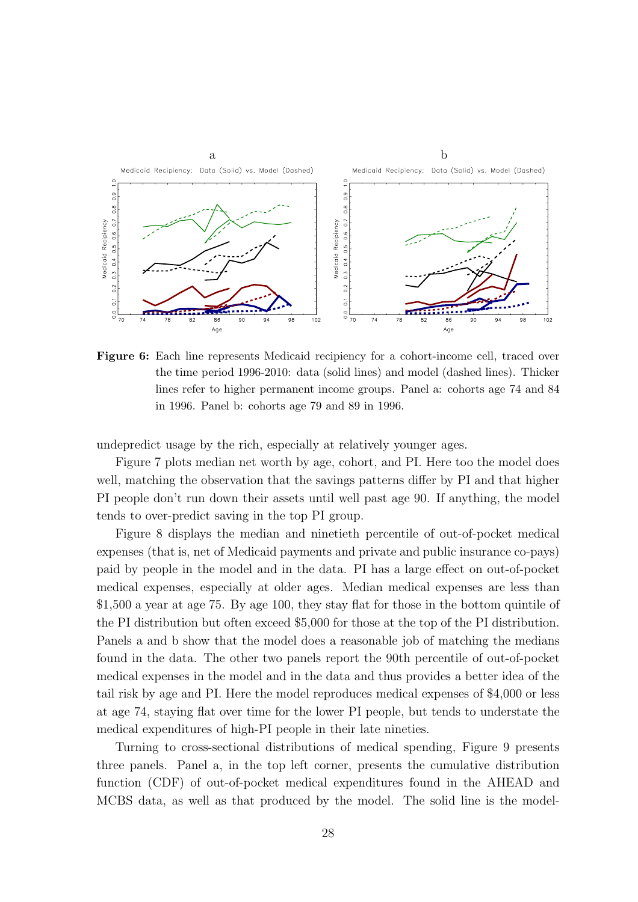

Figure 6: Each line represents Medicaid recipiency for a cohort-income cell, traced over the time period 1996-2010: data (solid lines) and model (dashed lines). Thicker lines refer to higher permanent income groups. Panel a: cohorts age 74 and 84 in 1996. Panel b: cohorts age 79 and 89 in 1996.

undepredict usage by the rich, especially at relatively younger ages.

Figure 7 plots median net worth by age, cohort, and PI. Here too the model does well, matching the observation that the savings patterns differ by PI and that higher PI people don't run down their assets until well past age 90. If anything, the model tends to over-predict saving in the top PI group.

Figure 8 displays the median and ninetieth percentile of out-of-pocket medical expenses (that is, net of Medicaid payments and private and public insurance co-pays) paid by people in the model and in the data. PI has a large effect on out-of-pocket medical expenses, especially at older ages. Median medical expenses are less than \$1,500 a year at age 75. By age 100, they stay flat for those in the bottom quintile of the PI distribution but often exceed \$5,000 for those at the top of the PI distribution. Panels a and b show that the model does a reasonable job of matching the medians found in the data. The other two panels report the 90th percentile of out-of-pocket medical expenses in the model and in the data and thus provides a better idea of the tail risk by age and PI. Here the model reproduces medical expenses of \$4,000 or less at age 74, staying flat over time for the lower PI people, but tends to understate the medical expenditures of high-PI people in their late nineties.

Turning to cross-sectional distributions of medical spending, Figure 9 presents three panels. Panel a, in the top left corner, presents the cumulative distribution function (CDF) of out-of-pocket medical expenditures found in the AHEAD and MCBS data, as well as that produced by the model. The solid line is the model-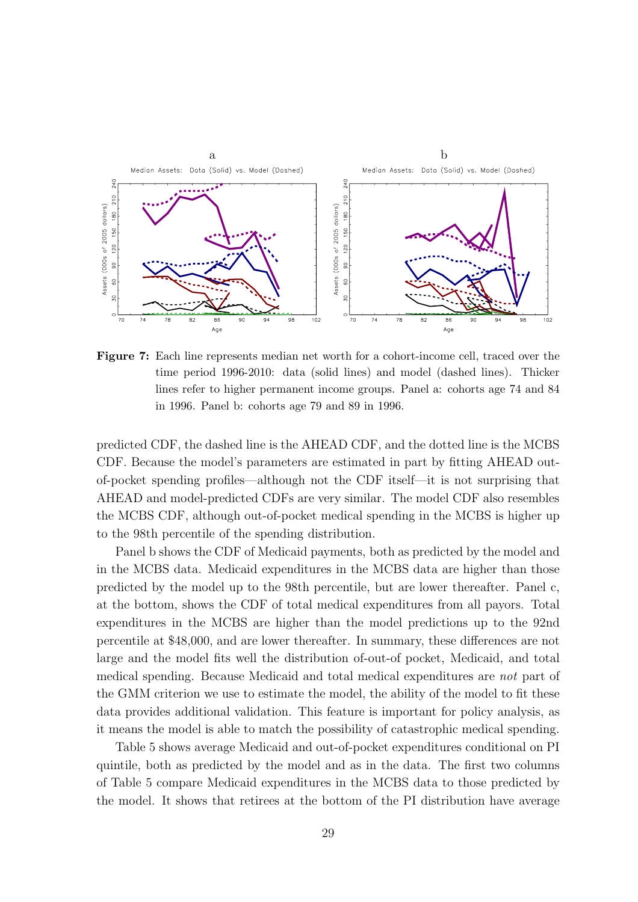

Figure 7: Each line represents median net worth for a cohort-income cell, traced over the time period 1996-2010: data (solid lines) and model (dashed lines). Thicker lines refer to higher permanent income groups. Panel a: cohorts age 74 and 84 in 1996. Panel b: cohorts age 79 and 89 in 1996.

predicted CDF, the dashed line is the AHEAD CDF, and the dotted line is the MCBS CDF. Because the model's parameters are estimated in part by fitting AHEAD outof-pocket spending profiles—although not the CDF itself—it is not surprising that AHEAD and model-predicted CDFs are very similar. The model CDF also resembles the MCBS CDF, although out-of-pocket medical spending in the MCBS is higher up to the 98th percentile of the spending distribution.

Panel b shows the CDF of Medicaid payments, both as predicted by the model and in the MCBS data. Medicaid expenditures in the MCBS data are higher than those predicted by the model up to the 98th percentile, but are lower thereafter. Panel c, at the bottom, shows the CDF of total medical expenditures from all payors. Total expenditures in the MCBS are higher than the model predictions up to the 92nd percentile at \$48,000, and are lower thereafter. In summary, these differences are not large and the model fits well the distribution of-out-of pocket, Medicaid, and total medical spending. Because Medicaid and total medical expenditures are not part of the GMM criterion we use to estimate the model, the ability of the model to fit these data provides additional validation. This feature is important for policy analysis, as it means the model is able to match the possibility of catastrophic medical spending.

Table 5 shows average Medicaid and out-of-pocket expenditures conditional on PI quintile, both as predicted by the model and as in the data. The first two columns of Table 5 compare Medicaid expenditures in the MCBS data to those predicted by the model. It shows that retirees at the bottom of the PI distribution have average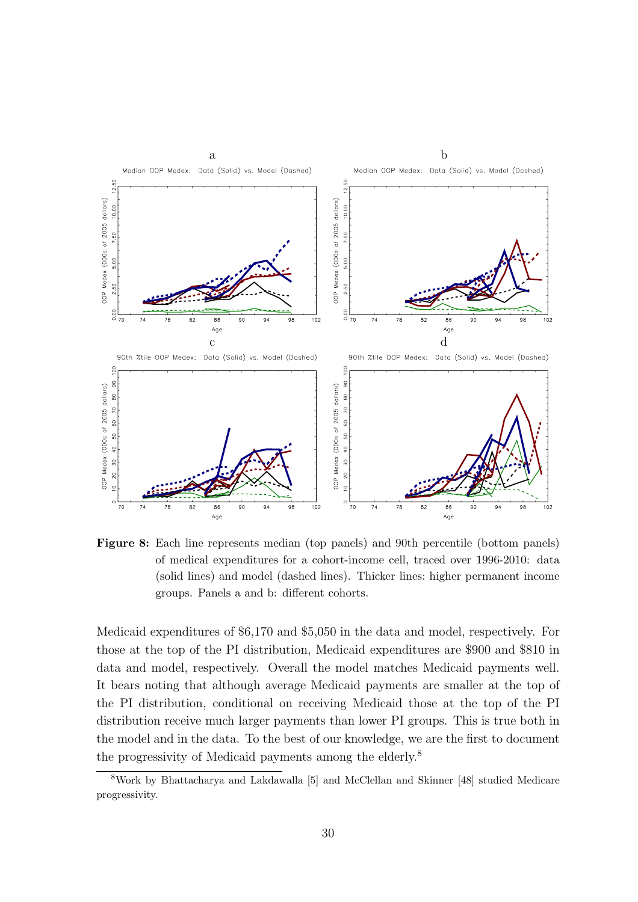

Figure 8: Each line represents median (top panels) and 90th percentile (bottom panels) of medical expenditures for a cohort-income cell, traced over 1996-2010: data (solid lines) and model (dashed lines). Thicker lines: higher permanent income groups. Panels a and b: different cohorts.

Medicaid expenditures of \$6,170 and \$5,050 in the data and model, respectively. For those at the top of the PI distribution, Medicaid expenditures are \$900 and \$810 in data and model, respectively. Overall the model matches Medicaid payments well. It bears noting that although average Medicaid payments are smaller at the top of the PI distribution, conditional on receiving Medicaid those at the top of the PI distribution receive much larger payments than lower PI groups. This is true both in the model and in the data. To the best of our knowledge, we are the first to document the progressivity of Medicaid payments among the elderly.<sup>8</sup>

<sup>8</sup>Work by Bhattacharya and Lakdawalla [5] and McClellan and Skinner [48] studied Medicare progressivity.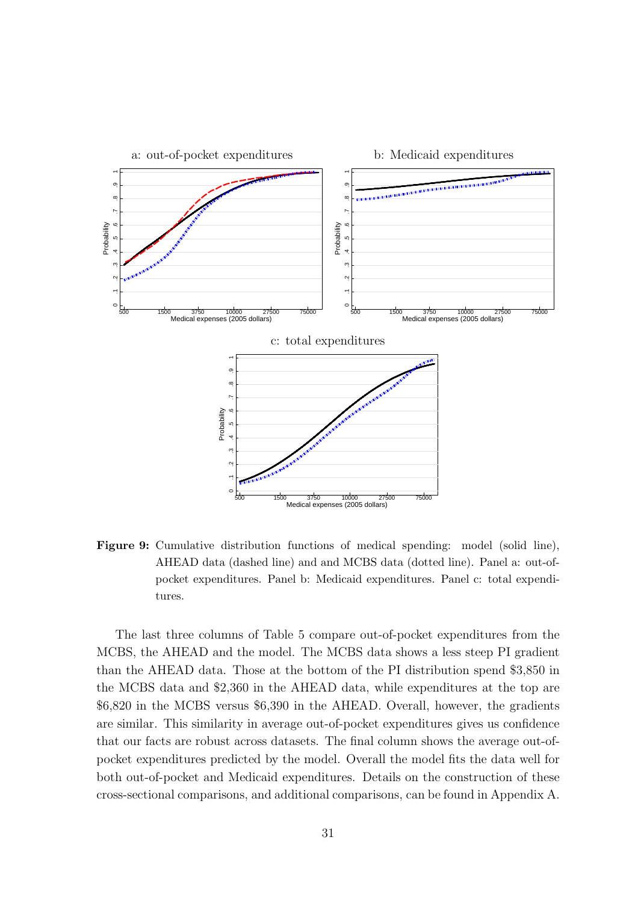

Figure 9: Cumulative distribution functions of medical spending: model (solid line), AHEAD data (dashed line) and and MCBS data (dotted line). Panel a: out-ofpocket expenditures. Panel b: Medicaid expenditures. Panel c: total expenditures.

The last three columns of Table 5 compare out-of-pocket expenditures from the MCBS, the AHEAD and the model. The MCBS data shows a less steep PI gradient than the AHEAD data. Those at the bottom of the PI distribution spend \$3,850 in the MCBS data and \$2,360 in the AHEAD data, while expenditures at the top are \$6,820 in the MCBS versus \$6,390 in the AHEAD. Overall, however, the gradients are similar. This similarity in average out-of-pocket expenditures gives us confidence that our facts are robust across datasets. The final column shows the average out-ofpocket expenditures predicted by the model. Overall the model fits the data well for both out-of-pocket and Medicaid expenditures. Details on the construction of these cross-sectional comparisons, and additional comparisons, can be found in Appendix A.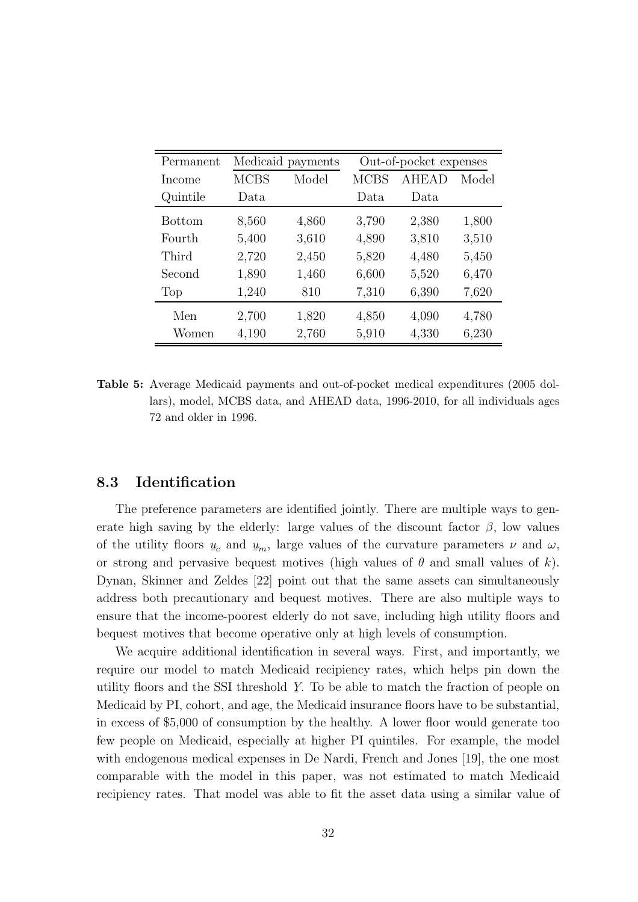| Permanent |             | Medicaid payments |             | Out-of-pocket expenses |       |  |
|-----------|-------------|-------------------|-------------|------------------------|-------|--|
| Income    | <b>MCBS</b> | Model             | <b>MCBS</b> | <b>AHEAD</b>           | Model |  |
| Quintile  | Data        |                   | Data        | Data.                  |       |  |
| Bottom    | 8,560       | 4,860             | 3,790       | 2,380                  | 1,800 |  |
| Fourth    | 5,400       | 3,610             | 4,890       | 3,810                  | 3,510 |  |
| Third     | 2,720       | 2,450             | 5,820       | 4,480                  | 5,450 |  |
| Second    | 1,890       | 1,460             | 6,600       | 5,520                  | 6,470 |  |
| Top       | 1,240       | 810               | 7,310       | 6,390                  | 7,620 |  |
| Men       | 2,700       | 1,820             | 4,850       | 4,090                  | 4,780 |  |
| Women     | 4,190       | 2,760             | 5,910       | 4,330                  | 6,230 |  |

Table 5: Average Medicaid payments and out-of-pocket medical expenditures (2005 dollars), model, MCBS data, and AHEAD data, 1996-2010, for all individuals ages 72 and older in 1996.

### 8.3 Identification

The preference parameters are identified jointly. There are multiple ways to generate high saving by the elderly: large values of the discount factor  $\beta$ , low values of the utility floors  $u$ </u>  $u_c$  and  $u_m$ , large values of the curvature parameters  $\nu$  and  $\omega$ , or strong and pervasive bequest motives (high values of  $\theta$  and small values of k). Dynan, Skinner and Zeldes [22] point out that the same assets can simultaneously address both precautionary and bequest motives. There are also multiple ways to ensure that the income-poorest elderly do not save, including high utility floors and bequest motives that become operative only at high levels of consumption.

We acquire additional identification in several ways. First, and importantly, we require our model to match Medicaid recipiency rates, which helps pin down the utility floors and the SSI threshold  $Y$ ¯ . To be able to match the fraction of people on Medicaid by PI, cohort, and age, the Medicaid insurance floors have to be substantial, in excess of \$5,000 of consumption by the healthy. A lower floor would generate too few people on Medicaid, especially at higher PI quintiles. For example, the model with endogenous medical expenses in De Nardi, French and Jones [19], the one most comparable with the model in this paper, was not estimated to match Medicaid recipiency rates. That model was able to fit the asset data using a similar value of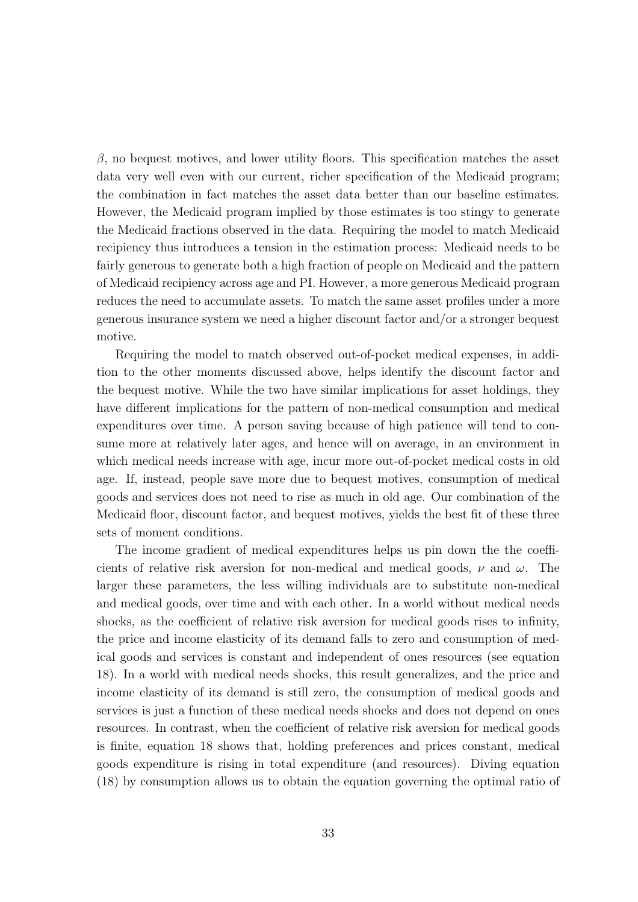$\beta$ , no bequest motives, and lower utility floors. This specification matches the asset data very well even with our current, richer specification of the Medicaid program; the combination in fact matches the asset data better than our baseline estimates. However, the Medicaid program implied by those estimates is too stingy to generate the Medicaid fractions observed in the data. Requiring the model to match Medicaid recipiency thus introduces a tension in the estimation process: Medicaid needs to be fairly generous to generate both a high fraction of people on Medicaid and the pattern of Medicaid recipiency across age and PI. However, a more generous Medicaid program reduces the need to accumulate assets. To match the same asset profiles under a more generous insurance system we need a higher discount factor and/or a stronger bequest motive.

Requiring the model to match observed out-of-pocket medical expenses, in addition to the other moments discussed above, helps identify the discount factor and the bequest motive. While the two have similar implications for asset holdings, they have different implications for the pattern of non-medical consumption and medical expenditures over time. A person saving because of high patience will tend to consume more at relatively later ages, and hence will on average, in an environment in which medical needs increase with age, incur more out-of-pocket medical costs in old age. If, instead, people save more due to bequest motives, consumption of medical goods and services does not need to rise as much in old age. Our combination of the Medicaid floor, discount factor, and bequest motives, yields the best fit of these three sets of moment conditions.

The income gradient of medical expenditures helps us pin down the the coefficients of relative risk aversion for non-medical and medical goods,  $\nu$  and  $\omega$ . The larger these parameters, the less willing individuals are to substitute non-medical and medical goods, over time and with each other. In a world without medical needs shocks, as the coefficient of relative risk aversion for medical goods rises to infinity, the price and income elasticity of its demand falls to zero and consumption of medical goods and services is constant and independent of ones resources (see equation 18). In a world with medical needs shocks, this result generalizes, and the price and income elasticity of its demand is still zero, the consumption of medical goods and services is just a function of these medical needs shocks and does not depend on ones resources. In contrast, when the coefficient of relative risk aversion for medical goods is finite, equation 18 shows that, holding preferences and prices constant, medical goods expenditure is rising in total expenditure (and resources). Diving equation (18) by consumption allows us to obtain the equation governing the optimal ratio of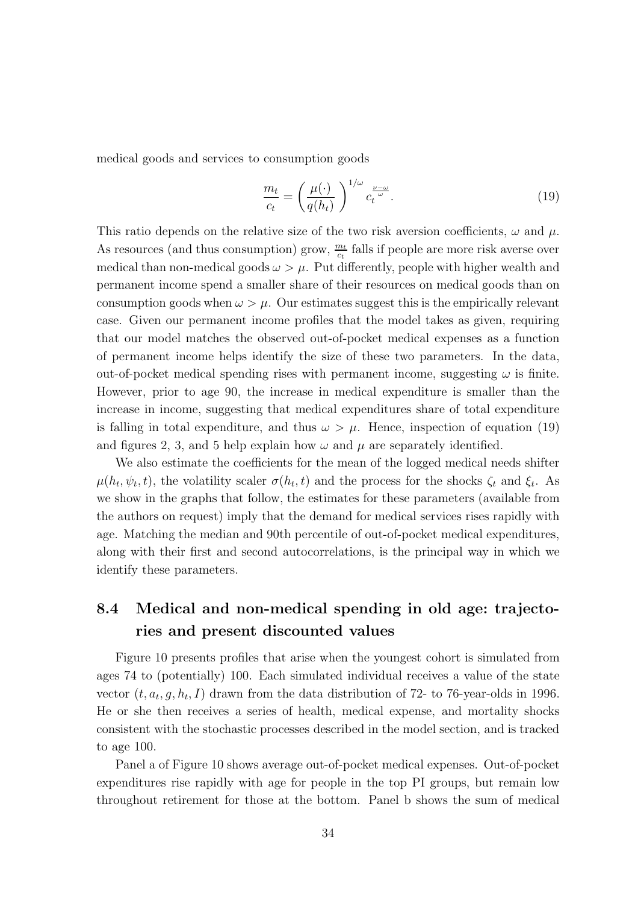medical goods and services to consumption goods

$$
\frac{m_t}{c_t} = \left(\frac{\mu(\cdot)}{q(h_t)}\right)^{1/\omega} c_t^{\frac{\nu-\omega}{\omega}}.
$$
\n(19)

This ratio depends on the relative size of the two risk aversion coefficients,  $\omega$  and  $\mu$ . As resources (and thus consumption) grow,  $\frac{m_t}{c_t}$  falls if people are more risk averse over medical than non-medical goods  $\omega > \mu$ . Put differently, people with higher wealth and permanent income spend a smaller share of their resources on medical goods than on consumption goods when  $\omega > \mu$ . Our estimates suggest this is the empirically relevant case. Given our permanent income profiles that the model takes as given, requiring that our model matches the observed out-of-pocket medical expenses as a function of permanent income helps identify the size of these two parameters. In the data, out-of-pocket medical spending rises with permanent income, suggesting  $\omega$  is finite. However, prior to age 90, the increase in medical expenditure is smaller than the increase in income, suggesting that medical expenditures share of total expenditure is falling in total expenditure, and thus  $\omega > \mu$ . Hence, inspection of equation (19) and figures 2, 3, and 5 help explain how  $\omega$  and  $\mu$  are separately identified.

We also estimate the coefficients for the mean of the logged medical needs shifter  $\mu(h_t, \psi_t, t)$ , the volatility scaler  $\sigma(h_t, t)$  and the process for the shocks  $\zeta_t$  and  $\xi_t$ . As we show in the graphs that follow, the estimates for these parameters (available from the authors on request) imply that the demand for medical services rises rapidly with age. Matching the median and 90th percentile of out-of-pocket medical expenditures, along with their first and second autocorrelations, is the principal way in which we identify these parameters.

# 8.4 Medical and non-medical spending in old age: trajectories and present discounted values

Figure 10 presents profiles that arise when the youngest cohort is simulated from ages 74 to (potentially) 100. Each simulated individual receives a value of the state vector  $(t, a_t, g, h_t, I)$  drawn from the data distribution of 72- to 76-year-olds in 1996. He or she then receives a series of health, medical expense, and mortality shocks consistent with the stochastic processes described in the model section, and is tracked to age 100.

Panel a of Figure 10 shows average out-of-pocket medical expenses. Out-of-pocket expenditures rise rapidly with age for people in the top PI groups, but remain low throughout retirement for those at the bottom. Panel b shows the sum of medical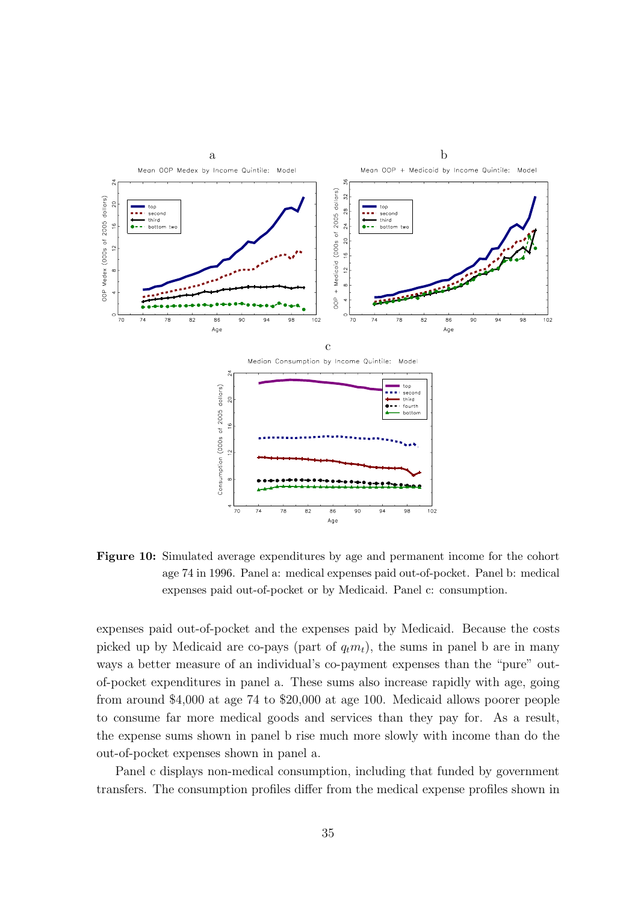

Figure 10: Simulated average expenditures by age and permanent income for the cohort age 74 in 1996. Panel a: medical expenses paid out-of-pocket. Panel b: medical expenses paid out-of-pocket or by Medicaid. Panel c: consumption.

expenses paid out-of-pocket and the expenses paid by Medicaid. Because the costs picked up by Medicaid are co-pays (part of  $q_t m_t$ ), the sums in panel b are in many ways a better measure of an individual's co-payment expenses than the "pure" outof-pocket expenditures in panel a. These sums also increase rapidly with age, going from around \$4,000 at age 74 to \$20,000 at age 100. Medicaid allows poorer people to consume far more medical goods and services than they pay for. As a result, the expense sums shown in panel b rise much more slowly with income than do the out-of-pocket expenses shown in panel a.

Panel c displays non-medical consumption, including that funded by government transfers. The consumption profiles differ from the medical expense profiles shown in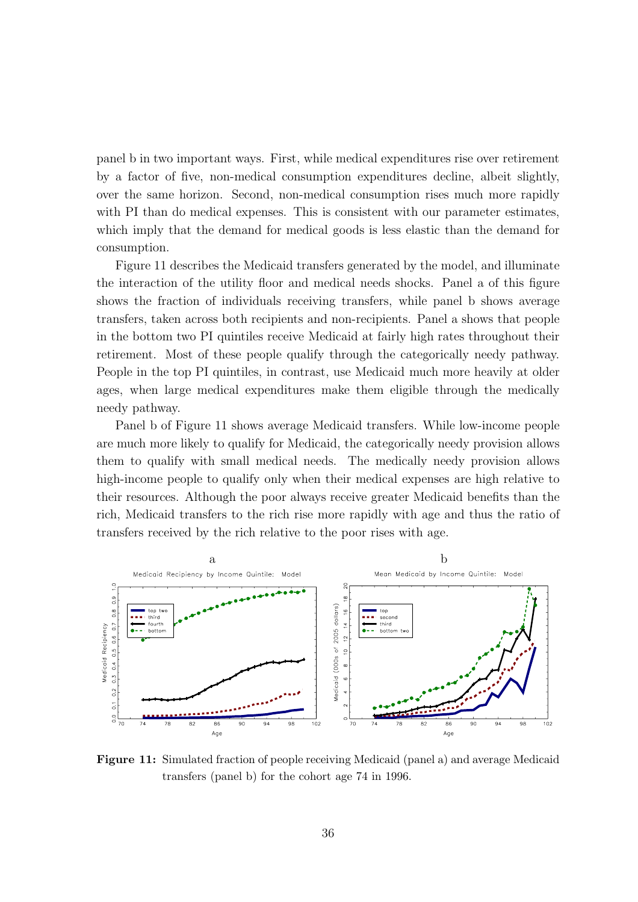panel b in two important ways. First, while medical expenditures rise over retirement by a factor of five, non-medical consumption expenditures decline, albeit slightly, over the same horizon. Second, non-medical consumption rises much more rapidly with PI than do medical expenses. This is consistent with our parameter estimates, which imply that the demand for medical goods is less elastic than the demand for consumption.

Figure 11 describes the Medicaid transfers generated by the model, and illuminate the interaction of the utility floor and medical needs shocks. Panel a of this figure shows the fraction of individuals receiving transfers, while panel b shows average transfers, taken across both recipients and non-recipients. Panel a shows that people in the bottom two PI quintiles receive Medicaid at fairly high rates throughout their retirement. Most of these people qualify through the categorically needy pathway. People in the top PI quintiles, in contrast, use Medicaid much more heavily at older ages, when large medical expenditures make them eligible through the medically needy pathway.

Panel b of Figure 11 shows average Medicaid transfers. While low-income people are much more likely to qualify for Medicaid, the categorically needy provision allows them to qualify with small medical needs. The medically needy provision allows high-income people to qualify only when their medical expenses are high relative to their resources. Although the poor always receive greater Medicaid benefits than the rich, Medicaid transfers to the rich rise more rapidly with age and thus the ratio of transfers received by the rich relative to the poor rises with age.



Figure 11: Simulated fraction of people receiving Medicaid (panel a) and average Medicaid transfers (panel b) for the cohort age 74 in 1996.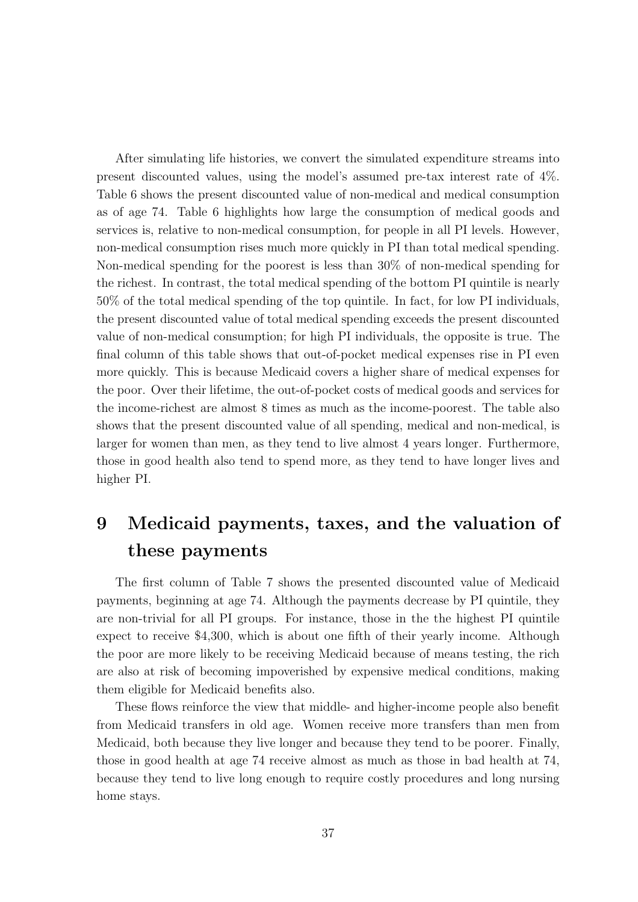After simulating life histories, we convert the simulated expenditure streams into present discounted values, using the model's assumed pre-tax interest rate of 4%. Table 6 shows the present discounted value of non-medical and medical consumption as of age 74. Table 6 highlights how large the consumption of medical goods and services is, relative to non-medical consumption, for people in all PI levels. However, non-medical consumption rises much more quickly in PI than total medical spending. Non-medical spending for the poorest is less than 30% of non-medical spending for the richest. In contrast, the total medical spending of the bottom PI quintile is nearly 50% of the total medical spending of the top quintile. In fact, for low PI individuals, the present discounted value of total medical spending exceeds the present discounted value of non-medical consumption; for high PI individuals, the opposite is true. The final column of this table shows that out-of-pocket medical expenses rise in PI even more quickly. This is because Medicaid covers a higher share of medical expenses for the poor. Over their lifetime, the out-of-pocket costs of medical goods and services for the income-richest are almost 8 times as much as the income-poorest. The table also shows that the present discounted value of all spending, medical and non-medical, is larger for women than men, as they tend to live almost 4 years longer. Furthermore, those in good health also tend to spend more, as they tend to have longer lives and higher PI.

# 9 Medicaid payments, taxes, and the valuation of these payments

The first column of Table 7 shows the presented discounted value of Medicaid payments, beginning at age 74. Although the payments decrease by PI quintile, they are non-trivial for all PI groups. For instance, those in the the highest PI quintile expect to receive \$4,300, which is about one fifth of their yearly income. Although the poor are more likely to be receiving Medicaid because of means testing, the rich are also at risk of becoming impoverished by expensive medical conditions, making them eligible for Medicaid benefits also.

These flows reinforce the view that middle- and higher-income people also benefit from Medicaid transfers in old age. Women receive more transfers than men from Medicaid, both because they live longer and because they tend to be poorer. Finally, those in good health at age 74 receive almost as much as those in bad health at 74, because they tend to live long enough to require costly procedures and long nursing home stays.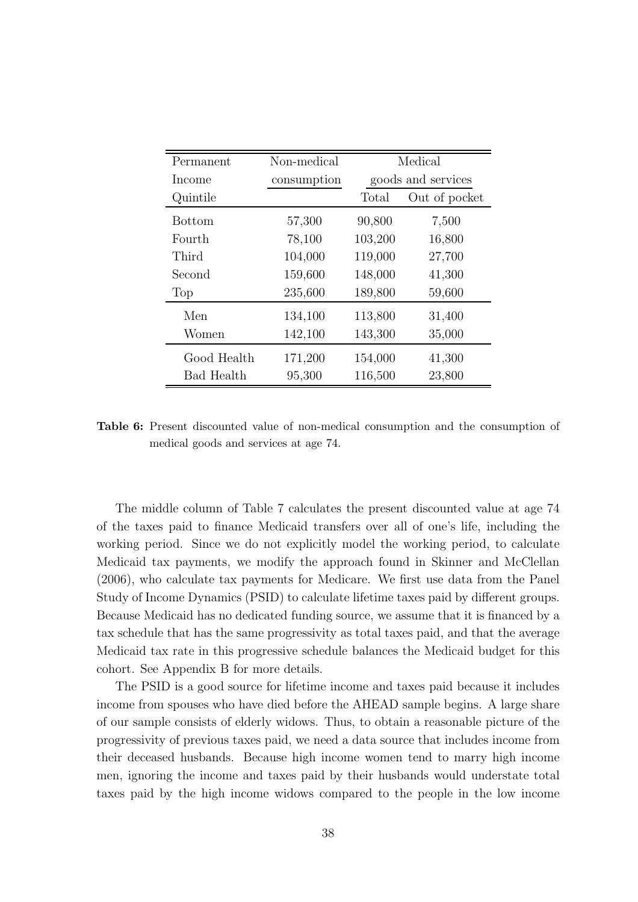| Permanent         | Non-medical | Medical |                    |  |
|-------------------|-------------|---------|--------------------|--|
| Income            | consumption |         | goods and services |  |
| Quintile          |             | Total   | Out of pocket      |  |
| <b>Bottom</b>     | 57,300      | 90,800  | 7,500              |  |
| Fourth            | 78,100      | 103,200 | 16,800             |  |
| Third             | 104,000     | 119,000 | 27,700             |  |
| Second            | 159,600     | 148,000 | 41,300             |  |
| Top               | 235,600     | 189,800 | 59,600             |  |
| Men               | 134,100     | 113,800 | 31,400             |  |
| Women             | 142,100     | 143,300 | 35,000             |  |
| Good Health       | 171,200     | 154,000 | 41,300             |  |
| <b>Bad Health</b> | 95,300      | 116,500 | 23,800             |  |

Table 6: Present discounted value of non-medical consumption and the consumption of medical goods and services at age 74.

The middle column of Table 7 calculates the present discounted value at age 74 of the taxes paid to finance Medicaid transfers over all of one's life, including the working period. Since we do not explicitly model the working period, to calculate Medicaid tax payments, we modify the approach found in Skinner and McClellan (2006), who calculate tax payments for Medicare. We first use data from the Panel Study of Income Dynamics (PSID) to calculate lifetime taxes paid by different groups. Because Medicaid has no dedicated funding source, we assume that it is financed by a tax schedule that has the same progressivity as total taxes paid, and that the average Medicaid tax rate in this progressive schedule balances the Medicaid budget for this cohort. See Appendix B for more details.

The PSID is a good source for lifetime income and taxes paid because it includes income from spouses who have died before the AHEAD sample begins. A large share of our sample consists of elderly widows. Thus, to obtain a reasonable picture of the progressivity of previous taxes paid, we need a data source that includes income from their deceased husbands. Because high income women tend to marry high income men, ignoring the income and taxes paid by their husbands would understate total taxes paid by the high income widows compared to the people in the low income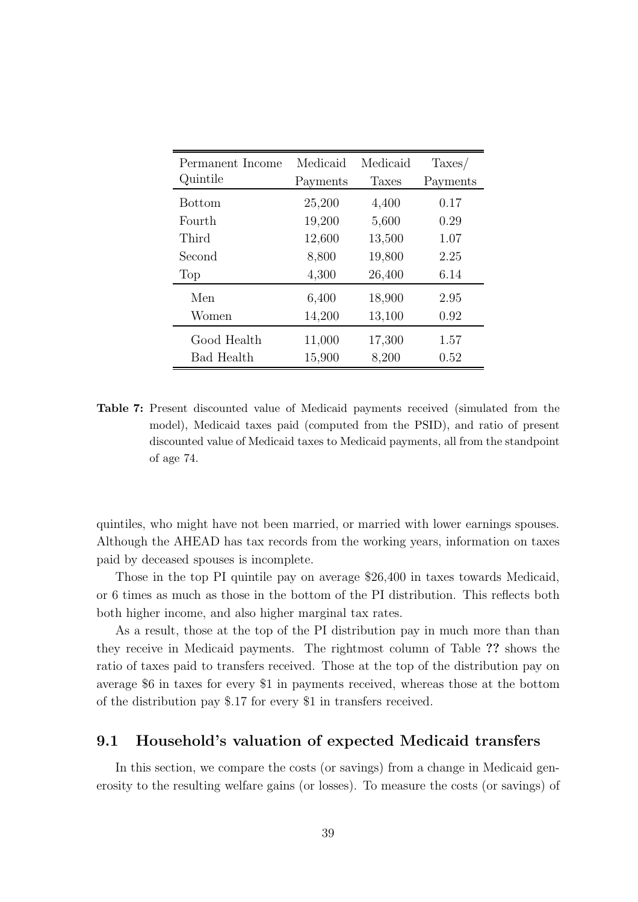| Permanent Income<br>Quintile | Medicaid<br>Payments | Medicaid<br>Taxes | $\text{Taxes}$<br>Payments |
|------------------------------|----------------------|-------------------|----------------------------|
|                              |                      |                   |                            |
| <b>Bottom</b>                | 25,200               | 4,400             | 0.17                       |
| Fourth                       | 19,200               | 5,600             | 0.29                       |
| Third                        | 12,600               | 13,500            | 1.07                       |
| Second                       | 8,800                | 19,800            | 2.25                       |
| Top                          | 4,300                | 26,400            | 6.14                       |
| Men                          | 6,400                | 18,900            | 2.95                       |
| Women                        | 14,200               | 13,100            | 0.92                       |
| Good Health                  | 11,000               | 17,300            | 1.57                       |
| Bad Health                   | 15,900               | 8,200             | 0.52                       |

Table 7: Present discounted value of Medicaid payments received (simulated from the model), Medicaid taxes paid (computed from the PSID), and ratio of present discounted value of Medicaid taxes to Medicaid payments, all from the standpoint of age 74.

quintiles, who might have not been married, or married with lower earnings spouses. Although the AHEAD has tax records from the working years, information on taxes paid by deceased spouses is incomplete.

Those in the top PI quintile pay on average \$26,400 in taxes towards Medicaid, or 6 times as much as those in the bottom of the PI distribution. This reflects both both higher income, and also higher marginal tax rates.

As a result, those at the top of the PI distribution pay in much more than than they receive in Medicaid payments. The rightmost column of Table ?? shows the ratio of taxes paid to transfers received. Those at the top of the distribution pay on average \$6 in taxes for every \$1 in payments received, whereas those at the bottom of the distribution pay \$.17 for every \$1 in transfers received.

### 9.1 Household's valuation of expected Medicaid transfers

In this section, we compare the costs (or savings) from a change in Medicaid generosity to the resulting welfare gains (or losses). To measure the costs (or savings) of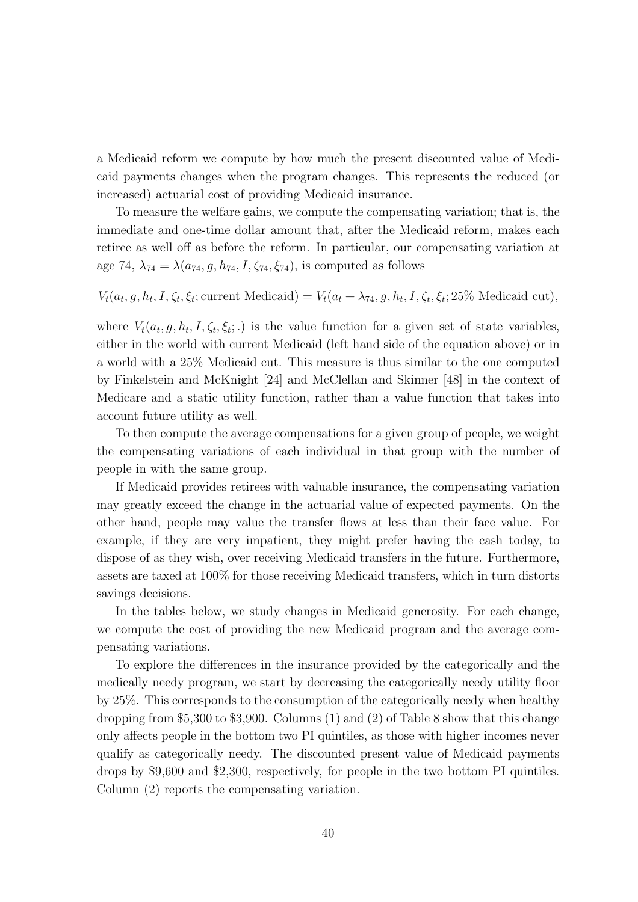a Medicaid reform we compute by how much the present discounted value of Medicaid payments changes when the program changes. This represents the reduced (or increased) actuarial cost of providing Medicaid insurance.

To measure the welfare gains, we compute the compensating variation; that is, the immediate and one-time dollar amount that, after the Medicaid reform, makes each retiree as well off as before the reform. In particular, our compensating variation at age 74,  $\lambda_{74} = \lambda(a_{74}, g, h_{74}, I, \zeta_{74}, \zeta_{74})$ , is computed as follows

 $V_t(a_t, g, h_t, I, \zeta_t, \xi_t)$ ; current Medicaid) =  $V_t(a_t + \lambda_{74}, g, h_t, I, \zeta_t, \xi_t)$ ; 25% Medicaid cut),

where  $V_t(a_t, g, h_t, I, \zeta_t, \xi_t;.)$  is the value function for a given set of state variables, either in the world with current Medicaid (left hand side of the equation above) or in a world with a 25% Medicaid cut. This measure is thus similar to the one computed by Finkelstein and McKnight [24] and McClellan and Skinner [48] in the context of Medicare and a static utility function, rather than a value function that takes into account future utility as well.

To then compute the average compensations for a given group of people, we weight the compensating variations of each individual in that group with the number of people in with the same group.

If Medicaid provides retirees with valuable insurance, the compensating variation may greatly exceed the change in the actuarial value of expected payments. On the other hand, people may value the transfer flows at less than their face value. For example, if they are very impatient, they might prefer having the cash today, to dispose of as they wish, over receiving Medicaid transfers in the future. Furthermore, assets are taxed at 100% for those receiving Medicaid transfers, which in turn distorts savings decisions.

In the tables below, we study changes in Medicaid generosity. For each change, we compute the cost of providing the new Medicaid program and the average compensating variations.

To explore the differences in the insurance provided by the categorically and the medically needy program, we start by decreasing the categorically needy utility floor by 25%. This corresponds to the consumption of the categorically needy when healthy dropping from \$5,300 to \$3,900. Columns (1) and (2) of Table 8 show that this change only affects people in the bottom two PI quintiles, as those with higher incomes never qualify as categorically needy. The discounted present value of Medicaid payments drops by \$9,600 and \$2,300, respectively, for people in the two bottom PI quintiles. Column (2) reports the compensating variation.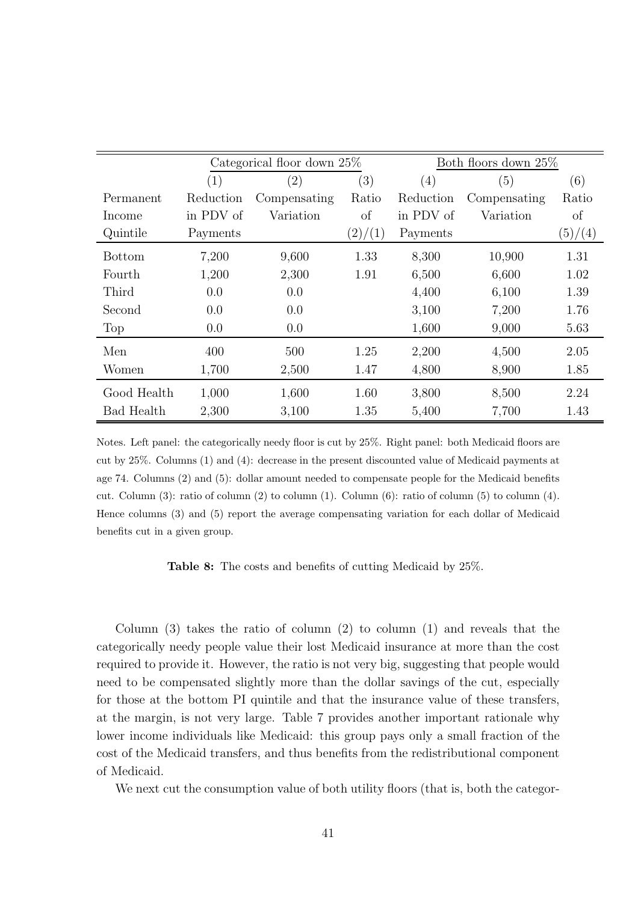|               | Categorical floor down $25\%$ |                   |         | Both floors down 25% |              |         |
|---------------|-------------------------------|-------------------|---------|----------------------|--------------|---------|
|               | (1)                           | $\left( 2\right)$ | (3)     | (4)                  | (5)          | (6)     |
| Permanent     | Reduction                     | Compensating      | Ratio   | Reduction            | Compensating | Ratio   |
| Income        | in PDV of                     | Variation         | of      | in PDV of            | Variation    | of      |
| Quintile      | Payments                      |                   | (2)/(1) | Payments             |              | (5)/(4) |
| <b>Bottom</b> | 7,200                         | 9,600             | 1.33    | 8,300                | 10,900       | 1.31    |
| Fourth        | 1,200                         | 2,300             | 1.91    | 6,500                | 6,600        | 1.02    |
| Third         | 0.0                           | 0.0               |         | 4,400                | 6,100        | 1.39    |
| Second        | 0.0                           | 0.0               |         | 3,100                | 7,200        | 1.76    |
| Top           | 0.0                           | 0.0               |         | 1,600                | 9,000        | 5.63    |
| Men           | 400                           | 500               | 1.25    | 2,200                | 4,500        | 2.05    |
| Women         | 1,700                         | 2,500             | 1.47    | 4,800                | 8,900        | 1.85    |
| Good Health   | 1,000                         | 1,600             | 1.60    | 3,800                | 8,500        | 2.24    |
| Bad Health    | 2,300                         | 3,100             | 1.35    | 5,400                | 7,700        | 1.43    |

Notes. Left panel: the categorically needy floor is cut by 25%. Right panel: both Medicaid floors are cut by 25%. Columns (1) and (4): decrease in the present discounted value of Medicaid payments at age 74. Columns (2) and (5): dollar amount needed to compensate people for the Medicaid benefits cut. Column (3): ratio of column (2) to column (1). Column (6): ratio of column (5) to column (4). Hence columns (3) and (5) report the average compensating variation for each dollar of Medicaid benefits cut in a given group.

Table 8: The costs and benefits of cutting Medicaid by 25%.

Column (3) takes the ratio of column (2) to column (1) and reveals that the categorically needy people value their lost Medicaid insurance at more than the cost required to provide it. However, the ratio is not very big, suggesting that people would need to be compensated slightly more than the dollar savings of the cut, especially for those at the bottom PI quintile and that the insurance value of these transfers, at the margin, is not very large. Table 7 provides another important rationale why lower income individuals like Medicaid: this group pays only a small fraction of the cost of the Medicaid transfers, and thus benefits from the redistributional component of Medicaid.

We next cut the consumption value of both utility floors (that is, both the categor-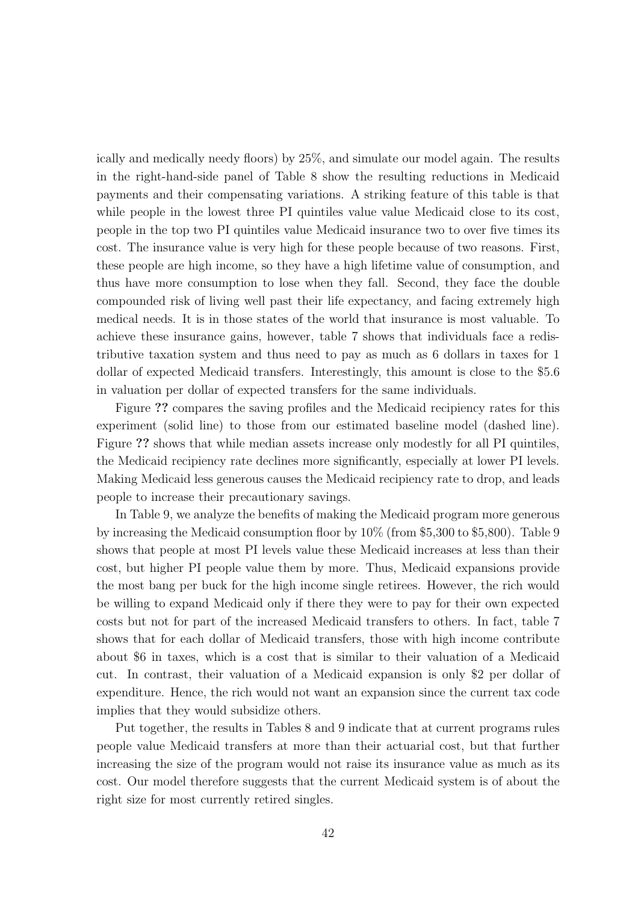ically and medically needy floors) by 25%, and simulate our model again. The results in the right-hand-side panel of Table 8 show the resulting reductions in Medicaid payments and their compensating variations. A striking feature of this table is that while people in the lowest three PI quintiles value value Medicaid close to its cost, people in the top two PI quintiles value Medicaid insurance two to over five times its cost. The insurance value is very high for these people because of two reasons. First, these people are high income, so they have a high lifetime value of consumption, and thus have more consumption to lose when they fall. Second, they face the double compounded risk of living well past their life expectancy, and facing extremely high medical needs. It is in those states of the world that insurance is most valuable. To achieve these insurance gains, however, table 7 shows that individuals face a redistributive taxation system and thus need to pay as much as 6 dollars in taxes for 1 dollar of expected Medicaid transfers. Interestingly, this amount is close to the \$5.6 in valuation per dollar of expected transfers for the same individuals.

Figure ?? compares the saving profiles and the Medicaid recipiency rates for this experiment (solid line) to those from our estimated baseline model (dashed line). Figure ?? shows that while median assets increase only modestly for all PI quintiles, the Medicaid recipiency rate declines more significantly, especially at lower PI levels. Making Medicaid less generous causes the Medicaid recipiency rate to drop, and leads people to increase their precautionary savings.

In Table 9, we analyze the benefits of making the Medicaid program more generous by increasing the Medicaid consumption floor by 10% (from \$5,300 to \$5,800). Table 9 shows that people at most PI levels value these Medicaid increases at less than their cost, but higher PI people value them by more. Thus, Medicaid expansions provide the most bang per buck for the high income single retirees. However, the rich would be willing to expand Medicaid only if there they were to pay for their own expected costs but not for part of the increased Medicaid transfers to others. In fact, table 7 shows that for each dollar of Medicaid transfers, those with high income contribute about \$6 in taxes, which is a cost that is similar to their valuation of a Medicaid cut. In contrast, their valuation of a Medicaid expansion is only \$2 per dollar of expenditure. Hence, the rich would not want an expansion since the current tax code implies that they would subsidize others.

Put together, the results in Tables 8 and 9 indicate that at current programs rules people value Medicaid transfers at more than their actuarial cost, but that further increasing the size of the program would not raise its insurance value as much as its cost. Our model therefore suggests that the current Medicaid system is of about the right size for most currently retired singles.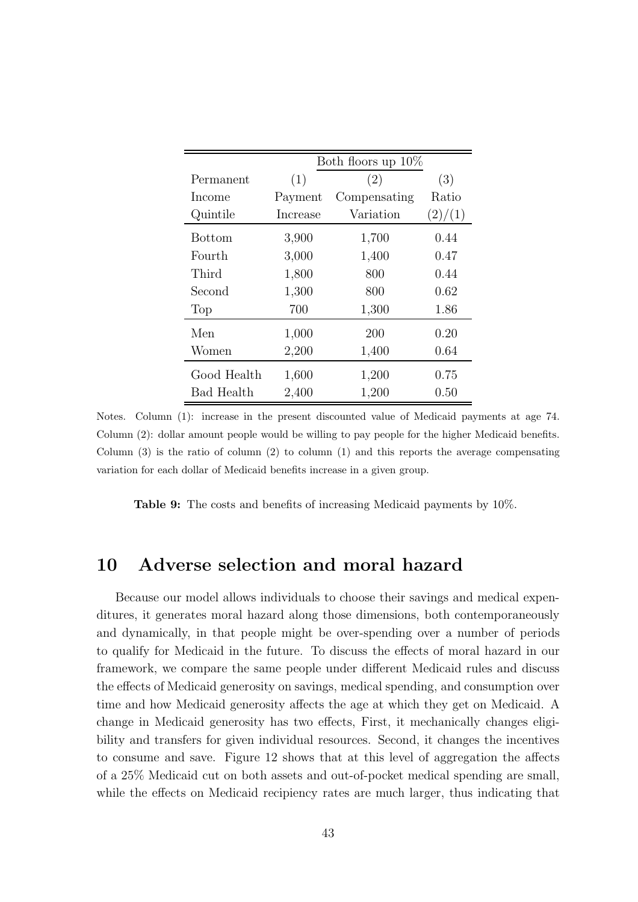|               | Both floors up $10\%$ |              |         |  |  |  |
|---------------|-----------------------|--------------|---------|--|--|--|
| Permanent     | (1)                   | (2)          | (3)     |  |  |  |
| Income        | Payment               | Compensating | Ratio   |  |  |  |
| Quintile      | Increase              | Variation    | (2)/(1) |  |  |  |
| <b>Bottom</b> | 3,900                 | 1,700        | 0.44    |  |  |  |
| Fourth        | 3,000                 | 1,400        | 0.47    |  |  |  |
| Third         | 1,800                 | 800          | 0.44    |  |  |  |
| Second        | 1,300                 | 800          | 0.62    |  |  |  |
| Top           | 700                   | 1,300        | 1.86    |  |  |  |
| Men           | 1,000                 | 200          | 0.20    |  |  |  |
| Women         | 2,200                 | 1,400        | 0.64    |  |  |  |
| Good Health   | 1,600                 | 1,200        | 0.75    |  |  |  |
| Bad Health    | 2,400                 | 1,200        | 0.50    |  |  |  |

Notes. Column (1): increase in the present discounted value of Medicaid payments at age 74. Column (2): dollar amount people would be willing to pay people for the higher Medicaid benefits. Column  $(3)$  is the ratio of column  $(2)$  to column  $(1)$  and this reports the average compensating variation for each dollar of Medicaid benefits increase in a given group.

Table 9: The costs and benefits of increasing Medicaid payments by 10%.

### 10 Adverse selection and moral hazard

Because our model allows individuals to choose their savings and medical expenditures, it generates moral hazard along those dimensions, both contemporaneously and dynamically, in that people might be over-spending over a number of periods to qualify for Medicaid in the future. To discuss the effects of moral hazard in our framework, we compare the same people under different Medicaid rules and discuss the effects of Medicaid generosity on savings, medical spending, and consumption over time and how Medicaid generosity affects the age at which they get on Medicaid. A change in Medicaid generosity has two effects, First, it mechanically changes eligibility and transfers for given individual resources. Second, it changes the incentives to consume and save. Figure 12 shows that at this level of aggregation the affects of a 25% Medicaid cut on both assets and out-of-pocket medical spending are small, while the effects on Medicaid recipiency rates are much larger, thus indicating that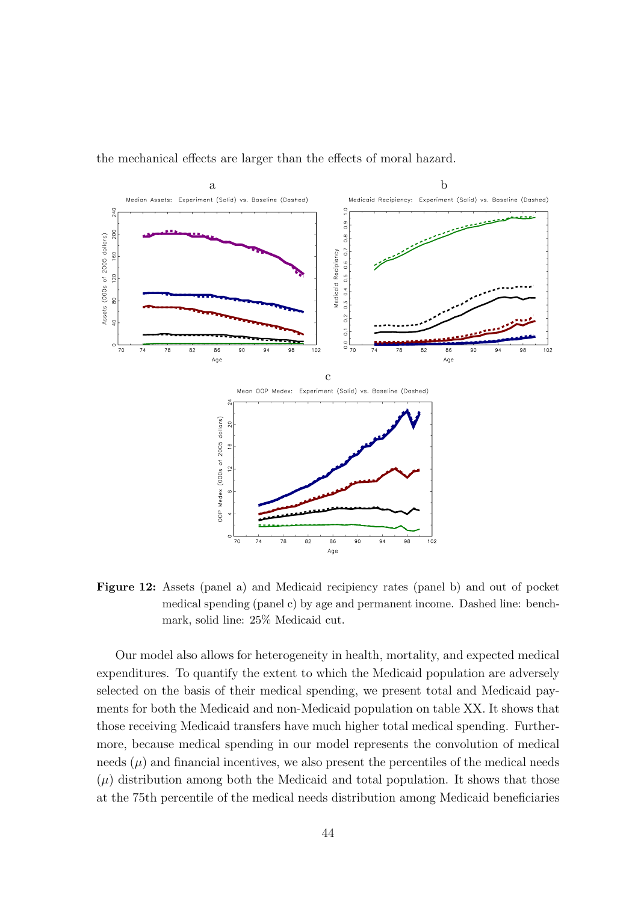

the mechanical effects are larger than the effects of moral hazard.

Figure 12: Assets (panel a) and Medicaid recipiency rates (panel b) and out of pocket medical spending (panel c) by age and permanent income. Dashed line: benchmark, solid line: 25% Medicaid cut.

Our model also allows for heterogeneity in health, mortality, and expected medical expenditures. To quantify the extent to which the Medicaid population are adversely selected on the basis of their medical spending, we present total and Medicaid payments for both the Medicaid and non-Medicaid population on table XX. It shows that those receiving Medicaid transfers have much higher total medical spending. Furthermore, because medical spending in our model represents the convolution of medical needs  $(\mu)$  and financial incentives, we also present the percentiles of the medical needs  $(\mu)$  distribution among both the Medicaid and total population. It shows that those at the 75th percentile of the medical needs distribution among Medicaid beneficiaries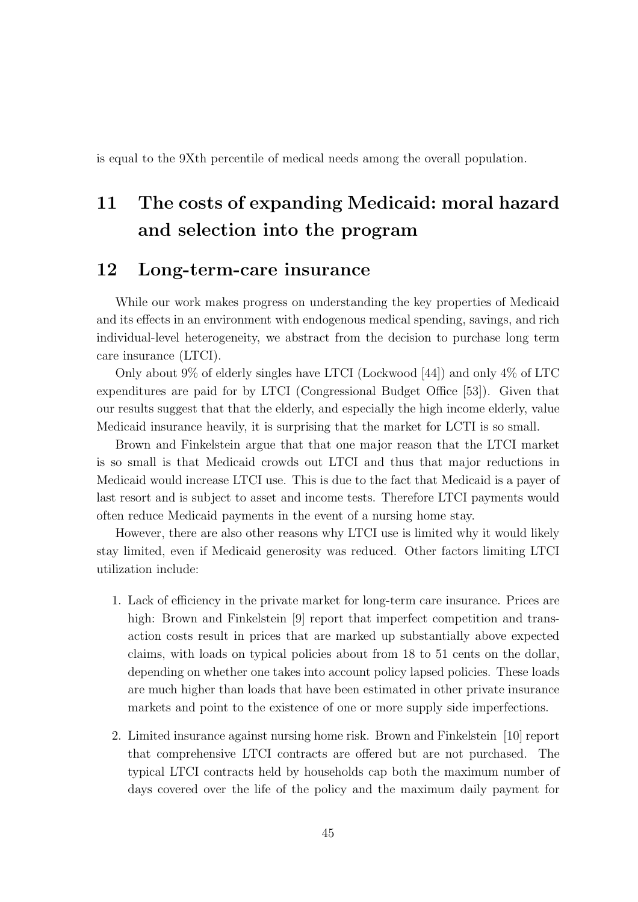is equal to the 9Xth percentile of medical needs among the overall population.

# 11 The costs of expanding Medicaid: moral hazard and selection into the program

## 12 Long-term-care insurance

While our work makes progress on understanding the key properties of Medicaid and its effects in an environment with endogenous medical spending, savings, and rich individual-level heterogeneity, we abstract from the decision to purchase long term care insurance (LTCI).

Only about 9% of elderly singles have LTCI (Lockwood [44]) and only 4% of LTC expenditures are paid for by LTCI (Congressional Budget Office [53]). Given that our results suggest that that the elderly, and especially the high income elderly, value Medicaid insurance heavily, it is surprising that the market for LCTI is so small.

Brown and Finkelstein argue that that one major reason that the LTCI market is so small is that Medicaid crowds out LTCI and thus that major reductions in Medicaid would increase LTCI use. This is due to the fact that Medicaid is a payer of last resort and is subject to asset and income tests. Therefore LTCI payments would often reduce Medicaid payments in the event of a nursing home stay.

However, there are also other reasons why LTCI use is limited why it would likely stay limited, even if Medicaid generosity was reduced. Other factors limiting LTCI utilization include:

- 1. Lack of efficiency in the private market for long-term care insurance. Prices are high: Brown and Finkelstein [9] report that imperfect competition and transaction costs result in prices that are marked up substantially above expected claims, with loads on typical policies about from 18 to 51 cents on the dollar, depending on whether one takes into account policy lapsed policies. These loads are much higher than loads that have been estimated in other private insurance markets and point to the existence of one or more supply side imperfections.
- 2. Limited insurance against nursing home risk. Brown and Finkelstein [10] report that comprehensive LTCI contracts are offered but are not purchased. The typical LTCI contracts held by households cap both the maximum number of days covered over the life of the policy and the maximum daily payment for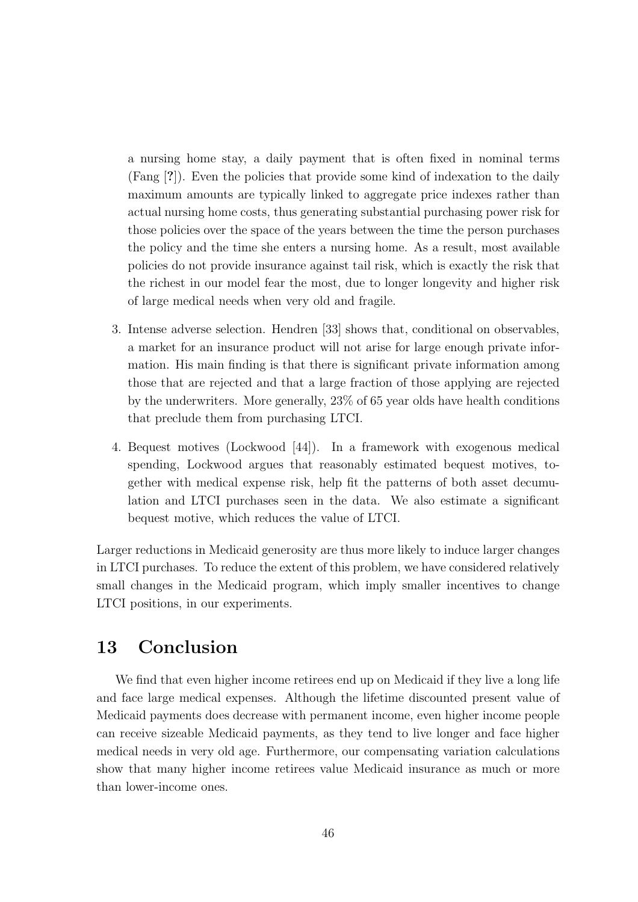a nursing home stay, a daily payment that is often fixed in nominal terms (Fang [?]). Even the policies that provide some kind of indexation to the daily maximum amounts are typically linked to aggregate price indexes rather than actual nursing home costs, thus generating substantial purchasing power risk for those policies over the space of the years between the time the person purchases the policy and the time she enters a nursing home. As a result, most available policies do not provide insurance against tail risk, which is exactly the risk that the richest in our model fear the most, due to longer longevity and higher risk of large medical needs when very old and fragile.

- 3. Intense adverse selection. Hendren [33] shows that, conditional on observables, a market for an insurance product will not arise for large enough private information. His main finding is that there is significant private information among those that are rejected and that a large fraction of those applying are rejected by the underwriters. More generally, 23% of 65 year olds have health conditions that preclude them from purchasing LTCI.
- 4. Bequest motives (Lockwood [44]). In a framework with exogenous medical spending, Lockwood argues that reasonably estimated bequest motives, together with medical expense risk, help fit the patterns of both asset decumulation and LTCI purchases seen in the data. We also estimate a significant bequest motive, which reduces the value of LTCI.

Larger reductions in Medicaid generosity are thus more likely to induce larger changes in LTCI purchases. To reduce the extent of this problem, we have considered relatively small changes in the Medicaid program, which imply smaller incentives to change LTCI positions, in our experiments.

## 13 Conclusion

We find that even higher income retirees end up on Medicaid if they live a long life and face large medical expenses. Although the lifetime discounted present value of Medicaid payments does decrease with permanent income, even higher income people can receive sizeable Medicaid payments, as they tend to live longer and face higher medical needs in very old age. Furthermore, our compensating variation calculations show that many higher income retirees value Medicaid insurance as much or more than lower-income ones.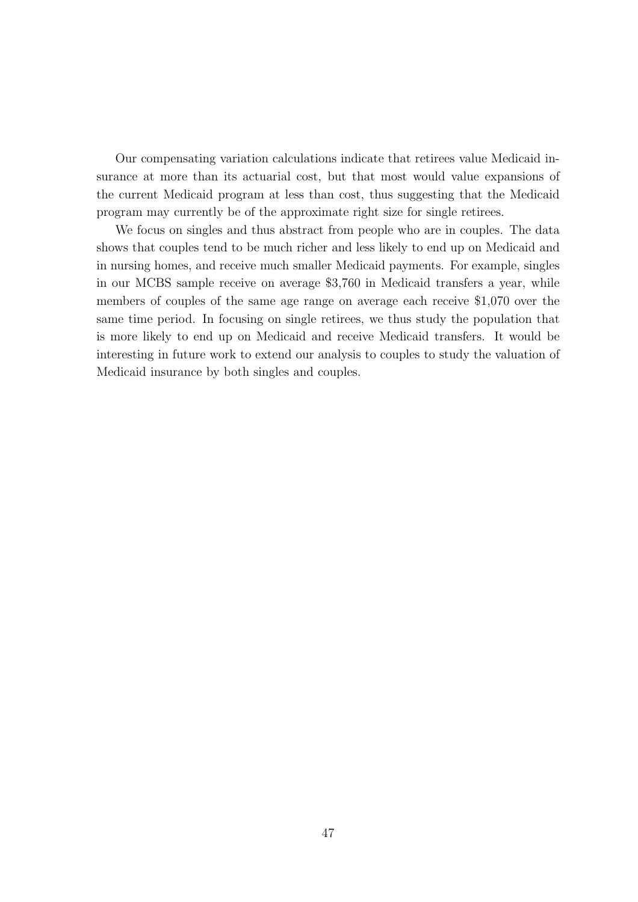Our compensating variation calculations indicate that retirees value Medicaid insurance at more than its actuarial cost, but that most would value expansions of the current Medicaid program at less than cost, thus suggesting that the Medicaid program may currently be of the approximate right size for single retirees.

We focus on singles and thus abstract from people who are in couples. The data shows that couples tend to be much richer and less likely to end up on Medicaid and in nursing homes, and receive much smaller Medicaid payments. For example, singles in our MCBS sample receive on average \$3,760 in Medicaid transfers a year, while members of couples of the same age range on average each receive \$1,070 over the same time period. In focusing on single retirees, we thus study the population that is more likely to end up on Medicaid and receive Medicaid transfers. It would be interesting in future work to extend our analysis to couples to study the valuation of Medicaid insurance by both singles and couples.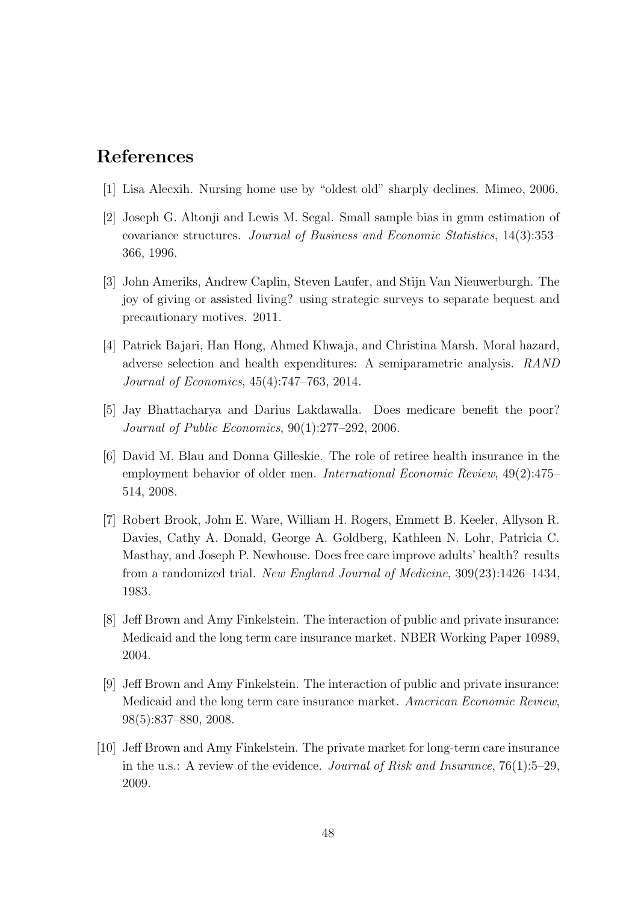# References

- [1] Lisa Alecxih. Nursing home use by "oldest old" sharply declines. Mimeo, 2006.
- [2] Joseph G. Altonji and Lewis M. Segal. Small sample bias in gmm estimation of covariance structures. Journal of Business and Economic Statistics, 14(3):353– 366, 1996.
- [3] John Ameriks, Andrew Caplin, Steven Laufer, and Stijn Van Nieuwerburgh. The joy of giving or assisted living? using strategic surveys to separate bequest and precautionary motives. 2011.
- [4] Patrick Bajari, Han Hong, Ahmed Khwaja, and Christina Marsh. Moral hazard, adverse selection and health expenditures: A semiparametric analysis. RAND Journal of Economics, 45(4):747–763, 2014.
- [5] Jay Bhattacharya and Darius Lakdawalla. Does medicare benefit the poor? Journal of Public Economics, 90(1):277–292, 2006.
- [6] David M. Blau and Donna Gilleskie. The role of retiree health insurance in the employment behavior of older men. International Economic Review, 49(2):475– 514, 2008.
- [7] Robert Brook, John E. Ware, William H. Rogers, Emmett B. Keeler, Allyson R. Davies, Cathy A. Donald, George A. Goldberg, Kathleen N. Lohr, Patricia C. Masthay, and Joseph P. Newhouse. Does free care improve adults' health? results from a randomized trial. New England Journal of Medicine, 309(23):1426–1434, 1983.
- [8] Jeff Brown and Amy Finkelstein. The interaction of public and private insurance: Medicaid and the long term care insurance market. NBER Working Paper 10989, 2004.
- [9] Jeff Brown and Amy Finkelstein. The interaction of public and private insurance: Medicaid and the long term care insurance market. American Economic Review, 98(5):837–880, 2008.
- [10] Jeff Brown and Amy Finkelstein. The private market for long-term care insurance in the u.s.: A review of the evidence. *Journal of Risk and Insurance*,  $76(1):5-29$ , 2009.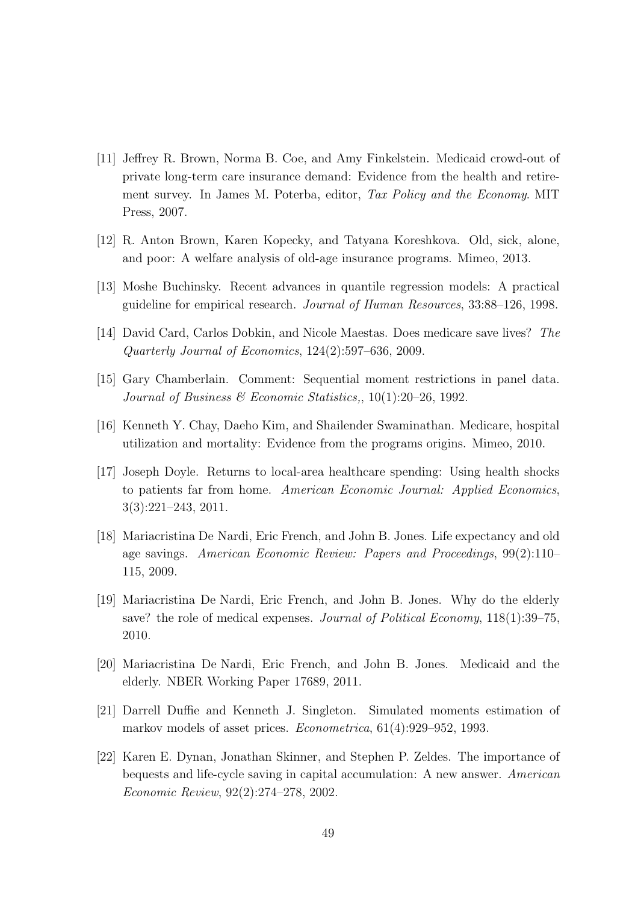- [11] Jeffrey R. Brown, Norma B. Coe, and Amy Finkelstein. Medicaid crowd-out of private long-term care insurance demand: Evidence from the health and retirement survey. In James M. Poterba, editor, Tax Policy and the Economy. MIT Press, 2007.
- [12] R. Anton Brown, Karen Kopecky, and Tatyana Koreshkova. Old, sick, alone, and poor: A welfare analysis of old-age insurance programs. Mimeo, 2013.
- [13] Moshe Buchinsky. Recent advances in quantile regression models: A practical guideline for empirical research. Journal of Human Resources, 33:88–126, 1998.
- [14] David Card, Carlos Dobkin, and Nicole Maestas. Does medicare save lives? The Quarterly Journal of Economics, 124(2):597–636, 2009.
- [15] Gary Chamberlain. Comment: Sequential moment restrictions in panel data. Journal of Business  $\mathcal B$  Economic Statistics,, 10(1):20–26, 1992.
- [16] Kenneth Y. Chay, Daeho Kim, and Shailender Swaminathan. Medicare, hospital utilization and mortality: Evidence from the programs origins. Mimeo, 2010.
- [17] Joseph Doyle. Returns to local-area healthcare spending: Using health shocks to patients far from home. American Economic Journal: Applied Economics, 3(3):221–243, 2011.
- [18] Mariacristina De Nardi, Eric French, and John B. Jones. Life expectancy and old age savings. American Economic Review: Papers and Proceedings, 99(2):110– 115, 2009.
- [19] Mariacristina De Nardi, Eric French, and John B. Jones. Why do the elderly save? the role of medical expenses. Journal of Political Economy, 118(1):39–75, 2010.
- [20] Mariacristina De Nardi, Eric French, and John B. Jones. Medicaid and the elderly. NBER Working Paper 17689, 2011.
- [21] Darrell Duffie and Kenneth J. Singleton. Simulated moments estimation of markov models of asset prices. Econometrica, 61(4):929–952, 1993.
- [22] Karen E. Dynan, Jonathan Skinner, and Stephen P. Zeldes. The importance of bequests and life-cycle saving in capital accumulation: A new answer. American Economic Review, 92(2):274–278, 2002.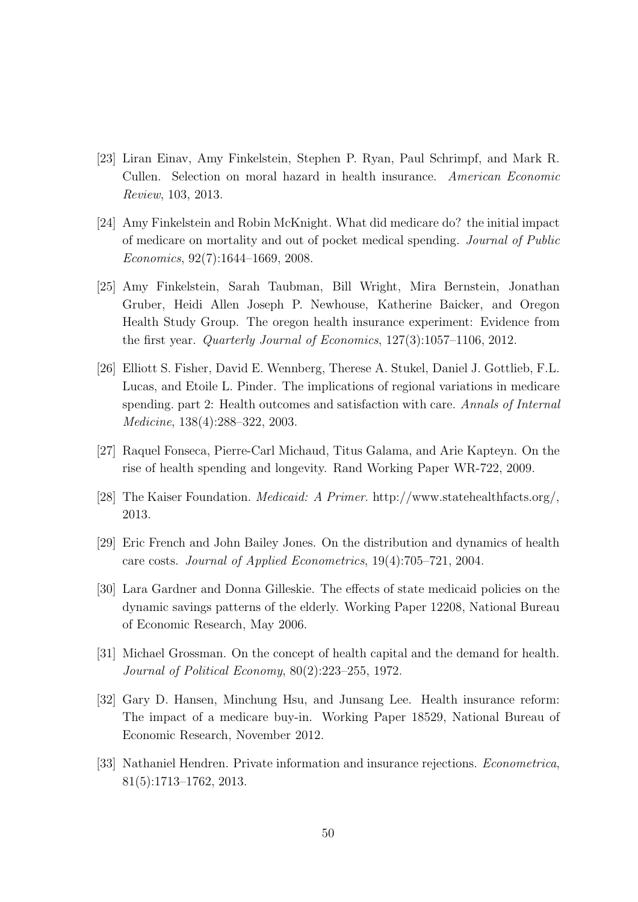- [23] Liran Einav, Amy Finkelstein, Stephen P. Ryan, Paul Schrimpf, and Mark R. Cullen. Selection on moral hazard in health insurance. American Economic Review, 103, 2013.
- [24] Amy Finkelstein and Robin McKnight. What did medicare do? the initial impact of medicare on mortality and out of pocket medical spending. Journal of Public Economics, 92(7):1644–1669, 2008.
- [25] Amy Finkelstein, Sarah Taubman, Bill Wright, Mira Bernstein, Jonathan Gruber, Heidi Allen Joseph P. Newhouse, Katherine Baicker, and Oregon Health Study Group. The oregon health insurance experiment: Evidence from the first year. Quarterly Journal of Economics, 127(3):1057–1106, 2012.
- [26] Elliott S. Fisher, David E. Wennberg, Therese A. Stukel, Daniel J. Gottlieb, F.L. Lucas, and Etoile L. Pinder. The implications of regional variations in medicare spending. part 2: Health outcomes and satisfaction with care. Annals of Internal Medicine, 138(4):288–322, 2003.
- [27] Raquel Fonseca, Pierre-Carl Michaud, Titus Galama, and Arie Kapteyn. On the rise of health spending and longevity. Rand Working Paper WR-722, 2009.
- [28] The Kaiser Foundation. Medicaid: A Primer. http://www.statehealthfacts.org/, 2013.
- [29] Eric French and John Bailey Jones. On the distribution and dynamics of health care costs. Journal of Applied Econometrics, 19(4):705–721, 2004.
- [30] Lara Gardner and Donna Gilleskie. The effects of state medicaid policies on the dynamic savings patterns of the elderly. Working Paper 12208, National Bureau of Economic Research, May 2006.
- [31] Michael Grossman. On the concept of health capital and the demand for health. Journal of Political Economy, 80(2):223–255, 1972.
- [32] Gary D. Hansen, Minchung Hsu, and Junsang Lee. Health insurance reform: The impact of a medicare buy-in. Working Paper 18529, National Bureau of Economic Research, November 2012.
- [33] Nathaniel Hendren. Private information and insurance rejections. Econometrica, 81(5):1713–1762, 2013.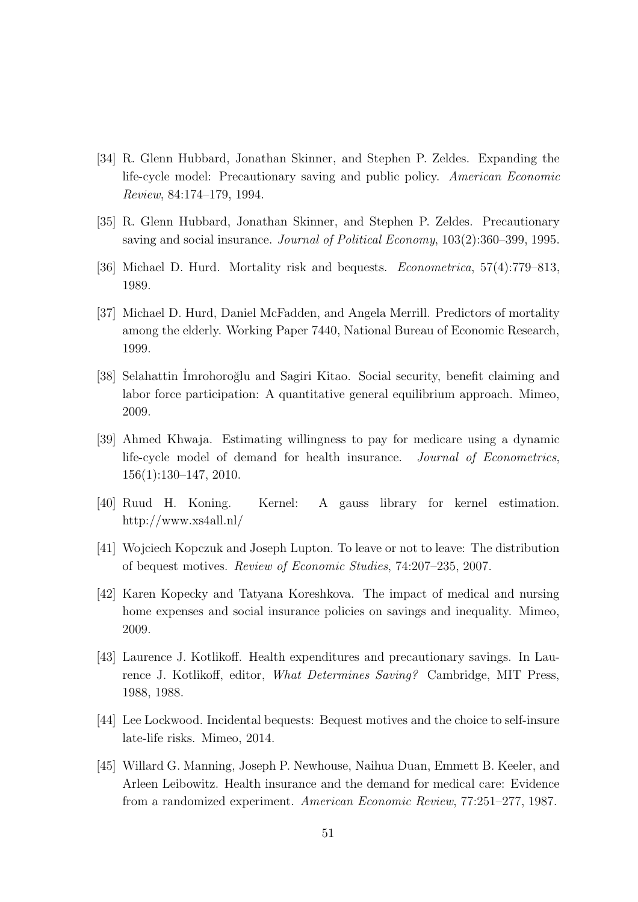- [34] R. Glenn Hubbard, Jonathan Skinner, and Stephen P. Zeldes. Expanding the life-cycle model: Precautionary saving and public policy. American Economic Review, 84:174–179, 1994.
- [35] R. Glenn Hubbard, Jonathan Skinner, and Stephen P. Zeldes. Precautionary saving and social insurance. Journal of Political Economy, 103(2):360–399, 1995.
- [36] Michael D. Hurd. Mortality risk and bequests. Econometrica, 57(4):779–813, 1989.
- [37] Michael D. Hurd, Daniel McFadden, and Angela Merrill. Predictors of mortality among the elderly. Working Paper 7440, National Bureau of Economic Research, 1999.
- [38] Selahattin Imrohoroğlu and Sagiri Kitao. Social security, benefit claiming and labor force participation: A quantitative general equilibrium approach. Mimeo, 2009.
- [39] Ahmed Khwaja. Estimating willingness to pay for medicare using a dynamic life-cycle model of demand for health insurance. Journal of Econometrics, 156(1):130–147, 2010.
- [40] Ruud H. Koning. Kernel: A gauss library for kernel estimation. http://www.xs4all.nl/
- [41] Wojciech Kopczuk and Joseph Lupton. To leave or not to leave: The distribution of bequest motives. Review of Economic Studies, 74:207–235, 2007.
- [42] Karen Kopecky and Tatyana Koreshkova. The impact of medical and nursing home expenses and social insurance policies on savings and inequality. Mimeo, 2009.
- [43] Laurence J. Kotlikoff. Health expenditures and precautionary savings. In Laurence J. Kotlikoff, editor, What Determines Saving? Cambridge, MIT Press, 1988, 1988.
- [44] Lee Lockwood. Incidental bequests: Bequest motives and the choice to self-insure late-life risks. Mimeo, 2014.
- [45] Willard G. Manning, Joseph P. Newhouse, Naihua Duan, Emmett B. Keeler, and Arleen Leibowitz. Health insurance and the demand for medical care: Evidence from a randomized experiment. American Economic Review, 77:251–277, 1987.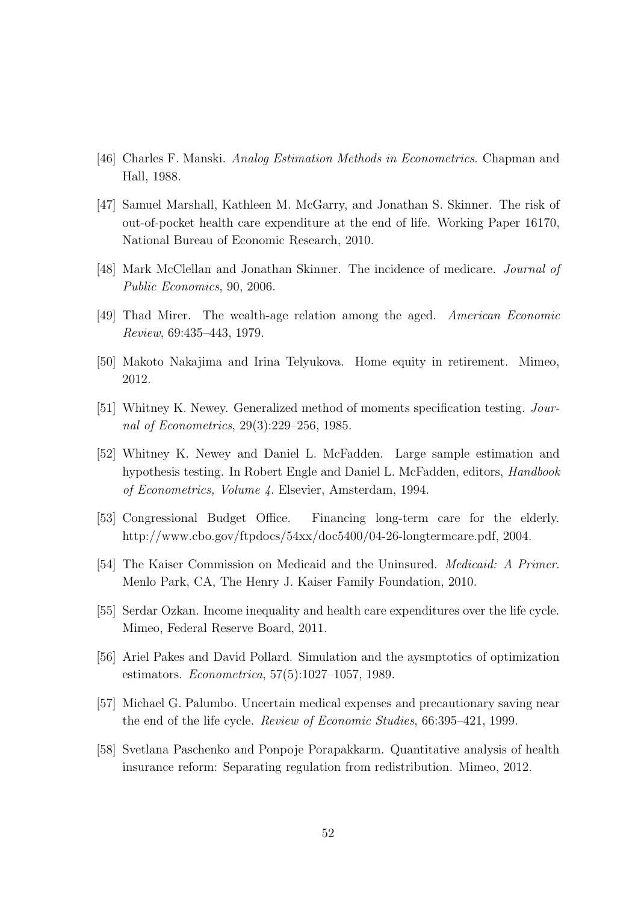- [46] Charles F. Manski. Analog Estimation Methods in Econometrics. Chapman and Hall, 1988.
- [47] Samuel Marshall, Kathleen M. McGarry, and Jonathan S. Skinner. The risk of out-of-pocket health care expenditure at the end of life. Working Paper 16170, National Bureau of Economic Research, 2010.
- [48] Mark McClellan and Jonathan Skinner. The incidence of medicare. Journal of Public Economics, 90, 2006.
- [49] Thad Mirer. The wealth-age relation among the aged. American Economic Review, 69:435–443, 1979.
- [50] Makoto Nakajima and Irina Telyukova. Home equity in retirement. Mimeo, 2012.
- [51] Whitney K. Newey. Generalized method of moments specification testing. Journal of Econometrics, 29(3):229–256, 1985.
- [52] Whitney K. Newey and Daniel L. McFadden. Large sample estimation and hypothesis testing. In Robert Engle and Daniel L. McFadden, editors, Handbook of Econometrics, Volume 4. Elsevier, Amsterdam, 1994.
- [53] Congressional Budget Office. Financing long-term care for the elderly. http://www.cbo.gov/ftpdocs/54xx/doc5400/04-26-longtermcare.pdf, 2004.
- [54] The Kaiser Commission on Medicaid and the Uninsured. Medicaid: A Primer. Menlo Park, CA, The Henry J. Kaiser Family Foundation, 2010.
- [55] Serdar Ozkan. Income inequality and health care expenditures over the life cycle. Mimeo, Federal Reserve Board, 2011.
- [56] Ariel Pakes and David Pollard. Simulation and the aysmptotics of optimization estimators. Econometrica, 57(5):1027–1057, 1989.
- [57] Michael G. Palumbo. Uncertain medical expenses and precautionary saving near the end of the life cycle. Review of Economic Studies, 66:395–421, 1999.
- [58] Svetlana Paschenko and Ponpoje Porapakkarm. Quantitative analysis of health insurance reform: Separating regulation from redistribution. Mimeo, 2012.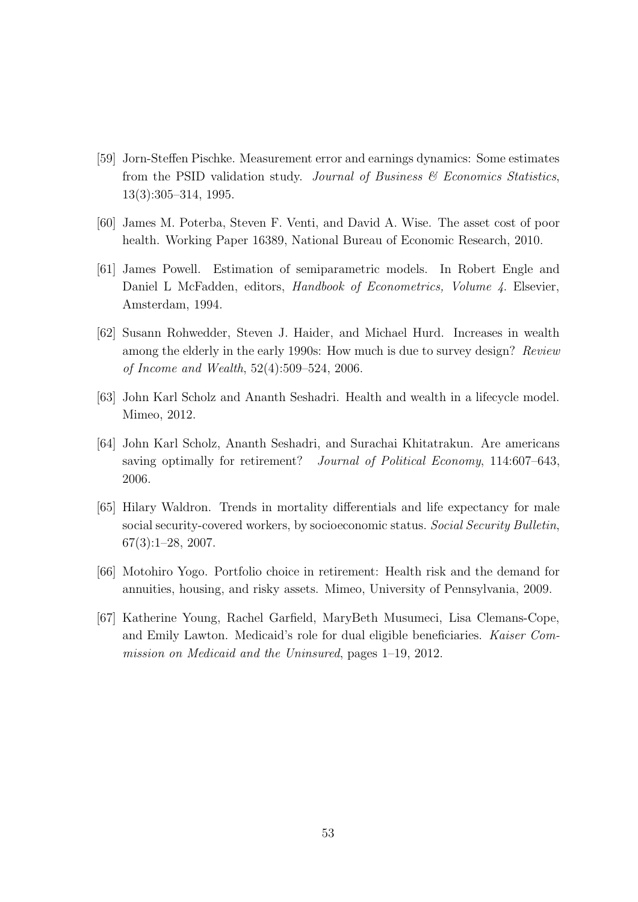- [59] Jorn-Steffen Pischke. Measurement error and earnings dynamics: Some estimates from the PSID validation study. Journal of Business  $\mathcal{C}$  Economics Statistics, 13(3):305–314, 1995.
- [60] James M. Poterba, Steven F. Venti, and David A. Wise. The asset cost of poor health. Working Paper 16389, National Bureau of Economic Research, 2010.
- [61] James Powell. Estimation of semiparametric models. In Robert Engle and Daniel L McFadden, editors, *Handbook of Econometrics*, *Volume 4*. Elsevier, Amsterdam, 1994.
- [62] Susann Rohwedder, Steven J. Haider, and Michael Hurd. Increases in wealth among the elderly in the early 1990s: How much is due to survey design? Review of Income and Wealth, 52(4):509–524, 2006.
- [63] John Karl Scholz and Ananth Seshadri. Health and wealth in a lifecycle model. Mimeo, 2012.
- [64] John Karl Scholz, Ananth Seshadri, and Surachai Khitatrakun. Are americans saving optimally for retirement? Journal of Political Economy, 114:607-643, 2006.
- [65] Hilary Waldron. Trends in mortality differentials and life expectancy for male social security-covered workers, by socioeconomic status. Social Security Bulletin, 67(3):1–28, 2007.
- [66] Motohiro Yogo. Portfolio choice in retirement: Health risk and the demand for annuities, housing, and risky assets. Mimeo, University of Pennsylvania, 2009.
- [67] Katherine Young, Rachel Garfield, MaryBeth Musumeci, Lisa Clemans-Cope, and Emily Lawton. Medicaid's role for dual eligible beneficiaries. Kaiser Commission on Medicaid and the Uninsured, pages 1–19, 2012.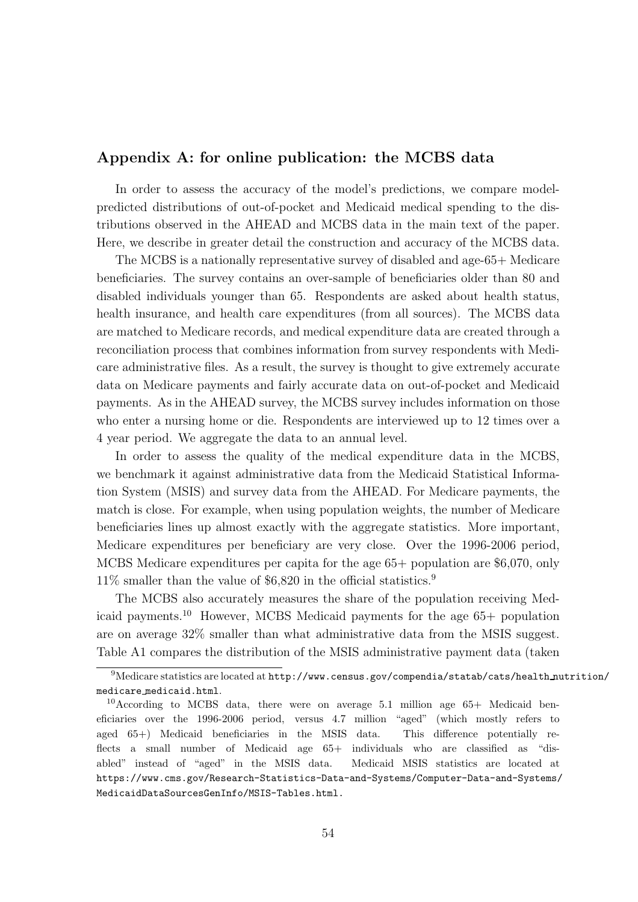### Appendix A: for online publication: the MCBS data

In order to assess the accuracy of the model's predictions, we compare modelpredicted distributions of out-of-pocket and Medicaid medical spending to the distributions observed in the AHEAD and MCBS data in the main text of the paper. Here, we describe in greater detail the construction and accuracy of the MCBS data.

The MCBS is a nationally representative survey of disabled and age-65+ Medicare beneficiaries. The survey contains an over-sample of beneficiaries older than 80 and disabled individuals younger than 65. Respondents are asked about health status, health insurance, and health care expenditures (from all sources). The MCBS data are matched to Medicare records, and medical expenditure data are created through a reconciliation process that combines information from survey respondents with Medicare administrative files. As a result, the survey is thought to give extremely accurate data on Medicare payments and fairly accurate data on out-of-pocket and Medicaid payments. As in the AHEAD survey, the MCBS survey includes information on those who enter a nursing home or die. Respondents are interviewed up to 12 times over a 4 year period. We aggregate the data to an annual level.

In order to assess the quality of the medical expenditure data in the MCBS, we benchmark it against administrative data from the Medicaid Statistical Information System (MSIS) and survey data from the AHEAD. For Medicare payments, the match is close. For example, when using population weights, the number of Medicare beneficiaries lines up almost exactly with the aggregate statistics. More important, Medicare expenditures per beneficiary are very close. Over the 1996-2006 period, MCBS Medicare expenditures per capita for the age 65+ population are \$6,070, only 11% smaller than the value of \$6,820 in the official statistics.<sup>9</sup>

The MCBS also accurately measures the share of the population receiving Medicaid payments.<sup>10</sup> However, MCBS Medicaid payments for the age 65+ population are on average 32% smaller than what administrative data from the MSIS suggest. Table A1 compares the distribution of the MSIS administrative payment data (taken

<sup>9</sup>Medicare statistics are located at http://www.census.gov/compendia/statab/cats/health nutrition/ medicare medicaid.html.

<sup>10</sup>According to MCBS data, there were on average 5.1 million age 65+ Medicaid beneficiaries over the 1996-2006 period, versus 4.7 million "aged" (which mostly refers to aged 65+) Medicaid beneficiaries in the MSIS data. This difference potentially reflects a small number of Medicaid age 65+ individuals who are classified as "disabled" instead of "aged" in the MSIS data. Medicaid MSIS statistics are located at https://www.cms.gov/Research-Statistics-Data-and-Systems/Computer-Data-and-Systems/ MedicaidDataSourcesGenInfo/MSIS-Tables.html.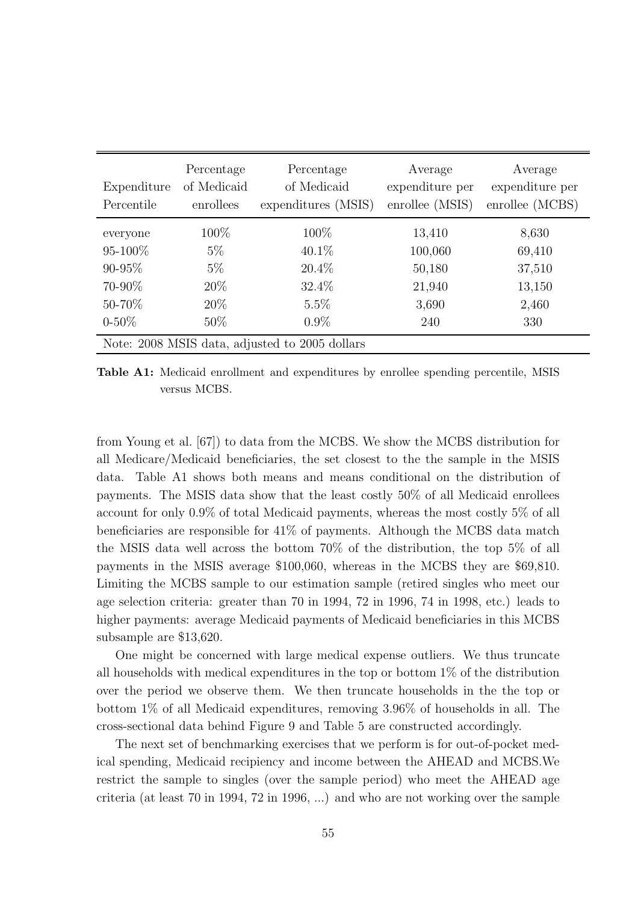| Expenditure<br>Percentile                                                 | Percentage<br>of Medicaid<br>enrollees           | Percentage<br>of Medicaid<br>expenditures (MSIS)              | Average<br>expenditure per<br>enrollee (MSIS)         | Average<br>expenditure per<br>enrollee (MCBS)       |
|---------------------------------------------------------------------------|--------------------------------------------------|---------------------------------------------------------------|-------------------------------------------------------|-----------------------------------------------------|
| everyone<br>$95 - 100\%$<br>$90 - 95\%$<br>70-90%<br>50-70%<br>$0 - 50\%$ | 100\%<br>$5\%$<br>$5\%$<br>20%<br>20\%<br>$50\%$ | 100\%<br>$40.1\%$<br>$20.4\%$<br>32.4\%<br>$5.5\%$<br>$0.9\%$ | 13,410<br>100,060<br>50,180<br>21,940<br>3,690<br>240 | 8,630<br>69,410<br>37,510<br>13,150<br>2,460<br>330 |
|                                                                           |                                                  | Note: 2008 MSIS data, adjusted to 2005 dollars                |                                                       |                                                     |

Table A1: Medicaid enrollment and expenditures by enrollee spending percentile, MSIS versus MCBS.

from Young et al. [67]) to data from the MCBS. We show the MCBS distribution for all Medicare/Medicaid beneficiaries, the set closest to the the sample in the MSIS data. Table A1 shows both means and means conditional on the distribution of payments. The MSIS data show that the least costly 50% of all Medicaid enrollees account for only 0.9% of total Medicaid payments, whereas the most costly 5% of all beneficiaries are responsible for 41% of payments. Although the MCBS data match the MSIS data well across the bottom 70% of the distribution, the top 5% of all payments in the MSIS average \$100,060, whereas in the MCBS they are \$69,810. Limiting the MCBS sample to our estimation sample (retired singles who meet our age selection criteria: greater than 70 in 1994, 72 in 1996, 74 in 1998, etc.) leads to higher payments: average Medicaid payments of Medicaid beneficiaries in this MCBS subsample are \$13,620.

One might be concerned with large medical expense outliers. We thus truncate all households with medical expenditures in the top or bottom 1% of the distribution over the period we observe them. We then truncate households in the the top or bottom 1% of all Medicaid expenditures, removing 3.96% of households in all. The cross-sectional data behind Figure 9 and Table 5 are constructed accordingly.

The next set of benchmarking exercises that we perform is for out-of-pocket medical spending, Medicaid recipiency and income between the AHEAD and MCBS.We restrict the sample to singles (over the sample period) who meet the AHEAD age criteria (at least 70 in 1994, 72 in 1996, ...) and who are not working over the sample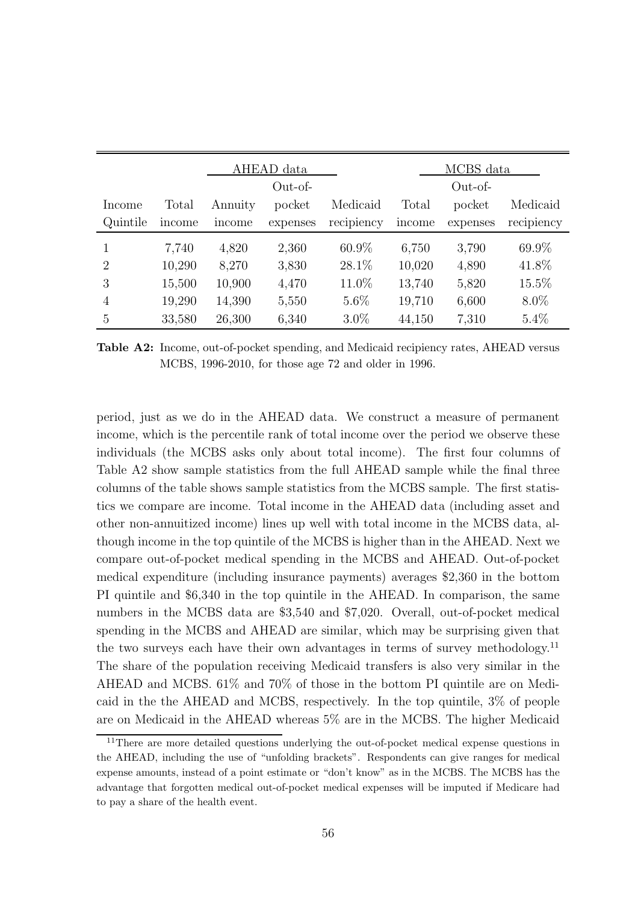|                |        |         | AHEAD data |            |        | MCBS data |            |
|----------------|--------|---------|------------|------------|--------|-----------|------------|
|                |        |         | $Out-of-$  |            |        | $Out-of-$ |            |
| Income         | Total  | Annuity | pocket     | Medicaid   | Total  | pocket    | Medicaid   |
| Quintile       | income | mcome   | expenses   | recipiency | income | expenses  | recipiency |
| 1              | 7,740  | 4,820   | 2,360      | $60.9\%$   | 6,750  | 3,790     | 69.9%      |
| $\overline{2}$ | 10,290 | 8,270   | 3,830      | 28.1\%     | 10,020 | 4,890     | 41.8%      |
| 3              | 15,500 | 10,900  | 4,470      | 11.0%      | 13,740 | 5,820     | $15.5\%$   |
| 4              | 19,290 | 14,390  | 5,550      | $5.6\%$    | 19,710 | 6,600     | $8.0\%$    |
| $\overline{5}$ | 33,580 | 26,300  | 6,340      | $3.0\%$    | 44,150 | 7,310     | $5.4\%$    |

Table A2: Income, out-of-pocket spending, and Medicaid recipiency rates, AHEAD versus MCBS, 1996-2010, for those age 72 and older in 1996.

period, just as we do in the AHEAD data. We construct a measure of permanent income, which is the percentile rank of total income over the period we observe these individuals (the MCBS asks only about total income). The first four columns of Table A2 show sample statistics from the full AHEAD sample while the final three columns of the table shows sample statistics from the MCBS sample. The first statistics we compare are income. Total income in the AHEAD data (including asset and other non-annuitized income) lines up well with total income in the MCBS data, although income in the top quintile of the MCBS is higher than in the AHEAD. Next we compare out-of-pocket medical spending in the MCBS and AHEAD. Out-of-pocket medical expenditure (including insurance payments) averages \$2,360 in the bottom PI quintile and \$6,340 in the top quintile in the AHEAD. In comparison, the same numbers in the MCBS data are \$3,540 and \$7,020. Overall, out-of-pocket medical spending in the MCBS and AHEAD are similar, which may be surprising given that the two surveys each have their own advantages in terms of survey methodology.<sup>11</sup> The share of the population receiving Medicaid transfers is also very similar in the AHEAD and MCBS. 61% and 70% of those in the bottom PI quintile are on Medicaid in the the AHEAD and MCBS, respectively. In the top quintile, 3% of people are on Medicaid in the AHEAD whereas 5% are in the MCBS. The higher Medicaid

<sup>&</sup>lt;sup>11</sup>There are more detailed questions underlying the out-of-pocket medical expense questions in the AHEAD, including the use of "unfolding brackets". Respondents can give ranges for medical expense amounts, instead of a point estimate or "don't know" as in the MCBS. The MCBS has the advantage that forgotten medical out-of-pocket medical expenses will be imputed if Medicare had to pay a share of the health event.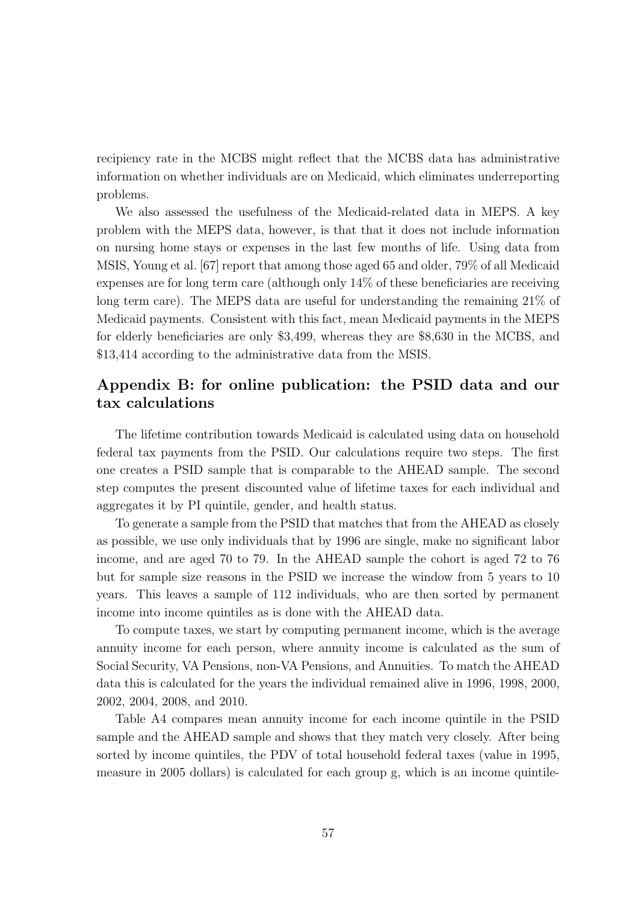recipiency rate in the MCBS might reflect that the MCBS data has administrative information on whether individuals are on Medicaid, which eliminates underreporting problems.

We also assessed the usefulness of the Medicaid-related data in MEPS. A key problem with the MEPS data, however, is that that it does not include information on nursing home stays or expenses in the last few months of life. Using data from MSIS, Young et al. [67] report that among those aged 65 and older, 79% of all Medicaid expenses are for long term care (although only 14% of these beneficiaries are receiving long term care). The MEPS data are useful for understanding the remaining 21% of Medicaid payments. Consistent with this fact, mean Medicaid payments in the MEPS for elderly beneficiaries are only \$3,499, whereas they are \$8,630 in the MCBS, and \$13,414 according to the administrative data from the MSIS.

### Appendix B: for online publication: the PSID data and our tax calculations

The lifetime contribution towards Medicaid is calculated using data on household federal tax payments from the PSID. Our calculations require two steps. The first one creates a PSID sample that is comparable to the AHEAD sample. The second step computes the present discounted value of lifetime taxes for each individual and aggregates it by PI quintile, gender, and health status.

To generate a sample from the PSID that matches that from the AHEAD as closely as possible, we use only individuals that by 1996 are single, make no significant labor income, and are aged 70 to 79. In the AHEAD sample the cohort is aged 72 to 76 but for sample size reasons in the PSID we increase the window from 5 years to 10 years. This leaves a sample of 112 individuals, who are then sorted by permanent income into income quintiles as is done with the AHEAD data.

To compute taxes, we start by computing permanent income, which is the average annuity income for each person, where annuity income is calculated as the sum of Social Security, VA Pensions, non-VA Pensions, and Annuities. To match the AHEAD data this is calculated for the years the individual remained alive in 1996, 1998, 2000, 2002, 2004, 2008, and 2010.

Table A4 compares mean annuity income for each income quintile in the PSID sample and the AHEAD sample and shows that they match very closely. After being sorted by income quintiles, the PDV of total household federal taxes (value in 1995, measure in 2005 dollars) is calculated for each group g, which is an income quintile-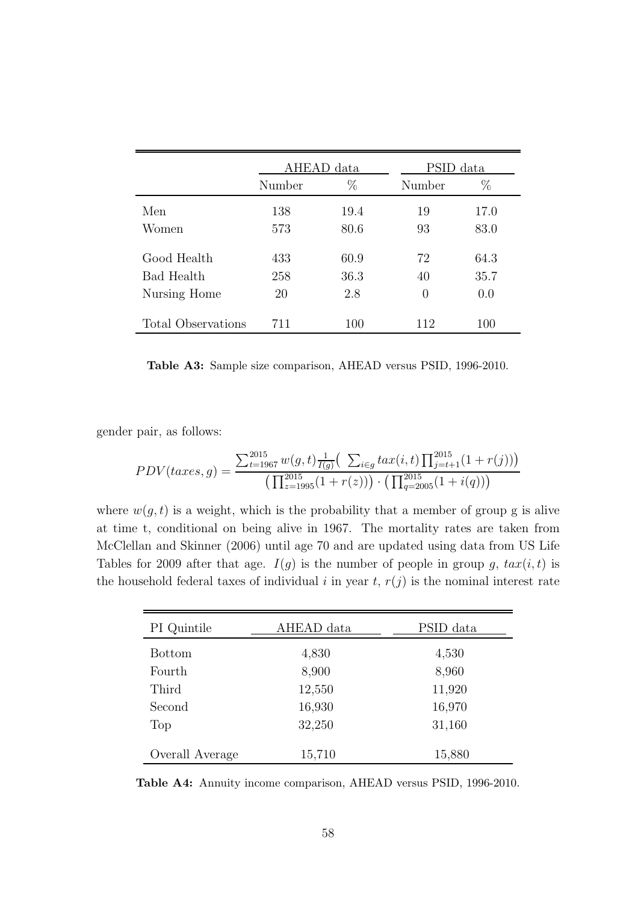|                    | AHEAD data |      | PSID data |      |
|--------------------|------------|------|-----------|------|
|                    | Number     | %    | Number    | $\%$ |
| Men                | 138        | 19.4 | 19        | 17.0 |
| Women              | 573        | 80.6 | 93        | 83.0 |
| Good Health        | 433        | 60.9 | 72        | 64.3 |
| <b>Bad Health</b>  | 258        | 36.3 | 40        | 35.7 |
| Nursing Home       | 20         | 2.8  | $\theta$  | 0.0  |
| Total Observations | 711        | 100  | 112       | 100  |

Table A3: Sample size comparison, AHEAD versus PSID, 1996-2010.

gender pair, as follows:

$$
PDV(taxes, g) = \frac{\sum_{t=1967}^{2015} w(g, t) \frac{1}{I(g)} \left( \sum_{i \in g} tax(i, t) \prod_{j=t+1}^{2015} (1 + r(j)) \right)}{\left( \prod_{z=1995}^{2015} (1 + r(z)) \right) \cdot \left( \prod_{q=2005}^{2015} (1 + i(q)) \right)}
$$

where  $w(g, t)$  is a weight, which is the probability that a member of group g is alive at time t, conditional on being alive in 1967. The mortality rates are taken from McClellan and Skinner (2006) until age 70 and are updated using data from US Life Tables for 2009 after that age.  $I(g)$  is the number of people in group g,  $tax(i, t)$  is the household federal taxes of individual i in year t,  $r(j)$  is the nominal interest rate

| PI Quintile     | AHEAD data | PSID data |
|-----------------|------------|-----------|
| <b>Bottom</b>   | 4,830      | 4,530     |
| Fourth          | 8,900      | 8,960     |
| Third           | 12,550     | 11,920    |
| Second          | 16,930     | 16,970    |
| Top             | 32,250     | 31,160    |
| Overall Average | 15,710     | 15,880    |

Table A4: Annuity income comparison, AHEAD versus PSID, 1996-2010.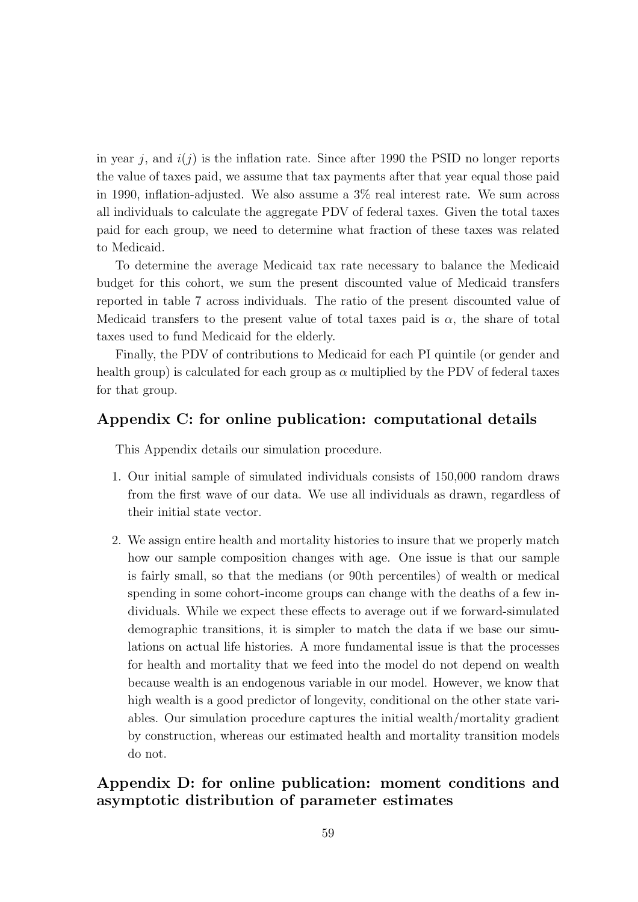in year j, and  $i(j)$  is the inflation rate. Since after 1990 the PSID no longer reports the value of taxes paid, we assume that tax payments after that year equal those paid in 1990, inflation-adjusted. We also assume a 3% real interest rate. We sum across all individuals to calculate the aggregate PDV of federal taxes. Given the total taxes paid for each group, we need to determine what fraction of these taxes was related to Medicaid.

To determine the average Medicaid tax rate necessary to balance the Medicaid budget for this cohort, we sum the present discounted value of Medicaid transfers reported in table 7 across individuals. The ratio of the present discounted value of Medicaid transfers to the present value of total taxes paid is  $\alpha$ , the share of total taxes used to fund Medicaid for the elderly.

Finally, the PDV of contributions to Medicaid for each PI quintile (or gender and health group) is calculated for each group as  $\alpha$  multiplied by the PDV of federal taxes for that group.

### Appendix C: for online publication: computational details

This Appendix details our simulation procedure.

- 1. Our initial sample of simulated individuals consists of 150,000 random draws from the first wave of our data. We use all individuals as drawn, regardless of their initial state vector.
- 2. We assign entire health and mortality histories to insure that we properly match how our sample composition changes with age. One issue is that our sample is fairly small, so that the medians (or 90th percentiles) of wealth or medical spending in some cohort-income groups can change with the deaths of a few individuals. While we expect these effects to average out if we forward-simulated demographic transitions, it is simpler to match the data if we base our simulations on actual life histories. A more fundamental issue is that the processes for health and mortality that we feed into the model do not depend on wealth because wealth is an endogenous variable in our model. However, we know that high wealth is a good predictor of longevity, conditional on the other state variables. Our simulation procedure captures the initial wealth/mortality gradient by construction, whereas our estimated health and mortality transition models do not.

### Appendix D: for online publication: moment conditions and asymptotic distribution of parameter estimates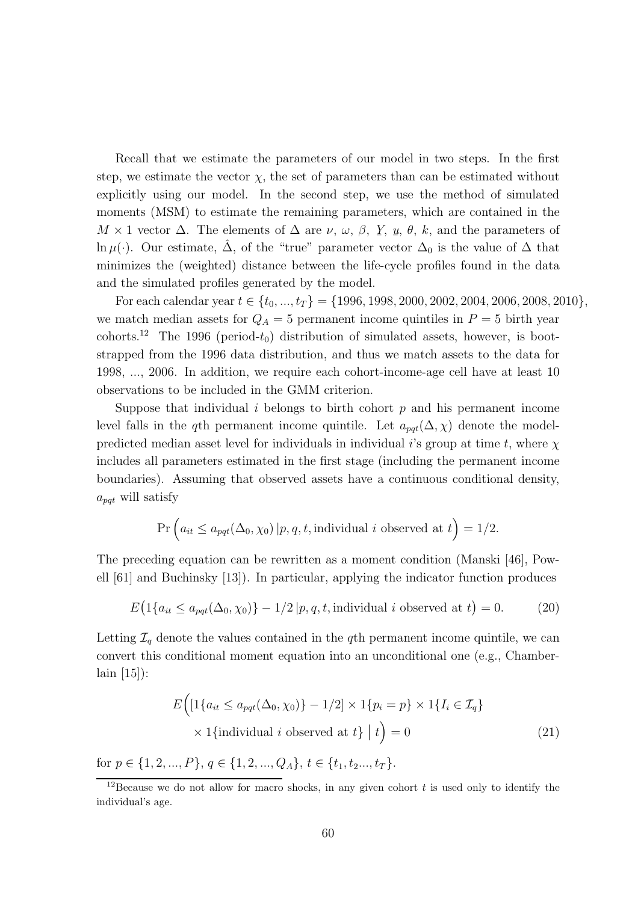Recall that we estimate the parameters of our model in two steps. In the first step, we estimate the vector  $\chi$ , the set of parameters than can be estimated without explicitly using our model. In the second step, we use the method of simulated moments (MSM) to estimate the remaining parameters, which are contained in the  $M \times 1$  vector  $\Delta$ . The elements of  $\Delta$  are  $\nu$ ,  $\omega$ ,  $\beta$ ,  $\gamma$ ,  $\mu$ ,  $\theta$ ,  $k$ , and the parameters of  $\ln \mu(\cdot)$ . Our estimate,  $\hat{\Delta}$ , of the "true" parameter vector  $\Delta_0$  is the value of  $\Delta$  that minimizes the (weighted) distance between the life-cycle profiles found in the data and the simulated profiles generated by the model.

For each calendar year  $t \in \{t_0, ..., t_T\} = \{1996, 1998, 2000, 2002, 2004, 2006, 2008, 2010\},\$ we match median assets for  $Q_A = 5$  permanent income quintiles in  $P = 5$  birth year cohorts.<sup>12</sup> The 1996 (period- $t_0$ ) distribution of simulated assets, however, is bootstrapped from the 1996 data distribution, and thus we match assets to the data for 1998, ..., 2006. In addition, we require each cohort-income-age cell have at least 10 observations to be included in the GMM criterion.

Suppose that individual i belongs to birth cohort  $p$  and his permanent income level falls in the q<sup>th</sup> permanent income quintile. Let  $a_{pqt}(\Delta, \chi)$  denote the modelpredicted median asset level for individuals in individual i's group at time t, where  $\chi$ includes all parameters estimated in the first stage (including the permanent income boundaries). Assuming that observed assets have a continuous conditional density,  $a_{pat}$  will satisfy

$$
\Pr\left(a_{it} \le a_{pqt}(\Delta_0, \chi_0) \, | p, q, t, \text{individual } i \text{ observed at } t\right) = 1/2.
$$

The preceding equation can be rewritten as a moment condition (Manski [46], Powell [61] and Buchinsky [13]). In particular, applying the indicator function produces

$$
E\big(1\{a_{it} \le a_{pqt}(\Delta_0, \chi_0)\} - 1/2 |p, q, t, \text{individual } i \text{ observed at } t\big) = 0. \tag{20}
$$

Letting  $\mathcal{I}_q$  denote the values contained in the qth permanent income quintile, we can convert this conditional moment equation into an unconditional one (e.g., Chamberlain [15]):

$$
E\Big(\big[1\{a_{it} \le a_{pqt}(\Delta_0, \chi_0)\} - 1/2\big] \times 1\{p_i = p\} \times 1\{I_i \in \mathcal{I}_q\}\Big)
$$
  
 
$$
\times 1\{\text{individual } i \text{ observed at } t\} \mid t\Big) = 0
$$
 (21)

for  $p \in \{1, 2, ..., P\}, q \in \{1, 2, ..., Q_A\}, t \in \{t_1, t_2, ..., t_T\}.$ 

<sup>&</sup>lt;sup>12</sup>Because we do not allow for macro shocks, in any given cohort  $t$  is used only to identify the individual's age.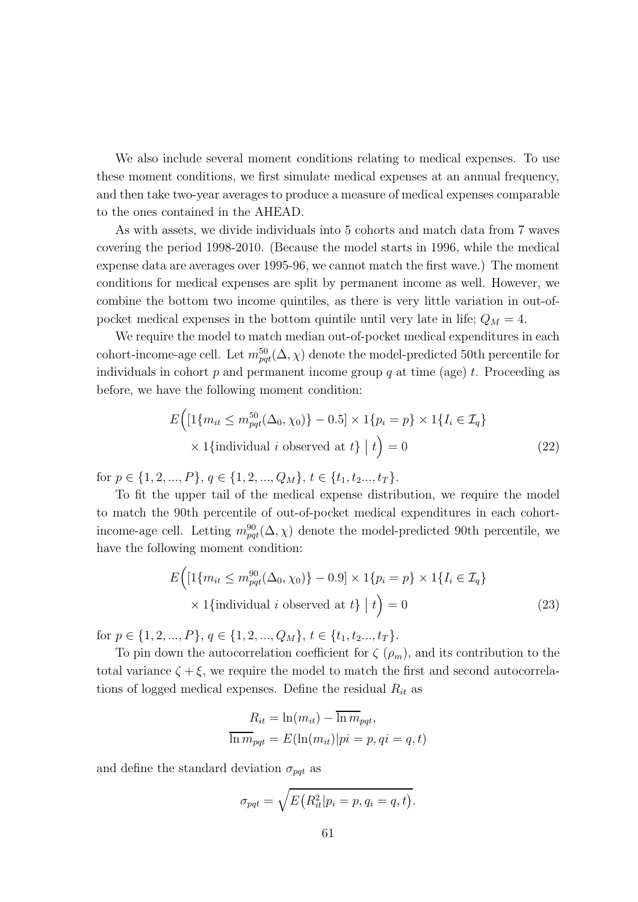We also include several moment conditions relating to medical expenses. To use these moment conditions, we first simulate medical expenses at an annual frequency, and then take two-year averages to produce a measure of medical expenses comparable to the ones contained in the AHEAD.

As with assets, we divide individuals into 5 cohorts and match data from 7 waves covering the period 1998-2010. (Because the model starts in 1996, while the medical expense data are averages over 1995-96, we cannot match the first wave.) The moment conditions for medical expenses are split by permanent income as well. However, we combine the bottom two income quintiles, as there is very little variation in out-ofpocket medical expenses in the bottom quintile until very late in life;  $Q_M = 4$ .

We require the model to match median out-of-pocket medical expenditures in each cohort-income-age cell. Let  $m_{pqt}^{50}(\Delta, \chi)$  denote the model-predicted 50th percentile for individuals in cohort  $p$  and permanent income group  $q$  at time (age)  $t$ . Proceeding as before, we have the following moment condition:

$$
E\Big(\big[1\{m_{it} \le m_{pqt}^{50}(\Delta_0, \chi_0)\} - 0.5\big] \times 1\{p_i = p\} \times 1\{I_i \in \mathcal{I}_q\}\Big)
$$
  
 
$$
\times 1\{\text{individual } i \text{ observed at } t\} \mid t\Big) = 0
$$
 (22)

for  $p \in \{1, 2, ..., P\}, q \in \{1, 2, ..., Q_M\}, t \in \{t_1, t_2, ..., t_T\}.$ 

To fit the upper tail of the medical expense distribution, we require the model to match the 90th percentile of out-of-pocket medical expenditures in each cohortincome-age cell. Letting  $m_{pqt}^{90}(\Delta, \chi)$  denote the model-predicted 90th percentile, we have the following moment condition:

$$
E\Big(\big[1\{m_{it} \le m_{pqt}^{90}(\Delta_0, \chi_0)\} - 0.9\big] \times 1\{p_i = p\} \times 1\{I_i \in \mathcal{I}_q\}\Big)
$$
  
 
$$
\times 1\{\text{individual } i \text{ observed at } t\} \mid t\Big) = 0
$$
 (23)

for  $p \in \{1, 2, ..., P\}$ ,  $q \in \{1, 2, ..., Q_M\}$ ,  $t \in \{t_1, t_2, ..., t_T\}$ .

To pin down the autocorrelation coefficient for  $\zeta$  ( $\rho_m$ ), and its contribution to the total variance  $\zeta + \xi$ , we require the model to match the first and second autocorrelations of logged medical expenses. Define the residual  $R_{it}$  as

$$
R_{it} = \ln(m_{it}) - \overline{\ln m}_{pqt},
$$
  

$$
\overline{\ln m}_{pqt} = E(\ln(m_{it})|pi = p, qi = q, t)
$$

and define the standard deviation  $\sigma_{pqt}$  as

$$
\sigma_{pqt} = \sqrt{E\big(R_{it}^2|p_i = p, q_i = q, t\big)}.
$$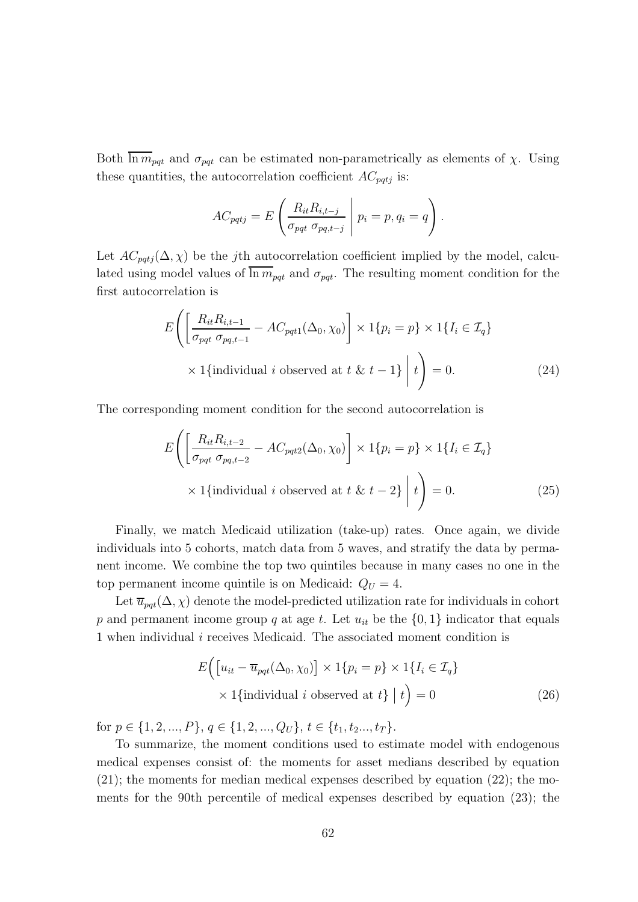Both  $\overline{\ln m}_{\text{pqt}}$  and  $\sigma_{\text{pqt}}$  can be estimated non-parametrically as elements of  $\chi$ . Using these quantities, the autocorrelation coefficient  $AC_{pqtj}$  is:

$$
AC_{pqtj} = E\left(\frac{R_{it}R_{i,t-j}}{\sigma_{pqt}\,\sigma_{pq,t-j}}\,\middle|\, p_i = p, q_i = q\right).
$$

Let  $AC_{pati}(\Delta, \chi)$  be the j<sup>th</sup> autocorrelation coefficient implied by the model, calculated using model values of  $\ln m_{pqt}$  and  $\sigma_{pqt}$ . The resulting moment condition for the first autocorrelation is

$$
E\left(\left[\frac{R_{it}R_{i,t-1}}{\sigma_{pqt}\,\sigma_{pq,t-1}} - AC_{pqt1}(\Delta_0,\chi_0)\right] \times 1\{p_i = p\} \times 1\{I_i \in \mathcal{I}_q\}
$$
  
 
$$
\times 1\{\text{individual } i \text{ observed at } t \& t - 1\} \mid t\right) = 0. \tag{24}
$$

The corresponding moment condition for the second autocorrelation is

$$
E\left(\left[\frac{R_{it}R_{i,t-2}}{\sigma_{pqt}\,\sigma_{pq,t-2}} - AC_{pqt2}(\Delta_0,\chi_0)\right] \times 1\{p_i = p\} \times 1\{I_i \in \mathcal{I}_q\}
$$
  
 
$$
\times 1\{\text{individual } i \text{ observed at } t \& t - 2\} \mid t\right) = 0. \tag{25}
$$

Finally, we match Medicaid utilization (take-up) rates. Once again, we divide individuals into 5 cohorts, match data from 5 waves, and stratify the data by permanent income. We combine the top two quintiles because in many cases no one in the top permanent income quintile is on Medicaid:  $Q_U = 4$ .

Let  $\overline{u}_{pqt}(\Delta, \chi)$  denote the model-predicted utilization rate for individuals in cohort p and permanent income group q at age t. Let  $u_{it}$  be the  $\{0, 1\}$  indicator that equals 1 when individual  $i$  receives Medicaid. The associated moment condition is

$$
E\Big(\big[u_{it} - \overline{u}_{pqt}(\Delta_0, \chi_0)\big] \times 1\{p_i = p\} \times 1\{I_i \in \mathcal{I}_q\}\Big) \times 1\{\text{individual } i \text{ observed at } t\} \mid t\Big) = 0 \tag{26}
$$

for  $p \in \{1, 2, ..., P\}, q \in \{1, 2, ..., Q_U\}, t \in \{t_1, t_2, ..., t_T\}.$ 

To summarize, the moment conditions used to estimate model with endogenous medical expenses consist of: the moments for asset medians described by equation  $(21)$ ; the moments for median medical expenses described by equation  $(22)$ ; the moments for the 90th percentile of medical expenses described by equation (23); the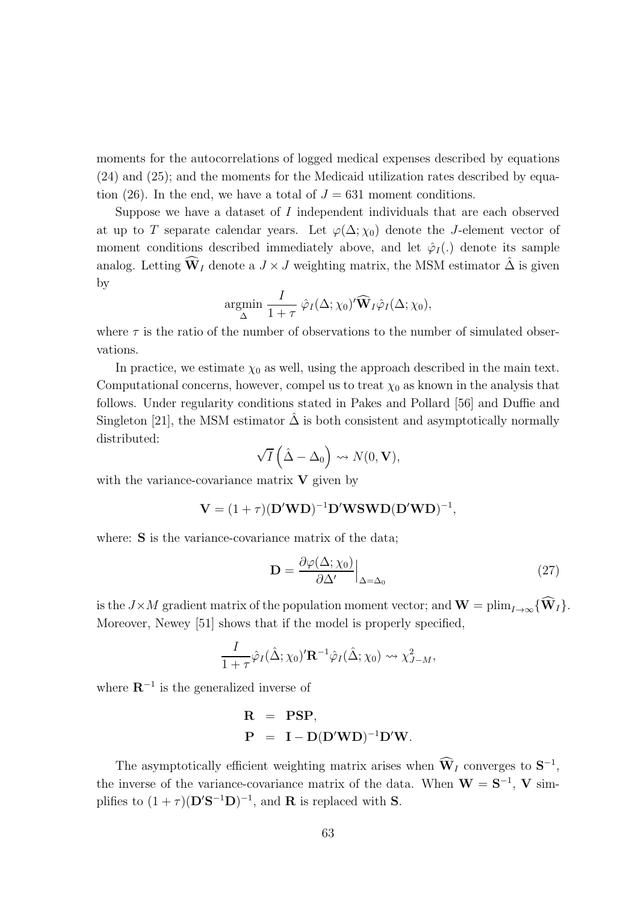moments for the autocorrelations of logged medical expenses described by equations (24) and (25); and the moments for the Medicaid utilization rates described by equation (26). In the end, we have a total of  $J = 631$  moment conditions.

Suppose we have a dataset of I independent individuals that are each observed at up to T separate calendar years. Let  $\varphi(\Delta; \chi_0)$  denote the J-element vector of moment conditions described immediately above, and let  $\hat{\varphi}_I(.)$  denote its sample analog. Letting  $\widehat{\mathbf{W}}_I$  denote a  $J \times J$  weighting matrix, the MSM estimator  $\hat{\Delta}$  is given by

$$
\underset{\Delta}{\text{argmin}} \frac{I}{1+\tau} \hat{\varphi}_I(\Delta; \chi_0)' \widehat{\mathbf{W}}_I \hat{\varphi}_I(\Delta; \chi_0),
$$

where  $\tau$  is the ratio of the number of observations to the number of simulated observations.

In practice, we estimate  $\chi_0$  as well, using the approach described in the main text. Computational concerns, however, compel us to treat  $\chi_0$  as known in the analysis that follows. Under regularity conditions stated in Pakes and Pollard [56] and Duffie and Singleton [21], the MSM estimator  $\hat{\Delta}$  is both consistent and asymptotically normally distributed:

$$
\sqrt{I}\left(\hat{\Delta}-\Delta_0\right)\rightsquigarrow N(0,\mathbf{V}),
$$

with the variance-covariance matrix  $V$  given by

$$
\mathbf{V} = (1 + \tau)(\mathbf{D}'\mathbf{W}\mathbf{D})^{-1}\mathbf{D}'\mathbf{W}\mathbf{S}\mathbf{W}\mathbf{D}(\mathbf{D}'\mathbf{W}\mathbf{D})^{-1},
$$

where: **S** is the variance-covariance matrix of the data;

$$
\mathbf{D} = \frac{\partial \varphi(\Delta; \chi_0)}{\partial \Delta'} \Big|_{\Delta = \Delta_0} \tag{27}
$$

is the  $J\times M$  gradient matrix of the population moment vector; and  $\mathbf{W} = \text{plim}_{I\rightarrow\infty} {\hat{\mathbf{W}}_I}$ . Moreover, Newey [51] shows that if the model is properly specified,

$$
\frac{I}{1+\tau}\hat{\varphi}_I(\hat{\Delta};\chi_0)'\mathbf{R}^{-1}\hat{\varphi}_I(\hat{\Delta};\chi_0) \rightsquigarrow \chi^2_{J-M},
$$

where  $\mathbb{R}^{-1}$  is the generalized inverse of

$$
\begin{array}{rcl} \mathbf{R} & = & \mathbf{PSP}, \\ \mathbf{P} & = & \mathbf{I} - \mathbf{D}(\mathbf{D}'\mathbf{W}\mathbf{D})^{-1}\mathbf{D}'\mathbf{W}. \end{array}
$$

The asymptotically efficient weighting matrix arises when  $\dot{W}_I$  converges to  $S^{-1}$ , the inverse of the variance-covariance matrix of the data. When  $W = S^{-1}$ , V simplifies to  $(1+\tau)(\mathbf{D}'\mathbf{S}^{-1}\mathbf{D})^{-1}$ , and **R** is replaced with **S**.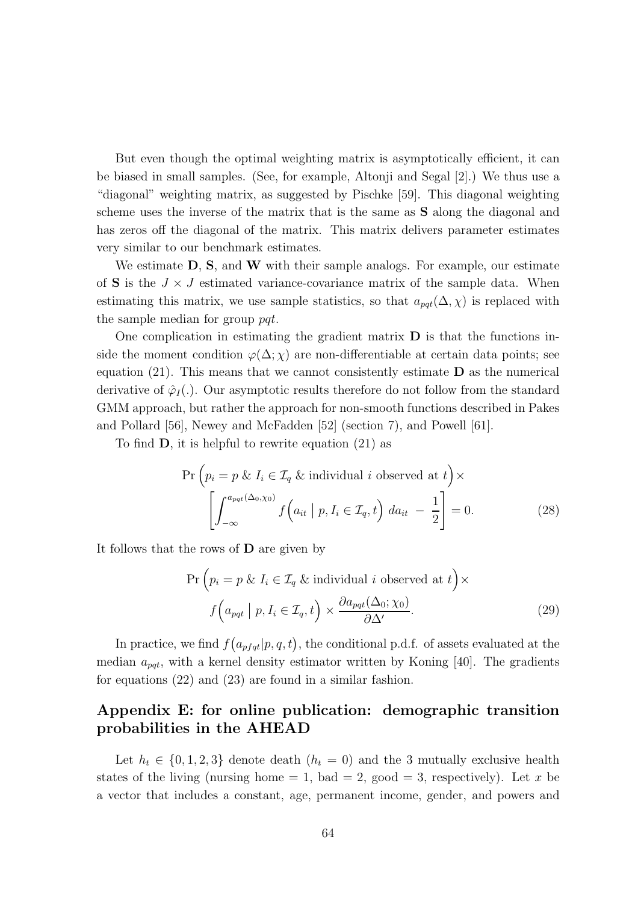But even though the optimal weighting matrix is asymptotically efficient, it can be biased in small samples. (See, for example, Altonji and Segal [2].) We thus use a "diagonal" weighting matrix, as suggested by Pischke [59]. This diagonal weighting scheme uses the inverse of the matrix that is the same as S along the diagonal and has zeros off the diagonal of the matrix. This matrix delivers parameter estimates very similar to our benchmark estimates.

We estimate  $D$ ,  $S$ , and  $W$  with their sample analogs. For example, our estimate of **S** is the  $J \times J$  estimated variance-covariance matrix of the sample data. When estimating this matrix, we use sample statistics, so that  $a_{pot}(\Delta, \chi)$  is replaced with the sample median for group pqt.

One complication in estimating the gradient matrix  $\bf{D}$  is that the functions inside the moment condition  $\varphi(\Delta; \chi)$  are non-differentiable at certain data points; see equation  $(21)$ . This means that we cannot consistently estimate **D** as the numerical derivative of  $\hat{\varphi}_I(.)$ . Our asymptotic results therefore do not follow from the standard GMM approach, but rather the approach for non-smooth functions described in Pakes and Pollard [56], Newey and McFadden [52] (section 7), and Powell [61].

To find D, it is helpful to rewrite equation (21) as

$$
\Pr\left(p_i = p \& I_i \in \mathcal{I}_q \& individual \text{ } i \text{ } observed \text{ } at \text{ } t\right) \times \left[\int_{-\infty}^{a_{pqt}(\Delta_0,\chi_0)} f\left(a_{it} \mid p, I_i \in \mathcal{I}_q, t\right) da_{it} - \frac{1}{2}\right] = 0. \tag{28}
$$

It follows that the rows of D are given by

$$
\Pr\left(p_i = p \& I_i \in \mathcal{I}_q \& individual \text{ } i \text{ } observed \text{ } at \text{ } t\right) \times
$$
\n
$$
f\left(a_{pqt} \mid p, I_i \in \mathcal{I}_q, t\right) \times \frac{\partial a_{pqt}(\Delta_0; \chi_0)}{\partial \Delta'}.\tag{29}
$$

In practice, we find  $f(a_{pfqt}|p, q, t)$ , the conditional p.d.f. of assets evaluated at the median  $a_{\textit{pat}}$ , with a kernel density estimator written by Koning [40]. The gradients for equations (22) and (23) are found in a similar fashion.

### Appendix E: for online publication: demographic transition probabilities in the AHEAD

Let  $h_t \in \{0, 1, 2, 3\}$  denote death  $(h_t = 0)$  and the 3 mutually exclusive health states of the living (nursing home  $= 1$ , bad  $= 2$ , good  $= 3$ , respectively). Let x be a vector that includes a constant, age, permanent income, gender, and powers and